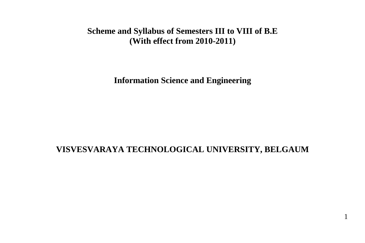# **Scheme and Syllabus of Semesters III to VIII of B.E (With effect from 2010-2011)**

**Information Science and Engineering**

### **VISVESVARAYA TECHNOLOGICAL UNIVERSITY, BELGAUM**

1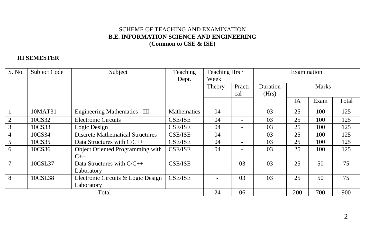### SCHEME OF TEACHING AND EXAMINATION **B.E. INFORMATION SCIENCE AND ENGINEERING (Common to CSE & ISE)**

### **III SEMESTER**

| S. No. | Subject Code | Subject                                      | Teaching<br>Dept. | Teaching Hrs /<br>Week |        | Examination    |           |              |       |
|--------|--------------|----------------------------------------------|-------------------|------------------------|--------|----------------|-----------|--------------|-------|
|        |              |                                              |                   | Theory                 | Practi | Duration       |           | <b>Marks</b> |       |
|        |              |                                              |                   |                        | cal    | (Hrs)          |           |              |       |
|        |              |                                              |                   |                        |        |                | <b>IA</b> | Exam         | Total |
|        | 10MAT31      | <b>Engineering Mathematics - III</b>         | Mathematics       | 04                     |        | 03             | 25        | 100          | 125   |
|        | 10CS32       | <b>Electronic Circuits</b>                   | <b>CSE/ISE</b>    | 04                     | Ξ.     | 03             | 25        | 100          | 125   |
| 3      | 10CS33       | Logic Design                                 | <b>CSE/ISE</b>    | 04                     | -      | 0 <sub>3</sub> | 25        | 100          | 125   |
| 4      | 10CS34       | <b>Discrete Mathematical Structures</b>      | <b>CSE/ISE</b>    | 04                     | -      | 03             | 25        | 100          | 125   |
| 5      | 10CS35       | Data Structures with $C/C++$                 | <b>CSE/ISE</b>    | 04                     | -      | 03             | 25        | 100          | 125   |
| 6      | 10CS36       | Object Oriented Programming with<br>$C_{++}$ | <b>CSE/ISE</b>    | 04                     |        | 03             | 25        | 100          | 125   |
| 7      | 10CSL37      | Data Structures with $C/C++$<br>Laboratory   | <b>CSE/ISE</b>    |                        | 03     | 03             | 25        | 50           | 75    |
| 8      | 10CSL38      | Electronic Circuits & Logic Design           | <b>CSE/ISE</b>    |                        | 03     | 03             | 25        | 50           | 75    |
|        |              | Laboratory                                   |                   |                        |        |                |           |              |       |
|        |              | Total                                        |                   | 24                     | 06     | ۰              | 200       | 700          | 900   |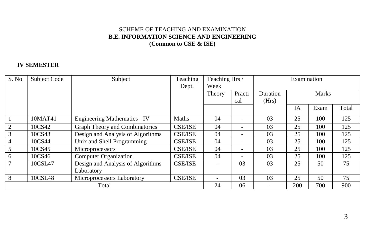### SCHEME OF TEACHING AND EXAMINATION **B.E. INFORMATION SCIENCE AND ENGINEERING (Common to CSE & ISE)**

### **IV SEMESTER**

| S. No.         | Subject Code | Subject                             | Teaching       | Teaching Hrs / |        |          | Examination |              |       |  |
|----------------|--------------|-------------------------------------|----------------|----------------|--------|----------|-------------|--------------|-------|--|
|                |              |                                     | Dept.          | Week           |        |          |             |              |       |  |
|                |              |                                     |                | Theory         | Practi | Duration |             | <b>Marks</b> |       |  |
|                |              |                                     |                |                | cal    | (Hrs)    |             |              |       |  |
|                |              |                                     |                |                |        |          | <b>IA</b>   | Exam         | Total |  |
|                | 10MAT41      | <b>Engineering Mathematics - IV</b> | Maths          | 04             |        | 03       | 25          | 100          | 125   |  |
| $\overline{2}$ | 10CS42       | Graph Theory and Combinatorics      | <b>CSE/ISE</b> | 04             |        | 03       | 25          | 100          | 125   |  |
| 3              | 10CS43       | Design and Analysis of Algorithms   | <b>CSE/ISE</b> | 04             |        | 03       | 25          | 100          | 125   |  |
| 4              | 10CS44       | Unix and Shell Programming          | <b>CSE/ISE</b> | 04             |        | 03       | 25          | 100          | 125   |  |
| 5              | 10CS45       | Microprocessors                     | <b>CSE/ISE</b> | 04             |        | 03       | 25          | 100          | 125   |  |
| 6              | 10CS46       | <b>Computer Organization</b>        | <b>CSE/ISE</b> | 04             |        | 03       | 25          | 100          | 125   |  |
| 7              | 10CSL47      | Design and Analysis of Algorithms   | <b>CSE/ISE</b> |                | 03     | 03       | 25          | 50           | 75    |  |
|                |              | Laboratory                          |                |                |        |          |             |              |       |  |
| 8              | 10CSL48      | Microprocessors Laboratory          | <b>CSE/ISE</b> |                | 03     | 03       | 25          | 50           | 75    |  |
|                |              | Total                               |                |                |        |          | 200         | 700          | 900   |  |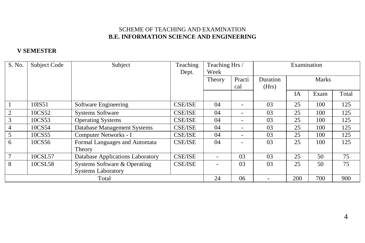### **V SEMESTER**

| S. No.         | Subject Code | Subject                            | Teaching       | Teaching Hrs / |          | Examination |           |              |       |
|----------------|--------------|------------------------------------|----------------|----------------|----------|-------------|-----------|--------------|-------|
|                |              |                                    | Dept.          | Week           |          |             |           |              |       |
|                |              |                                    |                | Theory         | Practi   | Duration    |           | <b>Marks</b> |       |
|                |              |                                    |                |                | cal      | (Hrs)       |           |              |       |
|                |              |                                    |                |                |          |             | <b>IA</b> | Exam         | Total |
|                | 10IS51       | Software Engineering               | <b>CSE/ISE</b> | 04             |          | 03          | 25        | 100          | 125   |
| 2              | 10CS52       | <b>Systems Software</b>            | <b>CSE/ISE</b> | 04             | ۰        | 03          | 25        | 100          | 125   |
| 3              | 10CS53       | <b>Operating Systems</b>           | <b>CSE/ISE</b> | 04             | Ξ.       | 03          | 25        | 100          | 125   |
| $\overline{4}$ | 10CS54       | <b>Database Management Systems</b> | <b>CSE/ISE</b> | 04             | -        | 03          | 25        | 100          | 125   |
| 5              | 10CS55       | Computer Networks - I              | <b>CSE/ISE</b> | 04             | -        | 03          | 25        | 100          | 125   |
| 6              | 10CS56       | Formal Languages and Automata      | <b>CSE/ISE</b> | 04             |          | 03          | 25        | 100          | 125   |
|                |              | Theory                             |                |                |          |             |           |              |       |
| $\tau$         | 10CSL57      | Database Applications Laboratory   | <b>CSE/ISE</b> |                | 03       | 03          | 25        | 50           | 75    |
| 8              | 10CSL58      | Systems Software & Operating       | <b>CSE/ISE</b> |                | 03       | 03          | 25        | 50           | 75    |
|                |              | <b>Systems Laboratory</b>          |                |                |          |             |           |              |       |
| Total          |              |                                    | 24             | 06             | $\equiv$ | 200         | 700       | 900          |       |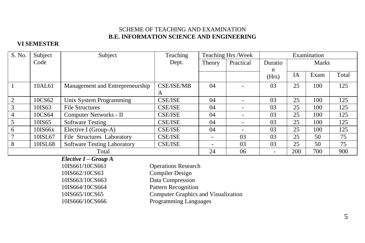### **VI SEMESTER**

| S. No.          | Subject | Subject                            | Teaching          | Teaching Hrs /Week |                          |         | Examination |              |       |  |
|-----------------|---------|------------------------------------|-------------------|--------------------|--------------------------|---------|-------------|--------------|-------|--|
|                 | Code    |                                    | Dept.             | Theory             | Practical                | Duratio |             | <b>Marks</b> |       |  |
|                 |         |                                    |                   |                    |                          | n       |             |              |       |  |
|                 |         |                                    |                   |                    |                          | (Hrs)   | IΑ          | Exam         | Total |  |
| $\overline{1}$  | 10AL61  | Management and Entrepreneurship    | <b>CSE/ISE/MB</b> | 04                 |                          | 03      | 25          | 100          | 125   |  |
|                 |         |                                    | A                 |                    |                          |         |             |              |       |  |
| $\overline{2}$  | 10CS62  | Unix System Programming            | <b>CSE/ISE</b>    | 04                 | $\overline{\phantom{a}}$ | 03      | 25          | 100          | 125   |  |
| $\overline{3}$  | 10IS63  | <b>File Structures</b>             | <b>CSE/ISE</b>    | 04                 | $\overline{\phantom{a}}$ | 03      | 25          | 100          | 125   |  |
| $\overline{4}$  | 10CS64  | Computer Networks - II             | <b>CSE/ISE</b>    | 04                 |                          | 03      | 25          | 100          | 125   |  |
| $5\overline{)}$ | 10IS65  | <b>Software Testing</b>            | <b>CSE/ISE</b>    | 04                 | $\overline{\phantom{a}}$ | 03      | 25          | 100          | 125   |  |
| 6               | 10IS66x | Elective I (Group-A)               | <b>CSE/ISE</b>    | 04                 | -                        | 03      | 25          | 100          | 125   |  |
| 7               | 10ISL67 | File Structures Laboratory         | <b>CSE/ISE</b>    |                    | 03                       | 03      | 25          | 50           | 75    |  |
| 8               | 10ISL68 | <b>Software Testing Laboratory</b> | <b>CSE/ISE</b>    |                    | 03                       | 03      | 25          | 50           | 75    |  |
| Total           |         |                                    |                   | 24                 | 06                       |         | 200         | 700          | 900   |  |

*Elective I – Group A*

10IS661/10CS661 Operations Research 10IS662/10CS63 Compiler Design 10IS663/10CS663 Data Compression 10IS664/10CS664 Pattern Recognition 10IS665/10CS65 Computer Graphics and Visualization 10IS666/10CS666 Programming Languages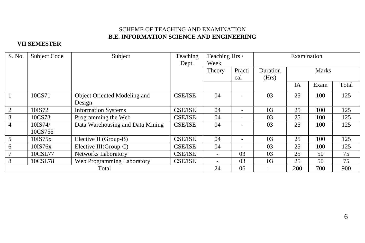### **VII SEMESTER**

| S. No. | Subject Code | Subject                          | Teaching       | Teaching Hrs / |                          | Examination     |     |              |       |
|--------|--------------|----------------------------------|----------------|----------------|--------------------------|-----------------|-----|--------------|-------|
|        |              |                                  | Dept.          | Week           |                          |                 |     |              |       |
|        |              |                                  |                | Theory         | Practi                   | <b>Duration</b> |     | <b>Marks</b> |       |
|        |              |                                  |                |                | cal                      | (Hrs)           |     |              |       |
|        |              |                                  |                |                |                          |                 | IA  | Exam         | Total |
|        | 10CS71       | Object Oriented Modeling and     | <b>CSE/ISE</b> | 04             |                          | 03              | 25  | 100          | 125   |
|        |              | Design                           |                |                |                          |                 |     |              |       |
| 2      | 10IS72       | <b>Information Systems</b>       | <b>CSE/ISE</b> | 04             | $\overline{\phantom{0}}$ | 03              | 25  | 100          | 125   |
| 3      | 10CS73       | Programming the Web              | <b>CSE/ISE</b> | 04             | -                        | 03              | 25  | 100          | 125   |
| 4      | 10IS74/      | Data Warehousing and Data Mining | <b>CSE/ISE</b> | 04             |                          | 03              | 25  | 100          | 125   |
|        | 10CS755      |                                  |                |                |                          |                 |     |              |       |
| 5      | 10IST5x      | Elective II (Group-B)            | <b>CSE/ISE</b> | 04             | ۰                        | 03              | 25  | 100          | 125   |
| 6      | 10IS76x      | Elective III(Group-C)            | <b>CSE/ISE</b> | 04             | $\overline{\phantom{0}}$ | 03              | 25  | 100          | 125   |
|        | 10CSL77      | <b>Networks Laboratory</b>       | <b>CSE/ISE</b> | -              | 03                       | 03              | 25  | 50           | 75    |
| 8      | 10CSL78      | Web Programming Laboratory       | <b>CSE/ISE</b> |                | 03                       | 03              | 25  | 50           | 75    |
| Total  |              |                                  | 24             | 06             |                          | 200             | 700 | 900          |       |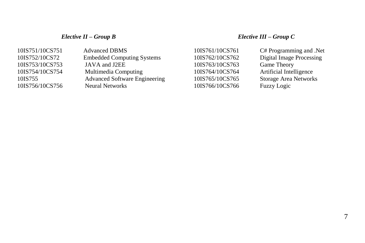### *Elective II – Group B Elective III – Group C*

| 10IS751/10CS751 | <b>Advanced DBMS</b>                 | 10IS761/10CS761 | C# Programming and .Net      |
|-----------------|--------------------------------------|-----------------|------------------------------|
| 10IS752/10CS72  | <b>Embedded Computing Systems</b>    | 10IS762/10CS762 | Digital Image Processing     |
| 10IS753/10CS753 | JAVA and J2EE                        | 10IS763/10CS763 | Game Theory                  |
| 10IS754/10CS754 | Multimedia Computing                 | 10IS764/10CS764 | Artificial Intelligence      |
| 10IS755         | <b>Advanced Software Engineering</b> | 10IS765/10CS765 | <b>Storage Area Networks</b> |
| 10IS756/10CS756 | Neural Networks                      | 10IS766/10CS766 | Fuzzy Logic                  |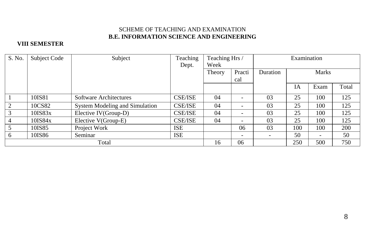### **VIII SEMESTER**

| S. No. | Subject Code  | Subject                        | Teaching       | Teaching Hrs / |        | Examination |     |                          |            |
|--------|---------------|--------------------------------|----------------|----------------|--------|-------------|-----|--------------------------|------------|
|        |               |                                | Dept.          | Week           |        |             |     |                          |            |
|        |               |                                |                | Theory         | Practi | Duration    |     | <b>Marks</b>             |            |
|        |               |                                |                |                | cal    |             |     |                          |            |
|        |               |                                |                |                |        |             | IA  | Exam                     | Total      |
|        | 10IS81        | Software Architectures         | <b>CSE/ISE</b> | 04             |        | 03          | 25  | 100                      | 125        |
|        | 10CS82        | System Modeling and Simulation | <b>CSE/ISE</b> | 04             |        | 03          | 25  | 100                      | 125        |
|        | $10$ IS $83x$ | Elective IV(Group-D)           | <b>CSE/ISE</b> | 04             |        | 03          | 25  | 100                      | 125        |
| 4      | $10$ IS $84x$ | Elective V(Group-E)            | <b>CSE/ISE</b> | 04             |        | 03          | 25  | 100                      | 125        |
|        | 10IS85        | Project Work                   | <b>ISE</b>     |                | 06     | 03          | 100 | 100                      | <b>200</b> |
| 6      | 10IS86        | Seminar                        | <b>ISE</b>     |                | -      | $\sim$      | 50  | $\overline{\phantom{a}}$ | 50         |
| Total  |               |                                | 16             | 06             |        | 250         | 500 | 750                      |            |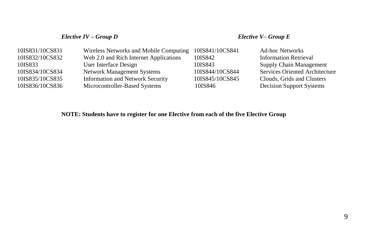### *Elective IV – Group D Elective V– Group E*

| 10IS831/10CS831 | Wireless Networks and Mobile Computing  | 10IS841/10CS841 | <b>Ad-hoc Networks</b>                |
|-----------------|-----------------------------------------|-----------------|---------------------------------------|
| 10IS832/10CS832 | Web 2.0 and Rich Internet Applications  | 10IS842         | <b>Information Retrieval</b>          |
| 10IS833         | User Interface Design                   | 10IS843         | <b>Supply Chain Management</b>        |
| 10IS834/10CS834 | Network Management Systems              | 10IS844/10CS844 | <b>Services Oriented Architecture</b> |
| 10IS835/10CS835 | <b>Information and Network Security</b> | 10IS845/10CS845 | Clouds, Grids and Clusters            |
| 10IS836/10CS836 | Microcontroller-Based Systems           | 10IS846         | <b>Decision Support Systems</b>       |

### **NOTE: Students have to register for one Elective from each of the five Elective Group**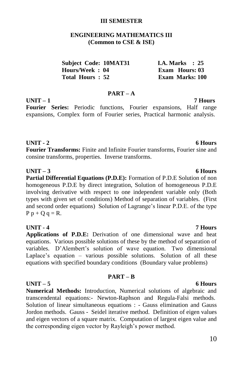### **III SEMESTER**

### **ENGINEERING MATHEMATICS III (Common to CSE & ISE)**

| <b>Subject Code: 10MAT31</b> |  | <b>I.A. Marks</b> : 25 |  |
|------------------------------|--|------------------------|--|
| Hours/Week: 04               |  | Exam Hours: 03         |  |
| Total Hours: 52              |  | Exam Marks: 100        |  |

### **PART – A**

**UNIT – 1 7 Hours Fourier Series:** Periodic functions, Fourier expansions, Half range expansions, Complex form of Fourier series, Practical harmonic analysis.

### **UNIT - 2 6 Hours**

**Fourier Transforms:** Finite and Infinite Fourier transforms, Fourier sine and consine transforms, properties. Inverse transforms.

### **UNIT – 3 6 Hours**

**Partial Differential Equations (P.D.E):** Formation of P.D.E Solution of non homogeneous P.D.E by direct integration, Solution of homogeneous P.D.E involving derivative with respect to one independent variable only (Both types with given set of conditions) Method of separation of variables. (First and second order equations) Solution of Lagrange"s linear P.D.E. of the type  $P p + Q q = R$ .

### **UNIT - 4 7 Hours**

**Applications of P.D.E:** Derivation of one dimensional wave and heat equations. Various possible solutions of these by the method of separation of variables. D'Alembert's solution of wave equation. Two dimensional Laplace's equation – various possible solutions. Solution of all these equations with specified boundary conditions (Boundary value problems)

**PART – B**

### **UNIT – 5 6 Hours**

**Numerical Methods:** Introduction, Numerical solutions of algebraic and transcendental equations:- Newton-Raphson and Regula-Falsi methods. Solution of linear simultaneous equations : - Gauss elimination and Gauss Jordon methods. Gauss - Seidel iterative method. Definition of eigen values and eigen vectors of a square matrix. Computation of largest eigen value and the corresponding eigen vector by Rayleigh's power method.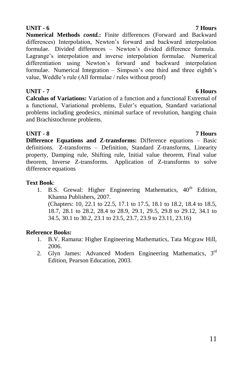**UNIT - 6 7 Hours Numerical Methods** *contd.***:** Finite differences (Forward and Backward differences) Interpolation, Newton's forward and backward interpolation formulae. Divided differences – Newton"s divided difference formula. Lagrange's interpolation and inverse interpolation formulae. Numerical differentiation using Newton"s forward and backward interpolation formulae. Numerical Integration – Simpson's one third and three eighth's value, Weddle"s rule (All formulae / rules without proof)

### **UNIT - 7 6 Hours**

**Calculus of Variations:** Variation of a function and a functional Extremal of a functional, Variational problems, Euler"s equation, Standard variational problems including geodesics, minimal surface of revolution, hanging chain and Brachistochrone problems.

**UNIT - 8 7 Hours Difference Equations and Z-transforms:** Difference equations – Basic definitions. Z-transforms – Definition, Standard Z-transforms, Linearity property, Damping rule, Shifting rule, Initial value theorem, Final value theorem, Inverse Z-transforms. Application of Z-transforms to solve difference equations

### **Text Book**:

1. B.S. Grewal: Higher Engineering Mathematics, 40<sup>th</sup> Edition, Khanna Publishers, 2007. (Chapters: 10, 22.1 to 22.5, 17.1 to 17.5, 18.1 to 18.2, 18.4 to 18.5, 18.7, 28.1 to 28.2, 28.4 to 28.9, 29.1, 29.5, 29.8 to 29.12, 34.1 to 34.5, 30.1 to 30.2, 23.1 to 23.5, 23.7, 23.9 to 23.11, 23.16)

### **Reference Books:**

- 1. B.V. Ramana: Higher Engineering Mathematics, Tata Mcgraw Hill, 2006.
- 2. Glyn James: Advanced Modern Engineering Mathematics, 3<sup>rd</sup> Edition, Pearson Education, 2003.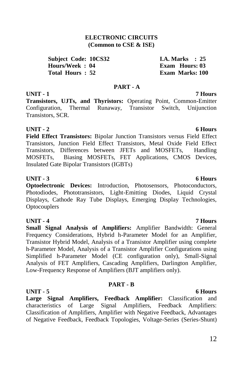### **ELECTRONIC CIRCUITS (Common to CSE & ISE)**

**Subject Code: 10CS32 I.A. Marks : 25 Hours/Week : 04 Exam Hours: 03 Total Hours : 52 Exam Marks: 100**

### **PART - A**

### **UNIT - 1 7 Hours**

**Transistors, UJTs, and Thyristors:** Operating Point, Common-Emitter Configuration, Thermal Runaway, Transistor Switch, Unijunction Transistors, SCR.

### **UNIT - 2** 6 Hours

**Field Effect Transistors:** Bipolar Junction Transistors versus Field Effect Transistors, Junction Field Effect Transistors, Metal Oxide Field Effect Transistors, Differences between JFETs and MOSFETs, Handling MOSFETs, Biasing MOSFETs, FET Applications, CMOS Devices, Insulated Gate Bipolar Transistors (IGBTs)

### **UNIT - 3 6 Hours**

**Optoelectronic Devices:** Introduction, Photosensors, Photoconductors, Photodiodes, Phototransistors, Light-Emitting Diodes, Liquid Crystal Displays, Cathode Ray Tube Displays, Emerging Display Technologies, **Optocouplers** 

### **UNIT - 4 7 Hours**

**Small Signal Analysis of Amplifiers:** Amplifier Bandwidth: General Frequency Considerations, Hybrid h-Parameter Model for an Amplifier, Transistor Hybrid Model, Analysis of a Transistor Amplifier using complete h-Parameter Model, Analysis of a Transistor Amplifier Configurations using Simplified h-Parameter Model (CE configuration only), Small-Signal Analysis of FET Amplifiers, Cascading Amplifiers, Darlington Amplifier, Low-Frequency Response of Amplifiers (BJT amplifiers only).

### **PART - B**

**UNIT - 5 6 Hours Large Signal Amplifiers, Feedback Amplifier:** Classification and characteristics of Large Signal Amplifiers, Feedback Amplifiers: Classification of Amplifiers, Amplifier with Negative Feedback, Advantages of Negative Feedback, Feedback Topologies, Voltage-Series (Series-Shunt)

### 12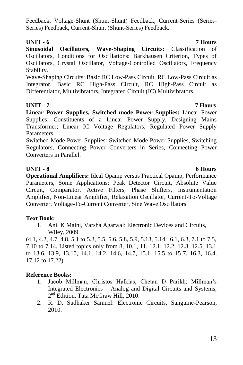Feedback, Voltage-Shunt (Shunt-Shunt) Feedback, Current-Series (Series-Series) Feedback, Current-Shunt (Shunt-Series) Feedback.

### **UNIT - 6 7 Hours**

**Sinusoidal Oscillators, Wave-Shaping Circuits:** Classification of Oscillators, Conditions for Oscillations: Barkhausen Criterion, Types of Oscillators, Crystal Oscillator, Voltage-Controlled Oscillators, Frequency Stability.

Wave-Shaping Circuits: Basic RC Low-Pass Circuit, RC Low-Pass Circuit as Integrator, Basic RC High-Pass Circuit, RC High-Pass Circuit as Differentiator, Multivibrators, Integrated Circuit (IC) Multivibrators.

### **UNIT - 7 7 Hours**

**Linear Power Supplies, Switched mode Power Supplies:** Linear Power Supplies: Constituents of a Linear Power Supply, Designing Mains Transformer; Linear IC Voltage Regulators, Regulated Power Supply Parameters.

Switched Mode Power Supplies: Switched Mode Power Supplies, Switching Regulators, Connecting Power Converters in Series, Connecting Power Converters in Parallel.

### **UNIT - 8 6 Hours**

**Operational Amplifiers:** Ideal Opamp versus Practical Opamp, Performance Parameters, Some Applications: Peak Detector Circuit, Absolute Value Circuit, Comparator, Active Filters, Phase Shifters, Instrumentation Amplifier, Non-Linear Amplifier, Relaxation Oscillator, Current-To-Voltage Converter, Voltage-To-Current Converter, Sine Wave Oscillators.

### **Text Book:**

1. Anil K Maini, Varsha Agarwal: Electronic Devices and Circuits, Wiley, 2009.

(4.1, 4.2, 4.7, 4.8, 5.1 to 5.3, 5.5, 5.6, 5.8, 5.9, 5.13, 5.14, 6.1, 6.3, 7.1 to 7.5, 7.10 to 7.14, Listed topics only from 8, 10.1, 11, 12.1, 12.2, 12.3, 12.5, 13.1 to 13.6, 13.9, 13.10, 14.1, 14.2, 14.6, 14.7, 15.1, 15.5 to 15.7. 16.3, 16.4, 17.12 to 17.22)

### **Reference Books:**

- 1. Jacob Millman, Christos Halkias, Chetan D Parikh: Millman"s Integrated Electronics – Analog and Digital Circuits and Systems, 2<sup>nd</sup> Edition, Tata McGraw Hill, 2010.
- 2. R. D. Sudhaker Samuel: Electronic Circuits, Sanguine-Pearson, 2010.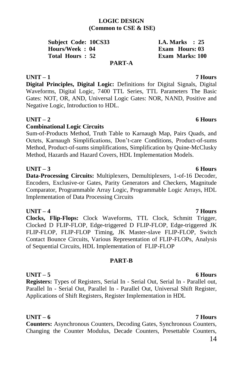### **LOGIC DESIGN (Common to CSE & ISE)**

**Subject Code: 10CS33 I.A. Marks** : 25 **Hours/Week : 04 Exam Hours: 03 Total Hours : 52 Exam Marks: 100**

**PART-A**

### **UNIT – 1 7 Hours**

**Digital Principles, Digital Logic:** Definitions for Digital Signals, Digital Waveforms, Digital Logic, 7400 TTL Series, TTL Parameters The Basic Gates: NOT, OR, AND, Universal Logic Gates: NOR, NAND, Positive and Negative Logic, Introduction to HDL.

### **UNIT – 2 6 Hours**

### **Combinational Logic Circuits**

Sum-of-Products Method, Truth Table to Karnaugh Map, Pairs Quads, and Octets, Karnaugh Simplifications, Don"t-care Conditions, Product-of-sums Method, Product-of-sums simplifications, Simplification by Quine-McClusky Method, Hazards and Hazard Covers, HDL Implementation Models.

### **UNIT – 3 6 Hours**

**Data-Processing Circuits:** Multiplexers, Demultiplexers, 1-of-16 Decoder, Encoders, Exclusive-or Gates, Parity Generators and Checkers, Magnitude Comparator, Programmable Array Logic, Programmable Logic Arrays, HDL Implementation of Data Processing Circuits

### **UNIT – 4 7 Hours**

**Clocks, Flip-Flops:** Clock Waveforms, TTL Clock, Schmitt Trigger, Clocked D FLIP-FLOP, Edge-triggered D FLIP-FLOP, Edge-triggered JK FLIP-FLOP, FLIP-FLOP Timing, JK Master-slave FLIP-FLOP, Switch Contact Bounce Circuits, Various Representation of FLIP-FLOPs, Analysis of Sequential Circuits, HDL Implementation of FLIP-FLOP

### **PART-B**

### **UNIT – 5 6 Hours**

**Registers:** Types of Registers, Serial In - Serial Out, Serial In - Parallel out, Parallel In - Serial Out, Parallel In - Parallel Out, Universal Shift Register, Applications of Shift Registers, Register Implementation in HDL

### **UNIT – 6 7 Hours**

**Counters:** Asynchronous Counters, Decoding Gates, Synchronous Counters, Changing the Counter Modulus, Decade Counters, Presettable Counters,

### 14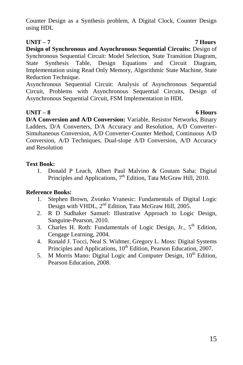Counter Design as a Synthesis problem, A Digital Clock, Counter Design using HDL

### **UNIT – 7 7 Hours**

**Design of Synchronous and Asynchronous Sequential Circuits:** Design of Synchronous Sequential Circuit: Model Selection, State Transition Diagram, State Synthesis Table, Design Equations and Circuit Diagram, Implementation using Read Only Memory, Algorithmic State Machine, State Reduction Technique.

Asynchronous Sequential Circuit: Analysis of Asynchronous Sequential Circuit, Problems with Asynchronous Sequential Circuits, Design of Asynchronous Sequential Circuit, FSM Implementation in HDL

### **UNIT – 8 6 Hours**

**D/A Conversion and A/D Conversion:** Variable, Resistor Networks, Binary Ladders, D/A Converters, D/A Accuracy and Resolution, A/D Converter-Simultaneous Conversion, A/D Converter-Counter Method, Continuous A/D Conversion, A/D Techniques, Dual-slope A/D Conversion, A/D Accuracy and Resolution

### **Text Book:**

1. Donald P Leach, Albert Paul Malvino & Goutam Saha: Digital Principles and Applications,  $7<sup>th</sup>$  Edition, Tata McGraw Hill, 2010.

### **Reference Books:**

- 1. Stephen Brown, Zvonko Vranesic: Fundamentals of Digital Logic Design with VHDL, 2<sup>nd</sup> Edition, Tata McGraw Hill, 2005.
- 2. R D Sudhaker Samuel: Illustrative Approach to Logic Design, Sanguine-Pearson, 2010.
- 3. Charles H. Roth: Fundamentals of Logic Design, Jr.,  $5<sup>th</sup>$  Edition, Cengage Learning, 2004.
- 4. Ronald J. Tocci, Neal S. Widmer, Gregory L. Moss: Digital Systems Principles and Applications, 10<sup>th</sup> Edition, Pearson Education, 2007.
- 5. M Morris Mano: Digital Logic and Computer Design, 10<sup>th</sup> Edition, Pearson Education, 2008.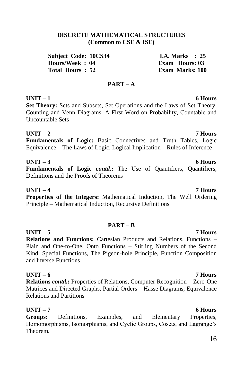### **DISCRETE MATHEMATICAL STRUCTURES (Common to CSE & ISE)**

**Subject Code: 10CS34 I.A. Marks : 25 Hours/Week : 04 Exam Hours: 03 Total Hours : 52 Exam Marks: 100**

### **PART – A**

### **UNIT – 1 6 Hours**

**Set Theory:** Sets and Subsets, Set Operations and the Laws of Set Theory, Counting and Venn Diagrams, A First Word on Probability, Countable and Uncountable Sets

### **UNIT – 2 7 Hours**

**Fundamentals of Logic:** Basic Connectives and Truth Tables, Logic Equivalence – The Laws of Logic, Logical Implication – Rules of Inference

### **UNIT – 3 6 Hours**

**Fundamentals of Logic** *contd***.:** The Use of Quantifiers, Quantifiers, Definitions and the Proofs of Theorems

**UNIT – 4 7 Hours Properties of the Integers:** Mathematical Induction, The Well Ordering Principle – Mathematical Induction, Recursive Definitions

### **PART – B**

**UNIT – 5 7 Hours Relations and Functions:** Cartesian Products and Relations, Functions – Plain and One-to-One, Onto Functions – Stirling Numbers of the Second Kind, Special Functions, The Pigeon-hole Principle, Function Composition and Inverse Functions

### **UNIT – 6 7 Hours**

**Relations** *contd.***:** Properties of Relations, Computer Recognition – Zero-One Matrices and Directed Graphs, Partial Orders – Hasse Diagrams, Equivalence Relations and Partitions

**UNIT – 7 6 Hours Groups:** Definitions, Examples, and Elementary Properties, Homomorphisms, Isomorphisms, and Cyclic Groups, Cosets, and Lagrange"s Theorem.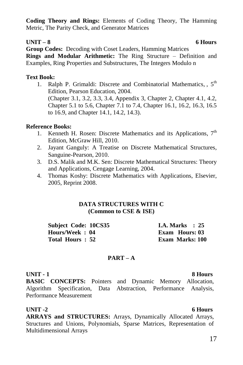**Coding Theory and Rings:** Elements of Coding Theory, The Hamming Metric, The Parity Check, and Generator Matrices

### **UNIT – 8 6 Hours**

**Group Codes:** Decoding with Coset Leaders, Hamming Matrices **Rings and Modular Arithmetic:** The Ring Structure – Definition and Examples, Ring Properties and Substructures, The Integers Modulo n

### **Text Book:**

1. Ralph P. Grimaldi: Discrete and Combinatorial Mathematics, 5<sup>th</sup> Edition, Pearson Education, 2004. (Chapter 3.1, 3.2, 3.3, 3.4, Appendix 3, Chapter 2, Chapter 4.1, 4.2, Chapter 5.1 to 5.6, Chapter 7.1 to 7.4, Chapter 16.1, 16.2, 16.3, 16.5 to 16.9, and Chapter 14.1, 14.2, 14.3).

### **Reference Books:**

- 1. Kenneth H. Rosen: Discrete Mathematics and its Applications,  $7<sup>th</sup>$ Edition, McGraw Hill, 2010.
- 2. Jayant Ganguly: A Treatise on Discrete Mathematical Structures, Sanguine-Pearson, 2010.
- 3. D.S. Malik and M.K. Sen: Discrete Mathematical Structures: Theory and Applications, Cengage Learning, 2004.
- 4. Thomas Koshy: Discrete Mathematics with Applications, Elsevier, 2005, Reprint 2008.

### **DATA STRUCTURES WITH C (Common to CSE & ISE)**

**Subject Code: 10CS35 I.A. Marks : 25 Hours/Week : 04 Exam Hours: 03 Total Hours : 52 Exam Marks: 100**

### **PART – A**

### **UNIT - 1 8 Hours**

**BASIC CONCEPTS:** Pointers and Dynamic Memory Allocation, Algorithm Specification, Data Abstraction, Performance Analysis, Performance Measurement

UNIT -2 6 Hours **ARRAYS and STRUCTURES:** Arrays, Dynamically Allocated Arrays, Structures and Unions, Polynomials, Sparse Matrices, Representation of Multidimensional Arrays

### 17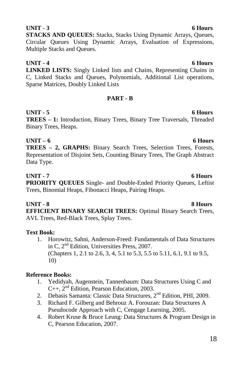### Circular Queues Using Dynamic Arrays, Evaluation of Expressions, Multiple Stacks and Queues.

**UNIT - 4 6 Hours LINKED LISTS:** Singly Linked lists and Chains, Representing Chains in C, Linked Stacks and Queues, Polynomials, Additional List operations, Sparse Matrices, Doubly Linked Lists

**STACKS AND QUEUES:** Stacks, Stacks Using Dynamic Arrays, Queues,

### **PART - B**

### **UNIT - 5 6 Hours**

**TREES – 1:** Introduction, Binary Trees, Binary Tree Traversals, Threaded Binary Trees, Heaps.

### **UNIT – 6 6 Hours**

**TREES – 2, GRAPHS:** Binary Search Trees, Selection Trees, Forests, Representation of Disjoint Sets, Counting Binary Trees, The Graph Abstract Data Type.

### **UNIT - 7 6 Hours**

**PRIORITY QUEUES** Single- and Double-Ended Priority Queues, Leftist Trees, Binomial Heaps, Fibonacci Heaps, Pairing Heaps.

### **UNIT - 8 8 Hours**

**EFFICIENT BINARY SEARCH TREES:** Optimal Binary Search Trees, AVL Trees, Red-Black Trees, Splay Trees.

### **Text Book:**

1. Horowitz, Sahni, Anderson-Freed: Fundamentals of Data Structures in C, 2nd Edition, Universities Press, 2007. (Chapters 1, 2.1 to 2.6, 3, 4, 5.1 to 5.3, 5.5 to 5.11, 6.1, 9.1 to 9.5, 10)

### **Reference Books:**

- 1. Yedidyah, Augenstein, Tannenbaum: Data Structures Using C and  $C_{++}$ ,  $2^{nd}$  Edition, Pearson Education, 2003.
- 2. Debasis Samanta: Classic Data Structures,  $2<sup>nd</sup>$  Edition, PHI, 2009.
- 3. Richard F. Gilberg and Behrouz A. Forouzan: Data Structures A Pseudocode Approach with C, Cengage Learning, 2005.
- 4. Robert Kruse & Bruce Leung: Data Structures & Program Design in C, Pearson Education, 2007.

### **UNIT - 3 6 Hours**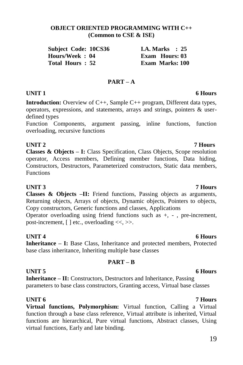### **OBJECT ORIENTED PROGRAMMING WITH C++ (Common to CSE & ISE)**

| <b>Subject Code: 10CS36</b> |  | <b>I.A.</b> Marks $\therefore$ 25 |  |
|-----------------------------|--|-----------------------------------|--|
| Hours/Week : 04             |  | Exam Hours: 03                    |  |
| Total Hours : 52            |  | <b>Exam Marks: 100</b>            |  |

### **PART – A**

### **UNIT 1 6 Hours**

**Introduction:** Overview of C++, Sample C++ program, Different data types, operators, expressions, and statements, arrays and strings, pointers & userdefined types

Function Components, argument passing, inline functions, function overloading, recursive functions

### **UNIT 2 7 Hours**

**Classes & Objects – I:** Class Specification, Class Objects, Scope resolution operator, Access members, Defining member functions, Data hiding, Constructors, Destructors, Parameterized constructors, Static data members, Functions

**Classes & Objects –II:** Friend functions, Passing objects as arguments, Returning objects, Arrays of objects, Dynamic objects, Pointers to objects, Copy constructors, Generic functions and classes, Applications

Operator overloading using friend functions such as +, - , pre-increment, post-increment,  $[ \ ]$  etc., overloading  $\ll$ ,  $\gg$ .

### **UNIT 4** 6 Hours

**Inheritance – I:** Base Class, Inheritance and protected members, Protected base class inheritance, Inheriting multiple base classes

### **PART – B**

### **UNIT 5** 6 Hours

**Inheritance – II:** Constructors, Destructors and Inheritance, Passing parameters to base class constructors, Granting access, Virtual base classes

**UNIT 6 7 Hours Virtual functions, Polymorphism:** Virtual function, Calling a Virtual function through a base class reference, Virtual attribute is inherited, Virtual functions are hierarchical, Pure virtual functions, Abstract classes, Using virtual functions, Early and late binding.

### **UNIT 3 7 Hours**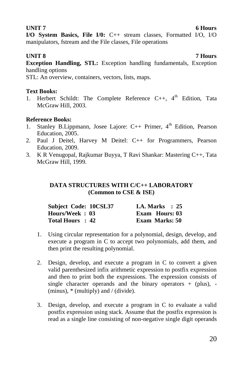### **UNIT 7** 6 Hours

**I/O System Basics, File I/0:** C++ stream classes, Formatted I/O, I/O manipulators, fstream and the File classes, File operations

**UNIT 8 7 Hours Exception Handling, STL:** Exception handling fundamentals, Exception handling options

STL: An overview, containers, vectors, lists, maps.

### **Text Books:**

1. Herbert Schildt: The Complete Reference C++, 4<sup>th</sup> Edition. Tata McGraw Hill, 2003.

### **Reference Books:**

- 1. Stanley B.Lippmann, Josee Lajore:  $C_{++}$  Primer,  $4^{th}$  Edition, Pearson Education, 2005.
- 2. Paul J Deitel, Harvey M Deitel: C++ for Programmers, Pearson Education, 2009.
- 3. K R Venugopal, Rajkumar Buyya, T Ravi Shankar: Mastering C++, Tata McGraw Hill, 1999.

### **DATA STRUCTURES WITH C/C++ LABORATORY (Common to CSE & ISE)**

| Subject Code: 10CSL37 | <b>I.A.</b> Marks $\therefore$ 25 |  |
|-----------------------|-----------------------------------|--|
| Hours/Week: 03        | Exam Hours: 03                    |  |
| Total Hours: 42       | <b>Exam Marks: 50</b>             |  |

- 1. Using circular representation for a polynomial, design, develop, and execute a program in C to accept two polynomials, add them, and then print the resulting polynomial.
- 2. Design, develop, and execute a program in C to convert a given valid parenthesized infix arithmetic expression to postfix expression and then to print both the expressions. The expression consists of single character operands and the binary operators  $+$  (plus), -(minus),  $*$  (multiply) and / (divide).
- 3. Design, develop, and execute a program in C to evaluate a valid postfix expression using stack. Assume that the postfix expression is read as a single line consisting of non-negative single digit operands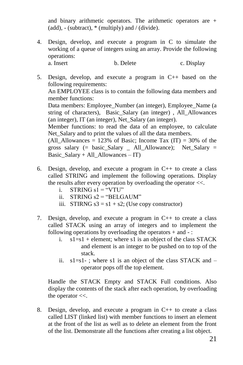and binary arithmetic operators. The arithmetic operators are + (add),  $-$  (subtract),  $*$  (multiply) and / (divide).

- 4. Design, develop, and execute a program in C to simulate the working of a queue of integers using an array. Provide the following operations: a. Insert b. Delete c. Display
- 5. Design, develop, and execute a program in C++ based on the following requirements: An EMPLOYEE class is to contain the following data members and member functions: Data members: Employee\_Number (an integer), Employee\_Name (a string of characters), Basic\_Salary (an integer) , All\_Allowances (an integer), IT (an integer), Net\_Salary (an integer). Member functions: to read the data of an employee, to calculate Net Salary and to print the values of all the data members. (All Allowances = 123% of Basic; Income Tax (IT) = 30% of the gross salary (= basic\_Salary \_ All\_Allowance); Net\_Salary = Basic\_Salary + All\_Allowances – IT)
- 6. Design, develop, and execute a program in C++ to create a class called STRING and implement the following operations. Display the results after every operation by overloading the operator <<.
	- i. STRING  $s1 = "VTU"$
	- ii. STRING  $s2 =$  "BELGAUM"
	- iii. STIRNG  $s3 = s1 + s2$ ; (Use copy constructor)
- 7. Design, develop, and execute a program in C++ to create a class called STACK using an array of integers and to implement the following operations by overloading the operators  $+$  and  $-$ :
	- i.  $s1 = s1 +$  element; where s1 is an object of the class STACK and element is an integer to be pushed on to top of the stack.
	- ii.  $s1 = s1$ -; where s1 is an object of the class STACK and  $$ operator pops off the top element.

Handle the STACK Empty and STACK Full conditions. Also display the contents of the stack after each operation, by overloading the operator  $<<$ .

8. Design, develop, and execute a program in C++ to create a class called LIST (linked list) with member functions to insert an element at the front of the list as well as to delete an element from the front of the list. Demonstrate all the functions after creating a list object.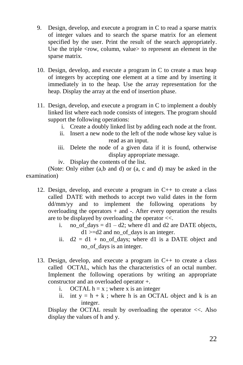- 9. Design, develop, and execute a program in C to read a sparse matrix of integer values and to search the sparse matrix for an element specified by the user. Print the result of the search appropriately. Use the triple <row, column, value> to represent an element in the sparse matrix.
- 10. Design, develop, and execute a program in C to create a max heap of integers by accepting one element at a time and by inserting it immediately in to the heap. Use the array representation for the heap. Display the array at the end of insertion phase.
- 11. Design, develop, and execute a program in C to implement a doubly linked list where each node consists of integers. The program should support the following operations:
	- i. Create a doubly linked list by adding each node at the front.
	- ii. Insert a new node to the left of the node whose key value is read as an input.
	- iii. Delete the node of a given data if it is found, otherwise display appropriate message.
	- iv. Display the contents of the list.

(Note: Only either (a,b and d) or (a, c and d) may be asked in the examination)

- 12. Design, develop, and execute a program in C++ to create a class called DATE with methods to accept two valid dates in the form dd/mm/yy and to implement the following operations by overloading the operators  $+$  and  $-$ . After every operation the results are to be displayed by overloading the operator <<.
	- i. no of days  $= d1 d2$ ; where d1 and d2 are DATE objects,  $d1 > = d2$  and no of days is an integer.
	- ii.  $d2 = d1 + no$  of days; where d1 is a DATE object and no\_of\_days is an integer.
- 13. Design, develop, and execute a program in C++ to create a class called OCTAL, which has the characteristics of an octal number. Implement the following operations by writing an appropriate constructor and an overloaded operator +.
	- i. OCTAL  $h = x$ ; where x is an integer
	- ii. int  $y = h + k$ ; where h is an OCTAL object and k is an integer.

Display the OCTAL result by overloading the operator <<. Also display the values of h and y.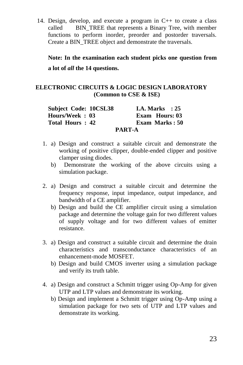14. Design, develop, and execute a program in C++ to create a class called BIN TREE that represents a Binary Tree, with member functions to perform inorder, preorder and postorder traversals. Create a BIN\_TREE object and demonstrate the traversals.

**Note: In the examination each student picks one question from a lot of** *all* **the 14 questions.**

### **ELECTRONIC CIRCUITS & LOGIC DESIGN LABORATORY (Common to CSE & ISE)**

| <b>Subject Code: 10CSL38</b> | <b>I.A. Marks</b> : 25 |
|------------------------------|------------------------|
| Hours/Week: 03               | <b>Exam Hours: 03</b>  |
| Total Hours: 42              | Exam Marks: 50         |
|                              | <b>PART-A</b>          |

- 1. a) Design and construct a suitable circuit and demonstrate the working of positive clipper, double-ended clipper and positive clamper using diodes.
	- b) Demonstrate the working of the above circuits using a simulation package.
- 2. a) Design and construct a suitable circuit and determine the frequency response, input impedance, output impedance, and bandwidth of a CE amplifier.
	- b) Design and build the CE amplifier circuit using a simulation package and determine the voltage gain for two different values of supply voltage and for two different values of emitter resistance.
- 3. a) Design and construct a suitable circuit and determine the drain characteristics and transconductance characteristics of an enhancement-mode MOSFET.
	- b) Design and build CMOS inverter using a simulation package and verify its truth table.
- 4. a) Design and construct a Schmitt trigger using Op-Amp for given UTP and LTP values and demonstrate its working.
	- b) Design and implement a Schmitt trigger using Op-Amp using a simulation package for two sets of UTP and LTP values and demonstrate its working.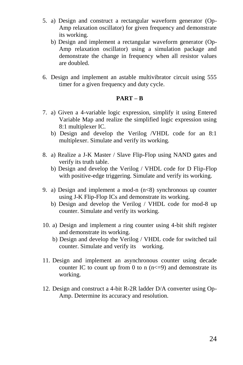- 5. a) Design and construct a rectangular waveform generator (Op-Amp relaxation oscillator) for given frequency and demonstrate its working.
	- b) Design and implement a rectangular waveform generator (Op-Amp relaxation oscillator) using a simulation package and demonstrate the change in frequency when all resistor values are doubled.
- 6. Design and implement an astable multivibrator circuit using 555 timer for a given frequency and duty cycle.

### **PART – B**

- 7. a) Given a 4-variable logic expression, simplify it using Entered Variable Map and realize the simplified logic expression using 8:1 multiplexer IC.
	- b) Design and develop the Verilog /VHDL code for an 8:1 multiplexer. Simulate and verify its working.
- 8. a) Realize a J-K Master / Slave Flip-Flop using NAND gates and verify its truth table.
	- b) Design and develop the Verilog / VHDL code for D Flip-Flop with positive-edge triggering. Simulate and verify its working.
- 9. a) Design and implement a mod-n  $(n<8)$  synchronous up counter using J-K Flip-Flop ICs and demonstrate its working.
	- b) Design and develop the Verilog / VHDL code for mod-8 up counter. Simulate and verify its working.
- 10. a) Design and implement a ring counter using 4-bit shift register and demonstrate its working.
	- b) Design and develop the Verilog / VHDL code for switched tail counter. Simulate and verify its working.
- 11. Design and implement an asynchronous counter using decade counter IC to count up from 0 to n  $(n \leq -9)$  and demonstrate its working.
- 12. Design and construct a 4-bit R-2R ladder D/A converter using Op-Amp. Determine its accuracy and resolution.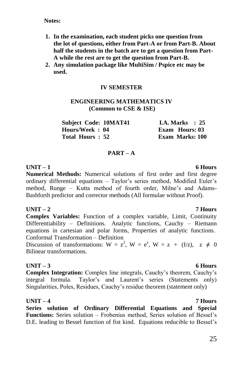**Notes:**

- **1. In the examination, each student picks one question from the lot of questions, either from Part-A or from Part-B. About half the students in the batch are to get a question from Part-A while the rest are to get the question from Part-B.**
- **2. Any simulation package like MultiSim / Pspice etc may be used.**

### **IV SEMESTER**

### **ENGINEERING MATHEMATICS IV (Common to CSE & ISE)**

| <b>Subject Code: 10MAT41</b> | I.A. Marks $\therefore$ 25 |
|------------------------------|----------------------------|
| Hours/Week: 04               | Exam Hours: 03             |
| Total Hours: 52              | <b>Exam Marks: 100</b>     |

### **PART – A**

**UNIT – 1 6 Hours Numerical Methods:** Numerical solutions of first order and first degree ordinary differential equations – Taylor"s series method, Modified Euler"s method, Runge – Kutta method of fourth order, Milne"s and Adams-Bashforth predictor and corrector methods (All formulae without Proof).

### **UNIT – 2 7 Hours**

**Complex Variables:** Function of a complex variable, Limit, Continuity Differentiability – Definitions. Analytic functions, Cauchy – Riemann equations in cartesian and polar forms, Properties of analytic functions. Conformal Transformation – Definition

Discussion of transformations:  $W = z^2$ ,  $W = e^z$ ,  $W = z + (I/z)$ ,  $z \neq 0$ Bilinear transformations.

### **UNIT – 3 6 Hours**

**Complex Integration:** Complex line integrals, Cauchy"s theorem, Cauchy"s integral formula. Taylor's and Laurent's series (Statements only) Singularities, Poles, Residues, Cauchy"s residue theorem (statement only)

### **UNIT – 4 7 Hours**

**Series solution of Ordinary Differential Equations and Special**  Functions: Series solution – Frobenius method, Series solution of Bessel's D.E. leading to Bessel function of fist kind. Equations reducible to Bessel"s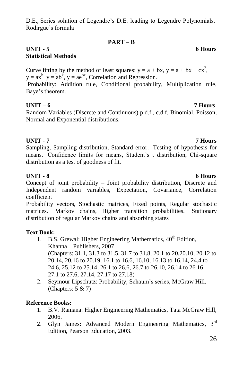D.E., Series solution of Legendre"s D.E. leading to Legendre Polynomials. Rodirgue"s formula

### **PART – B**

### **UNIT - 5 6 Hours Statistical Methods**

Curve fitting by the method of least squares:  $y = a + bx$ ,  $y = a + bx + cx^2$ ,  $y = ax^b$   $y = ab^x$ ,  $y = ae^{bx}$ , Correlation and Regression.

Probability: Addition rule, Conditional probability, Multiplication rule, Baye"s theorem.

### **UNIT – 6 7 Hours**

Random Variables (Discrete and Continuous) p.d.f., c.d.f. Binomial, Poisson, Normal and Exponential distributions.

### **UNIT - 7 7 Hours**

Sampling, Sampling distribution, Standard error. Testing of hypothesis for means. Confidence limits for means, Student's t distribution, Chi-square distribution as a test of goodness of fit.

### **UNIT - 8 6 Hours**

Concept of joint probability – Joint probability distribution, Discrete and Independent random variables, Expectation, Covariance, Correlation coefficient

Probability vectors, Stochastic matrices, Fixed points, Regular stochastic matrices. Markov chains, Higher transition probabilities. Stationary distribution of regular Markov chains and absorbing states

### **Text Book:**

- 1. B.S. Grewal: Higher Engineering Mathematics,  $40^{th}$  Edition, Khanna Publishers, 2007 (Chapters: 31.1, 31.3 to 31.5, 31.7 to 31.8, 20.1 to 20.20.10, 20.12 to 20.14, 20.16 to 20.19, 16.1 to 16.6, 16.10, 16.13 to 16.14, 24.4 to 24.6, 25.12 to 25.14, 26.1 to 26.6, 26.7 to 26.10, 26.14 to 26.16, 27.1 to 27.6, 27.14, 27.17 to 27.18)
- 2. Seymour Lipschutz: Probability, Schaum"s series, McGraw Hill. (Chapters:  $5 & 7$ )

### **Reference Books:**

- 1. B.V. Ramana: Higher Engineering Mathematics, Tata McGraw Hill, 2006.
- 2. Glyn James: Advanced Modern Engineering Mathematics, 3rd Edition, Pearson Education, 2003.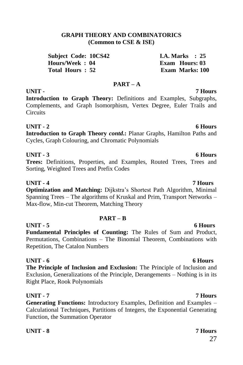# 27

# **UNIT - 7 Hours**

**Introduction to Graph Theory:** Definitions and Examples, Subgraphs, Complements, and Graph Isomorphism, Vertex Degree, Euler Trails and

### **UNIT - 2 6 Hours Introduction to Graph Theory** *contd***.:** Planar Graphs, Hamilton Paths and

# **UNIT - 5 6 Hours**

# **PART – B Fundamental Principles of Counting:** The Rules of Sum and Product,

# Permutations, Combinations – The Binomial Theorem, Combinations with

**UNIT - 6 6 Hours The Principle of Inclusion and Exclusion:** The Principle of Inclusion and Exclusion, Generalizations of the Principle, Derangements – Nothing is in its Right Place, Rook Polynomials

### **UNIT - 7 7 Hours**

**Generating Functions:** Introductory Examples, Definition and Examples – Calculational Techniques, Partitions of Integers, the Exponential Generating Function, the Summation Operator

### **UNIT - 8 7 Hours**

# Repetition, The Catalon Numbers

**UNIT - 3 6 Hours Trees:** Definitions, Properties, and Examples, Routed Trees, Trees and Sorting, Weighted Trees and Prefix Codes

# Cycles, Graph Colouring, and Chromatic Polynomials

**Circuits** 

### **UNIT - 4 7 Hours**

**Optimization and Matching:** Dijkstra"s Shortest Path Algorithm, Minimal Spanning Trees – The algorithms of Kruskal and Prim, Transport Networks – Max-flow, Min-cut Theorem, Matching Theory

### **GRAPH THEORY AND COMBINATORICS (Common to CSE & ISE)**

**PART – A**

**Subject Code: 10CS42 I.A. Marks : 25 Hours/Week : 04 Exam Hours: 03 Total Hours : 52 Exam Marks: 100**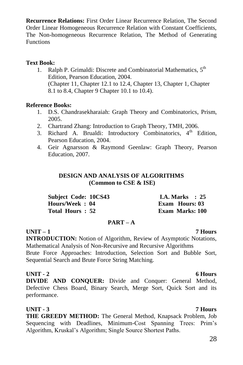**Recurrence Relations:** First Order Linear Recurrence Relation, The Second Order Linear Homogeneous Recurrence Relation with Constant Coefficients, The Non-homogeneous Recurrence Relation, The Method of Generating Functions

### **Text Book:**

1. Ralph P. Grimaldi: Discrete and Combinatorial Mathematics, 5<sup>th</sup> Edition, Pearson Education, 2004. (Chapter 11, Chapter 12.1 to 12.4, Chapter 13, Chapter 1, Chapter 8.1 to 8.4, Chapter 9 Chapter 10.1 to 10.4).

### **Reference Books:**

- 1. D.S. Chandrasekharaiah: Graph Theory and Combinatorics, Prism, 2005.
- 2. Chartrand Zhang: Introduction to Graph Theory, TMH, 2006.
- 3. Richard A. Brualdi: Introductory Combinatorics, 4<sup>th</sup> Edition, Pearson Education, 2004.
- 4. Geir Agnarsson & Raymond Geenlaw: Graph Theory, Pearson Education, 2007.

### **DESIGN AND ANALYSIS OF ALGORITHMS (Common to CSE & ISE)**

| <b>Subject Code: 10CS43</b> | <b>I.A. Marks</b> : 25 |
|-----------------------------|------------------------|
| Hours/Week: 04              | Exam Hours: 03         |
| Total Hours: 52             | <b>Exam Marks: 100</b> |

### **PART – A**

### **UNIT – 1 7 Hours**

**INTRODUCTION:** Notion of Algorithm, Review of Asymptotic Notations, Mathematical Analysis of Non-Recursive and Recursive Algorithms Brute Force Approaches: Introduction, Selection Sort and Bubble Sort, Sequential Search and Brute Force String Matching.

### **UNIT - 2 6 Hours**

**DIVIDE AND CONQUER:** Divide and Conquer: General Method, Defective Chess Board, Binary Search, Merge Sort, Quick Sort and its performance.

### **UNIT - 3 7 Hours THE GREEDY METHOD:** The General Method, Knapsack Problem, Job Sequencing with Deadlines, Minimum-Cost Spanning Trees: Prim"s Algorithm, Kruskal"s Algorithm; Single Source Shortest Paths.

# 28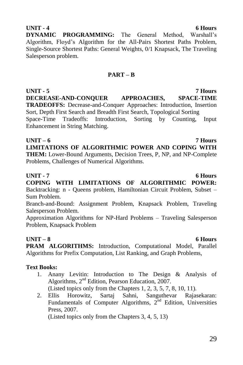### **UNIT - 4 6 Hours**

**DYNAMIC PROGRAMMING:** The General Method, Warshall"s Algorithm, Floyd"s Algorithm for the All-Pairs Shortest Paths Problem, Single-Source Shortest Paths: General Weights, 0/1 Knapsack, The Traveling Salesperson problem.

### **PART – B**

**UNIT - 5 7 Hours DECREASE-AND-CONQUER APPROACHES, SPACE-TIME TRADEOFFS:** Decrease-and-Conquer Approaches: Introduction, Insertion Sort, Depth First Search and Breadth First Search, Topological Sorting Space-Time Tradeoffs: Introduction, Sorting by Counting, Input Enhancement in String Matching.

**UNIT – 6 7 Hours LIMITATIONS OF ALGORITHMIC POWER AND COPING WITH THEM:** Lower-Bound Arguments, Decision Trees, P, NP, and NP-Complete Problems, Challenges of Numerical Algorithms.

### **UNIT - 7 6 Hours**

**COPING WITH LIMITATIONS OF ALGORITHMIC POWER:**  Backtracking: n - Queens problem, Hamiltonian Circuit Problem, Subset – Sum Problem.

Branch-and-Bound: Assignment Problem, Knapsack Problem, Traveling Salesperson Problem.

Approximation Algorithms for NP-Hard Problems – Traveling Salesperson Problem, Knapsack Problem

**UNIT – 8 6 Hours PRAM ALGORITHMS:** Introduction, Computational Model, Parallel Algorithms for Prefix Computation, List Ranking, and Graph Problems,

### **Text Books:**

1. Anany Levitin: Introduction to The Design & Analysis of Algorithms, 2nd Edition, Pearson Education, 2007. (Listed topics only from the Chapters 1, 2, 3, 5, 7, 8, 10, 11).

2. Ellis Horowitz, Sartaj Sahni, Sanguthevar Rajasekaran:

Fundamentals of Computer Algorithms,  $2<sup>nd</sup>$  Edition, Universities Press, 2007.

(Listed topics only from the Chapters 3, 4, 5, 13)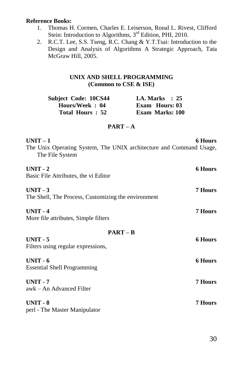### **Reference Books:**

- 1. Thomas H. Cormen, Charles E. Leiserson, Ronal L. Rivest, Clifford Stein: Introduction to Algorithms, 3<sup>rd</sup> Edition, PHI, 2010.
- 2. R.C.T. Lee, S.S. Tseng, R.C. Chang & Y.T.Tsai: Introduction to the Design and Analysis of Algorithms A Strategic Approach, Tata McGraw Hill, 2005.

### **UNIX AND SHELL PROGRAMMING (Common to CSE & ISE)**

| Subject Code: 10CS44 | <b>I.A. Marks</b> : 25 |
|----------------------|------------------------|
| Hours/Week: 04       | <b>Exam</b> Hours: 03  |
| Total Hours: 52      | <b>Exam Marks: 100</b> |

### **PART – A**

| $UNIT-1$<br>The Unix Operating System, The UNIX architecture and Command Usage,<br>The File System | <b>6 Hours</b> |
|----------------------------------------------------------------------------------------------------|----------------|
| $UNIT - 2$<br>Basic File Attributes, the vi Editor                                                 | <b>6 Hours</b> |
| $UNIT - 3$<br>The Shell, The Process, Customizing the environment                                  | 7 Hours        |
| $UNIT - 4$<br>More file attributes, Simple filters                                                 | <b>7 Hours</b> |
| $PART - B$                                                                                         |                |
| $UNIT - 5$<br>Filters using regular expressions,                                                   | <b>6 Hours</b> |
| $UNIT - 6$<br><b>Essential Shell Programming</b>                                                   | <b>6 Hours</b> |
| $UNIT - 7$<br>awk – An Advanced Filter                                                             | 7 Hours        |
| $UNIT - 8$<br>perl - The Master Manipulator                                                        | <b>7 Hours</b> |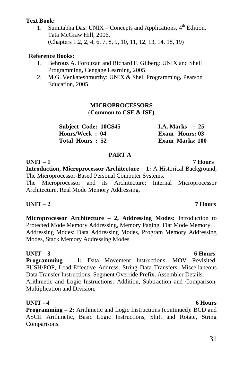### **Text Book:**

1. Sumitabha Das: UNIX – Concepts and Applications,  $4<sup>th</sup>$  Edition, Tata McGraw Hill, 2006. (Chapters 1.2, 2, 4, 6, 7, 8, 9, 10, 11, 12, 13, 14, 18, 19)

### **Reference Books:**

- 1. Behrouz A. Forouzan and Richard F. Gilberg: UNIX and Shell Programming**,** Cengage Learning, 2005.
- 2. M.G. Venkateshmurthy: UNIX & Shell Programming**,** Pearson Education, 2005.

### **MICROPROCESSORS** (**Common to CSE & ISE)**

| <b>Subject Code: 10CS45</b> | I.A. Marks $\therefore$ 25 |
|-----------------------------|----------------------------|
| Hours/Week: 04              | Exam Hours: 03             |
| Total Hours: 52             | <b>Exam Marks: 100</b>     |

### **PART A**

**UNIT – 1 7 Hours Introduction, Microprocessor Architecture – 1:** A Historical Background, The Microprocessor-Based Personal Computer Systems. The Microprocessor and its Architecture: Internal Microprocessor

Architecture, Real Mode Memory Addressing.

### **UNIT – 2 7 Hours**

**Microprocessor Architecture – 2, Addressing Modes:** Introduction to Protected Mode Memory Addressing, Memory Paging, Flat Mode Memory Addressing Modes: Data Addressing Modes, Program Memory Addressing Modes, Stack Memory Addressing Modes

### **UNIT – 3 6 Hours**

**Programming – 1:** Data Movement Instructions: MOV Revisited, PUSH/POP, Load-Effective Address, String Data Transfers, Miscellaneous Data Transfer Instructions, Segment Override Prefix, Assembler Details. Arithmetic and Logic Instructions: Addition, Subtraction and Comparison, Multiplication and Division.

### **UNIT - 4 6 Hours**

**Programming – 2:** Arithmetic and Logic Instructions (continued): BCD and ASCII Arithmetic, Basic Logic Instructions, Shift and Rotate, String Comparisons.

### 31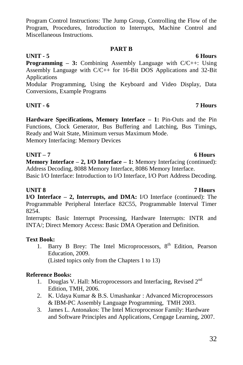32

### Program Control Instructions: The Jump Group, Controlling the Flow of the Program, Procedures, Introduction to Interrupts, Machine Control and Miscellaneous Instructions.

### **PART B**

### **UNIT - 5 6 Hours**

**Programming – 3:** Combining Assembly Language with C/C++: Using Assembly Language with C/C++ for 16-Bit DOS Applications and 32-Bit Applications

Modular Programming, Using the Keyboard and Video Display, Data Conversions, Example Programs

### **UNIT - 6 7 Hours**

**Hardware Specifications, Memory Interface – 1:** Pin-Outs and the Pin Functions, Clock Generator, Bus Buffering and Latching, Bus Timings, Ready and Wait State, Minimum versus Maximum Mode. Memory Interfacing: Memory Devices

### **UNIT – 7 6 Hours**

**Memory Interface – 2, I/O Interface – 1:** Memory Interfacing (continued): Address Decoding, 8088 Memory Interface, 8086 Memory Interface.

Basic I/O Interface: Introduction to I/O Interface, I/O Port Address Decoding.

**UNIT 8 7 Hours I/O Interface – 2, Interrupts, and DMA:** I/O Interface (continued): The Programmable Peripheral Interface 82C55, Programmable Interval Timer 8254.

Interrupts: Basic Interrupt Processing, Hardware Interrupts: INTR and INTA/; Direct Memory Access: Basic DMA Operation and Definition.

### **Text Book:**

1. Barry B Brey: The Intel Microprocessors,  $8<sup>th</sup>$  Edition, Pearson Education, 2009. (Listed topics only from the Chapters 1 to 13)

### **Reference Books:**

- 1. Douglas V. Hall: Microprocessors and Interfacing, Revised 2nd Edition, TMH, 2006.
- 2. K. Udaya Kumar & B.S. Umashankar : Advanced Microprocessors & IBM-PC Assembly Language Programming, TMH 2003.
- 3. James L. Antonakos: The Intel Microprocessor Family: Hardware and Software Principles and Applications, Cengage Learning, 2007.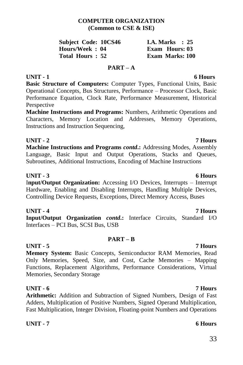### **COMPUTER ORGANIZATION (Common to CSE & ISE)**

| <b>Subject Code: 10CS46</b> |  | I.A. Marks $\therefore$ 25 |  |
|-----------------------------|--|----------------------------|--|
| Hours/Week: 04              |  | Exam Hours: 03             |  |
| Total Hours: 52             |  | <b>Exam Marks: 100</b>     |  |

### **PART – A**

**UNIT - 1 6 Hours**

**Basic Structure of Computers:** Computer Types, Functional Units, Basic Operational Concepts, Bus Structures, Performance – Processor Clock, Basic Performance Equation, Clock Rate, Performance Measurement, Historical Perspective

**Machine Instructions and Programs:** Numbers, Arithmetic Operations and Characters, Memory Location and Addresses, Memory Operations, Instructions and Instruction Sequencing,

### **UNIT - 2 7 Hours**

**Machine Instructions and Programs** *contd***.:** Addressing Modes, Assembly Language, Basic Input and Output Operations, Stacks and Queues, Subroutines, Additional Instructions, Encoding of Machine Instructions

### **UNIT - 3 6 Hours**

I**nput/Output Organization:** Accessing I/O Devices, Interrupts – Interrupt Hardware, Enabling and Disabling Interrupts, Handling Multiple Devices, Controlling Device Requests, Exceptions, Direct Memory Access, Buses

### **UNIT - 4 7 Hours**

**Input/Output Organization** *contd***.:** Interface Circuits, Standard I/O Interfaces – PCI Bus, SCSI Bus, USB

### **PART – B**

### **UNIT - 5 7 Hours**

**Memory System:** Basic Concepts, Semiconductor RAM Memories, Read Only Memories, Speed, Size, and Cost, Cache Memories – Mapping Functions, Replacement Algorithms, Performance Considerations, Virtual Memories, Secondary Storage

### **UNIT - 6 7 Hours**

**Arithmetic:** Addition and Subtraction of Signed Numbers, Design of Fast Adders, Multiplication of Positive Numbers, Signed Operand Multiplication, Fast Multiplication, Integer Division, Floating-point Numbers and Operations

**UNIT - 7 6 Hours**

### 33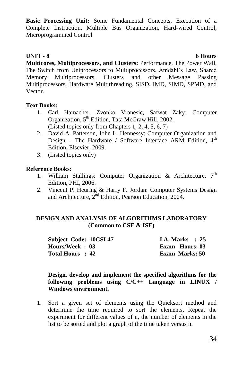**Basic Processing Unit:** Some Fundamental Concepts, Execution of a Complete Instruction, Multiple Bus Organization, Hard-wired Control, Microprogrammed Control

### **UNIT - 8 6 Hours**

**Multicores, Multiprocessors, and Clusters:** Performance, The Power Wall, The Switch from Uniprocessors to Multiprocessors, Amdahl"s Law, Shared Memory Multiprocessors, Clusters and other Message Passing Multiprocessors, Hardware Multithreading, SISD, IMD, SIMD, SPMD, and Vector.

### **Text Books:**

- 1. Carl Hamacher, Zvonko Vranesic, Safwat Zaky: Computer Organization, 5th Edition, Tata McGraw Hill, 2002. (Listed topics only from Chapters 1, 2, 4, 5, 6, 7)
- 2. David A. Patterson, John L. Hennessy: Computer Organization and Design – The Hardware / Software Interface ARM Edition,  $4<sup>th</sup>$ Edition, Elsevier, 2009.
- 3. (Listed topics only)

### **Reference Books:**

- 1. William Stallings: Computer Organization & Architecture,  $7<sup>th</sup>$ Edition, PHI, 2006.
- 2. Vincent P. Heuring & Harry F. Jordan: Computer Systems Design and Architecture, 2<sup>nd</sup> Edition, Pearson Education, 2004.

### **DESIGN AND ANALYSIS OF ALGORITHMS LABORATORY (Common to CSE & ISE)**

| Subject Code: 10CSL47 | I.A. Marks $\therefore$ 25 |
|-----------------------|----------------------------|
| Hours/Week: 03        | <b>Exam Hours: 03</b>      |
| Total Hours : 42      | <b>Exam Marks: 50</b>      |

### **Design, develop and implement the specified algorithms for the following problems using C/C++ Language in LINUX / Windows environment.**

1. Sort a given set of elements using the Quicksort method and determine the time required to sort the elements. Repeat the experiment for different values of n, the number of elements in the list to be sorted and plot a graph of the time taken versus n.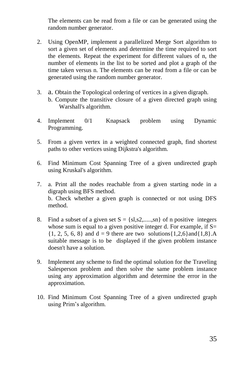The elements can be read from a file or can be generated using the random number generator.

- 2. Using OpenMP, implement a parallelized Merge Sort algorithm to sort a given set of elements and determine the time required to sort the elements. Repeat the experiment for different values of n, the number of elements in the list to be sorted and plot a graph of the time taken versus n. The elements can be read from a file or can be generated using the random number generator.
- 3. a. Obtain the Topological ordering of vertices in a given digraph. b. Compute the transitive closure of a given directed graph using
	- Warshall's algorithm.
- 4. Implement 0/1 Knapsack problem using Dynamic Programming.
- 5. From a given vertex in a weighted connected graph, find shortest paths to other vertices using Dijkstra's algorithm.
- 6. Find Minimum Cost Spanning Tree of a given undirected graph using Kruskal's algorithm.
- 7. a. Print all the nodes reachable from a given starting node in a digraph using BFS method. b. Check whether a given graph is connected or not using DFS method.
- 8. Find a subset of a given set  $S = \{sl, s2, \ldots, sn\}$  of n positive integers whose sum is equal to a given positive integer d. For example, if  $S=$  $\{1, 2, 5, 6, 8\}$  and  $d = 9$  there are two solutions $\{1, 2, 6\}$  and  $\{1, 8\}$ .A suitable message is to be displayed if the given problem instance doesn't have a solution.
- 9. Implement any scheme to find the optimal solution for the Traveling Salesperson problem and then solve the same problem instance using any approximation algorithm and determine the error in the approximation.
- 10. Find Minimum Cost Spanning Tree of a given undirected graph using Prim"s algorithm.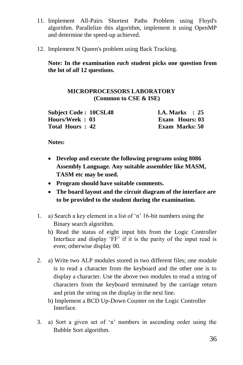- 11. Implement All-Pairs Shortest Paths Problem using Floyd's algorithm. Parallelize this algorithm, implement it using OpenMP and determine the speed-up achieved.
- 12. Implement N Queen's problem using Back Tracking.

**Note: In the examination** *each* **student picks one question from the lot of** *all* **12 questions.**

### **MICROPROCESSORS LABORATORY (Common to CSE & ISE)**

| <b>Subject Code: 10CSL48</b> | I.A. Marks $\therefore$ 25 |
|------------------------------|----------------------------|
| Hours/Week : 03              | Exam Hours: 03             |
| Total Hours : 42             | <b>Exam Marks: 50</b>      |

**Notes:**

- **Develop and execute the following programs using 8086 Assembly Language. Any suitable assembler like MASM, TASM etc may be used.**
- **Program should have suitable comments.**
- **The board layout and the circuit diagram of the interface are to be provided to the student during the examination.**
- 1. a) Search a key element in a list of "n" 16-bit numbers using the Binary search algorithm.
	- b) Read the status of eight input bits from the Logic Controller Interface and display 'FF' if it is the parity of the input read is even; otherwise display 00.
- 2. a) Write two ALP modules stored in two different files; one module is to read a character from the keyboard and the other one is to display a character. Use the above two modules to read a string of characters from the keyboard terminated by the carriage return and print the string on the display in the next line.
	- b) Implement a BCD Up-Down Counter on the Logic Controller Interface.
- 3. a) Sort a given set of "n" numbers in ascending order using the Bubble Sort algorithm.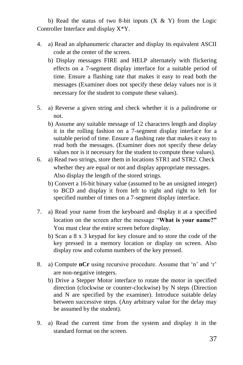b) Read the status of two 8-bit inputs  $(X \& Y)$  from the Logic Controller Interface and display X\*Y.

- 4. a) Read an alphanumeric character and display its equivalent ASCII code at the center of the screen.
	- b) Display messages FIRE and HELP alternately with flickering effects on a 7-segment display interface for a suitable period of time. Ensure a flashing rate that makes it easy to read both the messages (Examiner does not specify these delay values nor is it necessary for the student to compute these values).
- 5. a) Reverse a given string and check whether it is a palindrome or not.
	- b) Assume any suitable message of 12 characters length and display it in the rolling fashion on a 7-segment display interface for a suitable period of time. Ensure a flashing rate that makes it easy to read both the messages. (Examiner does not specify these delay values nor is it necessary for the student to compute these values).
- 6. a) Read two strings, store them in locations STR1 and STR2. Check whether they are equal or not and display appropriate messages. Also display the length of the stored strings.
	- b) Convert a 16-bit binary value (assumed to be an unsigned integer) to BCD and display it from left to right and right to left for specified number of times on a 7-segment display interface.
- 7. a) Read your name from the keyboard and display it at a specified location on the screen after the message "**What is your name?"**  You must clear the entire screen before display.
	- b) Scan a 8 x 3 keypad for key closure and to store the code of the key pressed in a memory location or display on screen. Also display row and column numbers of the key pressed.
- 8. a) Compute **nCr** using recursive procedure. Assume that 'n' and 'r' are non-negative integers.
	- b) Drive a Stepper Motor interface to rotate the motor in specified direction (clockwise or counter-clockwise) by N steps (Direction and N are specified by the examiner). Introduce suitable delay between successive steps. (Any arbitrary value for the delay may be assumed by the student).
- 9. a) Read the current time from the system and display it in the standard format on the screen.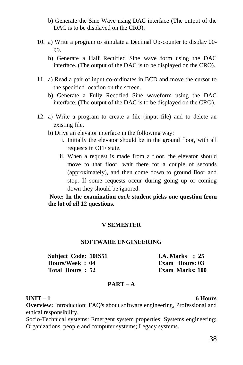- b) Generate the Sine Wave using DAC interface (The output of the DAC is to be displayed on the CRO).
- 10. a) Write a program to simulate a Decimal Up-counter to display 00- 99.
	- b) Generate a Half Rectified Sine wave form using the DAC interface. (The output of the DAC is to be displayed on the CRO).
- 11. a) Read a pair of input co-ordinates in BCD and move the cursor to the specified location on the screen.
	- b) Generate a Fully Rectified Sine waveform using the DAC interface. (The output of the DAC is to be displayed on the CRO).
- 12. a) Write a program to create a file (input file) and to delete an existing file.
	- b) Drive an elevator interface in the following way:
		- i. Initially the elevator should be in the ground floor, with all requests in OFF state.
		- ii. When a request is made from a floor, the elevator should move to that floor, wait there for a couple of seconds (approximately), and then come down to ground floor and stop. If some requests occur during going up or coming down they should be ignored.

# **Note: In the examination** *each* **student picks one question from the lot of** *all* **12 questions.**

## **V SEMESTER**

## **SOFTWARE ENGINEERING**

| Subject Code: 10IS51 |  | <b>I.A. Marks</b> : 25 |  |
|----------------------|--|------------------------|--|
| Hours/Week: 04       |  | <b>Exam Hours: 03</b>  |  |
| Total Hours: 52      |  | <b>Exam Marks: 100</b> |  |

## **PART – A**

## **UNIT – 1 6 Hours**

**Overview:** Introduction: FAO's about software engineering, Professional and ethical responsibility.

Socio-Technical systems: Emergent system properties; Systems engineering; Organizations, people and computer systems; Legacy systems.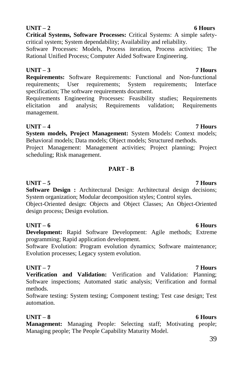**Critical Systems, Software Processes:** Critical Systems: A simple safetycritical system; System dependability; Availability and reliability.

Software Processes: Models, Process iteration, Process activities; The Rational Unified Process; Computer Aided Software Engineering.

# **UNIT – 3 7 Hours**

**Requirements:** Software Requirements: Functional and Non-functional requirements; User requirements; System requirements; Interface specification; The software requirements document.

Requirements Engineering Processes: Feasibility studies; Requirements elicitation and analysis; Requirements validation; Requirements management.

**UNIT – 4 7 Hours System models, Project Management:** System Models: Context models; Behavioral models; Data models; Object models; Structured methods.

Project Management: Management activities; Project planning; Project scheduling; Risk management.

# **PART - B**

# **UNIT – 5 7 Hours**

**Software Design :** Architectural Design: Architectural design decisions; System organization; Modular decomposition styles; Control styles.

Object-Oriented design: Objects and Object Classes; An Object-Oriented design process; Design evolution.

# **UNIT – 6 6 Hours**

**Development:** Rapid Software Development: Agile methods; Extreme programming; Rapid application development.

Software Evolution: Program evolution dynamics; Software maintenance; Evolution processes; Legacy system evolution.

# **UNIT – 7 7 Hours**

**Verification and Validation:** Verification and Validation: Planning; Software inspections; Automated static analysis; Verification and formal methods.

Software testing: System testing; Component testing; Test case design; Test automation.

# **UNIT – 8 6 Hours**

**Management:** Managing People: Selecting staff; Motivating people; Managing people; The People Capability Maturity Model.

# **UNIT – 2 6 Hours**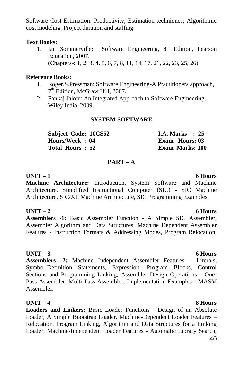Software Cost Estimation: Productivity; Estimation techniques; Algorithmic cost modeling, Project duration and staffing.

## **Text Books:**

1. Ian Sommerville: Software Engineering,  $8<sup>th</sup>$  Edition, Pearson Education, 2007. (Chapters-: 1, 2, 3, 4, 5, 6, 7, 8, 11, 14, 17, 21, 22, 23, 25, 26)

## **Reference Books:**

- 1. Roger.S.Pressman: Software Engineering-A Practitioners approach, 7<sup>th</sup> Edition, McGraw Hill, 2007.
- 2. Pankaj Jalote: An Integrated Approach to Software Engineering, Wiley India, 2009.

# **SYSTEM SOFTWARE**

| Subject Code: 10CS52 |  | <b>I.A. Marks</b> : $25$ |  |
|----------------------|--|--------------------------|--|
| Hours/Week: 04       |  | Exam Hours: 03           |  |
| Total Hours: 52      |  | <b>Exam Marks: 100</b>   |  |

# **PART – A**

# **UNIT – 1 6 Hours**

**Machine Architecture:** Introduction, System Software and Machine Architecture, Simplified Instructional Computer (SIC) - SIC Machine Architecture, SIC/XE Machine Architecture, SIC Programming Examples.

# **UNIT – 2 6 Hours**

**Assemblers -1:** Basic Assembler Function - A Simple SIC Assembler, Assembler Algorithm and Data Structures, Machine Dependent Assembler Features - Instruction Formats & Addressing Modes, Program Relocation.

# **UNIT – 3 6 Hours**

**Assemblers -2:** Machine Independent Assembler Features – Literals, Symbol-Definition Statements, Expression, Program Blocks, Control Sections and Programming Linking, Assembler Design Operations - One-Pass Assembler, Multi-Pass Assembler, Implementation Examples - MASM Assembler.

# **UNIT – 4 8 Hours**

**Loaders and Linkers:** Basic Loader Functions - Design of an Absolute Loader, A Simple Bootstrap Loader, Machine-Dependent Loader Features – Relocation, Program Linking, Algorithm and Data Structures for a Linking Loader; Machine-Independent Loader Features - Automatic Library Search,

## 40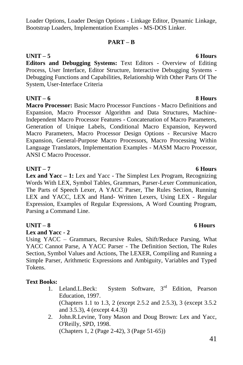## Loader Options, Loader Design Options - Linkage Editor, Dynamic Linkage, Bootstrap Loaders, Implementation Examples - MS-DOS Linker.

# **PART – B**

# **UNIT – 5 6 Hours**

**Editors and Debugging Systems:** Text Editors - Overview of Editing Process, User Interface, Editor Structure, Interactive Debugging Systems - Debugging Functions and Capabilities, Relationship With Other Parts Of The System, User-Interface Criteria

# **UNIT – 6 8 Hours**

**Macro Processor:** Basic Macro Processor Functions - Macro Definitions and Expansion, Macro Processor Algorithm and Data Structures, Machine-Independent Macro Processor Features - Concatenation of Macro Parameters, Generation of Unique Labels, Conditional Macro Expansion, Keyword Macro Parameters, Macro Processor Design Options - Recursive Macro Expansion, General-Purpose Macro Processors, Macro Processing Within Language Translators, Implementation Examples - MASM Macro Processor, ANSI C Macro Processor.

# **UNIT – 7 6 Hours**

**Lex and Yacc – 1:** Lex and Yacc - The Simplest Lex Program, Recognizing Words With LEX, Symbol Tables, Grammars, Parser-Lexer Communication, The Parts of Speech Lexer, A YACC Parser, The Rules Section, Running LEX and YACC, LEX and Hand- Written Lexers, Using LEX - Regular Expression, Examples of Regular Expressions, A Word Counting Program, Parsing a Command Line.

# **UNIT – 8 6 Hours**

## **Lex and Yacc - 2**

Using YACC – Grammars, Recursive Rules, Shift/Reduce Parsing, What YACC Cannot Parse, A YACC Parser - The Definition Section, The Rules Section, Symbol Values and Actions, The LEXER, Compiling and Running a Simple Parser, Arithmetic Expressions and Ambiguity, Variables and Typed Tokens.

# **Text Books:**

- 1. Leland.L.Beck: System Software, 3<sup>rd</sup> Edition, Pearson Education, 1997. (Chapters 1.1 to 1.3, 2 (except 2.5.2 and 2.5.3), 3 (except 3.5.2 and 3.5.3), 4 (except 4.4.3))
- 2. John.R.Levine, Tony Mason and Doug Brown: Lex and Yacc, O'Reilly, SPD, 1998.

(Chapters 1, 2 (Page 2-42), 3 (Page 51-65))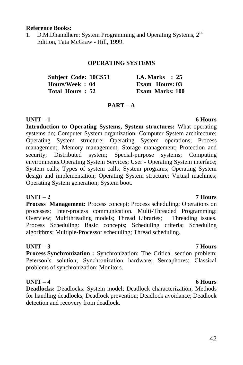## **Reference Books:**

1. D.M.Dhamdhere: System Programming and Operating Systems, 2<sup>nd</sup> Edition, Tata McGraw - Hill, 1999.

## **OPERATING SYSTEMS**

| Subject Code: 10CS53 | <b>I.A. Marks</b> : 25 |
|----------------------|------------------------|
| Hours/Week: 04       | Exam Hours: 03         |
| Total Hours: 52      | Exam Marks: 100        |

## **PART – A**

## **UNIT – 1 6 Hours**

**Introduction to Operating Systems, System structures:** What operating systems do; Computer System organization; Computer System architecture; Operating System structure; Operating System operations; Process management; Memory management; Storage management; Protection and security; Distributed system; Special-purpose systems; Computing environments.Operating System Services; User - Operating System interface; System calls; Types of system calls; System programs; Operating System design and implementation; Operating System structure; Virtual machines; Operating System generation; System boot.

## **UNIT – 2 7 Hours**

**Process Management:** Process concept: Process scheduling: Operations on processes; Inter-process communication. Multi-Threaded Programming: Overview; Multithreading models; Thread Libraries; Threading issues. Process Scheduling: Basic concepts; Scheduling criteria; Scheduling algorithms; Multiple-Processor scheduling; Thread scheduling.

## **UNIT – 3 7 Hours**

**Process Synchronization :** Synchronization: The Critical section problem; Peterson"s solution; Synchronization hardware; Semaphores; Classical problems of synchronization; Monitors.

## **UNIT – 4 6 Hours**

**Deadlocks:** Deadlocks: System model; Deadlock characterization; Methods for handling deadlocks; Deadlock prevention; Deadlock avoidance; Deadlock detection and recovery from deadlock.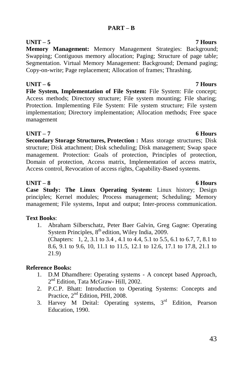# **PART – B**

**Memory Management:** Memory Management Strategies: Background; Swapping; Contiguous memory allocation; Paging; Structure of page table; Segmentation. Virtual Memory Management: Background; Demand paging; Copy-on-write; Page replacement; Allocation of frames; Thrashing.

**UNIT – 6 7 Hours File System, Implementation of File System:** File System: File concept; Access methods; Directory structure; File system mounting; File sharing; Protection. Implementing File System: File system structure; File system implementation; Directory implementation; Allocation methods; Free space management

# **UNIT – 7 6 Hours**

**Secondary Storage Structures, Protection :** Mass storage structures; Disk structure; Disk attachment; Disk scheduling; Disk management; Swap space management. Protection: Goals of protection, Principles of protection, Domain of protection, Access matrix, Implementation of access matrix, Access control, Revocation of access rights, Capability-Based systems.

# **UNIT – 8 6 Hours**

**Case Study: The Linux Operating System:** Linux history; Design principles; Kernel modules; Process management; Scheduling; Memory management; File systems, Input and output; Inter-process communication.

# **Text Books**:

1. Abraham Silberschatz, Peter Baer Galvin, Greg Gagne: Operating System Principles, 8<sup>th</sup> edition, Wiley India, 2009. (Chapters: 1, 2, 3.1 to 3.4 , 4.1 to 4.4, 5.1 to 5.5, 6.1 to 6.7, 7, 8.1 to 8.6, 9.1 to 9.6, 10, 11.1 to 11.5, 12.1 to 12.6, 17.1 to 17.8, 21.1 to 21.9)

# **Reference Books:**

- 1. D.M Dhamdhere: Operating systems A concept based Approach, 2<sup>nd</sup> Edition, Tata McGraw- Hill, 2002.
- 2. P.C.P. Bhatt: Introduction to Operating Systems: Concepts and Practice,  $2<sup>nd</sup>$  Edition, PHI, 2008.
- 3. Harvey M Deital: Operating systems,  $3<sup>rd</sup>$  Edition, Pearson Education, 1990.

# **UNIT – 5 7 Hours**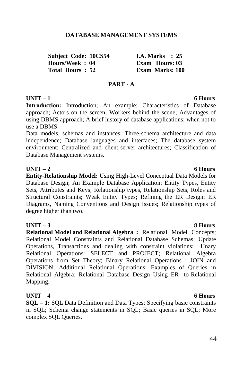## **DATABASE MANAGEMENT SYSTEMS**

| <b>Subject Code: 10CS54</b> | <b>I.A. Marks</b> : 25 |
|-----------------------------|------------------------|
| Hours/Week: 04              | Exam Hours: 03         |
| Total Hours: 52             | <b>Exam Marks: 100</b> |

## **PART - A**

# **UNIT – 1 6 Hours**

**Introduction:** Introduction; An example; Characteristics of Database approach; Actors on the screen; Workers behind the scene; Advantages of using DBMS approach; A brief history of database applications; when not to use a DBMS.

Data models, schemas and instances; Three-schema architecture and data independence; Database languages and interfaces; The database system environment; Centralized and client-server architectures; Classification of Database Management systems.

## **UNIT – 2 6 Hours**

**Entity-Relationship Model:** Using High-Level Conceptual Data Models for Database Design; An Example Database Application; Entity Types, Entity Sets, Attributes and Keys; Relationship types, Relationship Sets, Roles and Structural Constraints; Weak Entity Types; Refining the ER Design; ER Diagrams, Naming Conventions and Design Issues; Relationship types of degree higher than two.

## **UNIT – 3 8 Hours**

**Relational Model and Relational Algebra :** Relational Model Concepts; Relational Model Constraints and Relational Database Schemas; Update Operations, Transactions and dealing with constraint violations; Unary Relational Operations: SELECT and PROJECT; Relational Algebra Operations from Set Theory; Binary Relational Operations : JOIN and DIVISION; Additional Relational Operations; Examples of Queries in Relational Algebra; Relational Database Design Using ER- to-Relational Mapping.

## **UNIT – 4 6 Hours**

**SQL – 1:** SQL Data Definition and Data Types; Specifying basic constraints in SQL; Schema change statements in SQL; Basic queries in SQL; More complex SQL Queries.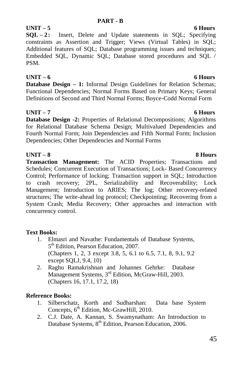# **UNIT – 5 6 Hours**

**SQL – 2:** Insert, Delete and Update statements in SQL; Specifying constraints as Assertion and Trigger; Views (Virtual Tables) in SQL; Additional features of SQL; Database programming issues and techniques; Embedded SQL, Dynamic SQL; Database stored procedures and SQL / PSM.

# **UNIT – 6 6 Hours**

**Database Design – 1:** Informal Design Guidelines for Relation Schemas; Functional Dependencies; Normal Forms Based on Primary Keys; General Definitions of Second and Third Normal Forms; Boyce-Codd Normal Form

# **UNIT – 7 6 Hours**

**Database Design -2:** Properties of Relational Decompositions; Algorithms for Relational Database Schema Design; Multivalued Dependencies and Fourth Normal Form; Join Dependencies and Fifth Normal Form; Inclusion Dependencies; Other Dependencies and Normal Forms

**UNIT – 8 8 Hours Transaction Management:** The ACID Properties; Transactions and Schedules; Concurrent Execution of Transactions; Lock- Based Concurrency Control; Performance of locking; Transaction support in SQL; Introduction to crash recovery; 2PL, Serializability and Recoverability; Lock Management; Introduction to ARIES; The log; Other recovery-related structures; The write-ahead log protocol; Checkpointing; Recovering from a System Crash; Media Recovery; Other approaches and interaction with concurrency control.

# **Text Books:**

- 1. Elmasri and Navathe: Fundamentals of Database Systems, 5<sup>th</sup> Edition, Pearson Education, 2007. (Chapters 1, 2, 3 except 3.8, 5, 6.1 to 6.5, 7.1, 8, 9.1, 9.2 except SQLJ, 9.4, 10)
- 2. Raghu Ramakrishnan and Johannes Gehrke: Database Management Systems, 3<sup>rd</sup> Edition, McGraw-Hill, 2003. (Chapters 16, 17.1, 17.2, 18)

# **Reference Books:**

- 1. Silberschatz, Korth and Sudharshan: Data base System Concepts, 6<sup>th</sup> Edition, Mc-GrawHill, 2010.
- 2. C.J. Date, A. Kannan, S. Swamynatham: An Introduction to Database Systems, 8<sup>th</sup> Edition, Pearson Education, 2006.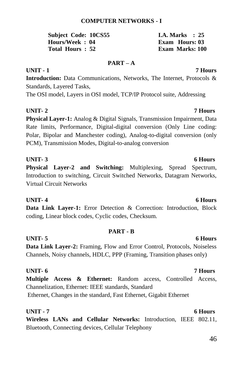# **COMPUTER NETWORKS - I**

| Subject Code: 10CS55 |  | <b>I.A. Marks</b> : 25 |  |
|----------------------|--|------------------------|--|
| Hours/Week: 04       |  | Exam Hours: 03         |  |
| Total Hours: 52      |  | Exam Marks: 100        |  |

## **PART – A**

## **UNIT - 1 7 Hours**

**Introduction:** Data Communications, Networks, The Internet, Protocols & Standards, Layered Tasks,

The OSI model, Layers in OSI model, TCP/IP Protocol suite, Addressing

# **UNIT- 2 7 Hours**

**Physical Layer-1:** Analog & Digital Signals, Transmission Impairment, Data Rate limits, Performance, Digital-digital conversion (Only Line coding: Polar, Bipolar and Manchester coding), Analog-to-digital conversion (only PCM), Transmission Modes, Digital-to-analog conversion

**UNIT- 3 6 Hours Physical Layer-2 and Switching:** Multiplexing, Spread Spectrum, Introduction to switching, Circuit Switched Networks, Datagram Networks, Virtual Circuit Networks

**Data Link Layer-1:** Error Detection & Correction: Introduction, Block coding, Linear block codes, Cyclic codes, Checksum.

## **PART - B UNIT- 5 6 Hours**

# **Data Link Layer-2:** Framing, Flow and Error Control, Protocols, Noiseless Channels, Noisy channels, HDLC, PPP (Framing, Transition phases only)

# **UNIT- 6 7 Hours Multiple Access & Ethernet:** Random access, Controlled Access, Channelization, Ethernet: IEEE standards, Standard Ethernet, Changes in the standard, Fast Ethernet, Gigabit Ethernet

**UNIT - 7 6 Hours Wireless LANs and Cellular Networks:** Introduction, IEEE 802.11, Bluetooth, Connecting devices, Cellular Telephony

## 46

## **UNIT- 4 6 Hours**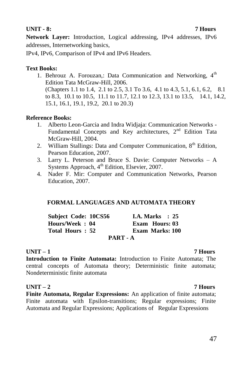# **UNIT - 8: 7 Hours**

**Network Layer:** Introduction, Logical addressing, IPv4 addresses, IPv6 addresses, Internetworking basics,

IPv4, IPv6, Comparison of IPv4 and IPv6 Headers.

# **Text Books:**

1. Behrouz A. Forouzan,: Data Communication and Networking, 4<sup>th</sup> Edition Tata McGraw-Hill, 2006. (Chapters 1.1 to 1.4, 2.1 to 2.5, 3.1 To 3.6, 4.1 to 4.3, 5.1, 6.1, 6.2, 8.1 to 8.3, 10.1 to 10.5, 11.1 to 11.7, 12.1 to 12.3, 13.1 to 13.5, 14.1, 14.2, 15.1, 16.1, 19.1, 19.2, 20.1 to 20.3)

## **Reference Books:**

- 1. Alberto Leon-Garcia and Indra Widjaja: Communication Networks Fundamental Concepts and Key architectures, 2<sup>nd</sup> Edition Tata McGraw-Hill, 2004.
- 2. William Stallings: Data and Computer Communication,  $8<sup>th</sup>$  Edition, Pearson Education, 2007.
- 3. Larry L. Peterson and Bruce S. Davie: Computer Networks A Systems Approach, 4<sup>th</sup> Edition, Elsevier, 2007.
- 4. Nader F. Mir: Computer and Communication Networks, Pearson Education, 2007.

# **FORMAL LANGUAGES AND AUTOMATA THEORY**

| <b>Subject Code: 10CS56</b> |          | I.A. Marks $\therefore$ 25 |  |
|-----------------------------|----------|----------------------------|--|
| Hours/Week: 04              |          | Exam Hours: 03             |  |
| Total Hours: 52             |          | Exam Marks: 100            |  |
|                             | PART - A |                            |  |

## **UNIT – 1 7 Hours**

**Introduction to Finite Automata:** Introduction to Finite Automata; The central concepts of Automata theory; Deterministic finite automata; Nondeterministic finite automata

## **UNIT – 2 7 Hours**

**Finite Automata, Regular Expressions:** An application of finite automata; Finite automata with Epsilon-transitions; Regular expressions; Finite Automata and Regular Expressions; Applications of Regular Expressions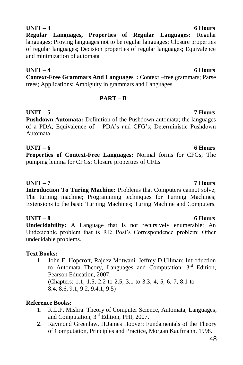**Regular Languages, Properties of Regular Languages:** Regular languages; Proving languages not to be regular languages; Closure properties of regular languages; Decision properties of regular languages; Equivalence and minimization of automata

**UNIT – 4 6 Hours Context-Free Grammars And Languages :** Context –free grammars; Parse trees; Applications; Ambiguity in grammars and Languages .

# **PART – B**

# **UNIT – 5 7 Hours**

**Pushdown Automata:** Definition of the Pushdown automata; the languages of a PDA; Equivalence of PDA"s and CFG"s; Deterministic Pushdown Automata

**UNIT – 6 6 Hours Properties of Context-Free Languages:** Normal forms for CFGs; The pumping lemma for CFGs; Closure properties of CFLs

# **UNIT – 7 7 Hours**

**Introduction To Turing Machine:** Problems that Computers cannot solve; The turning machine; Programming techniques for Turning Machines; Extensions to the basic Turning Machines; Turing Machine and Computers.

# **UNIT – 8 6 Hours**

**Undecidability:** A Language that is not recursively enumerable; An Undecidable problem that is RE; Post"s Correspondence problem; Other undecidable problems.

# **Text Books:**

1. John E. Hopcroft, Rajeev Motwani, Jeffrey D.Ullman: Introduction to Automata Theory, Languages and Computation,  $3<sup>rd</sup>$  Edition, Pearson Education, 2007.

(Chapters: 1.1, 1.5, 2.2 to 2.5, 3.1 to 3.3, 4, 5, 6, 7, 8.1 to 8.4, 8.6, 9.1, 9.2, 9.4.1, 9.5)

# **Reference Books:**

- 1. K.L.P. Mishra: Theory of Computer Science, Automata, Languages, and Computation, 3rd Edition, PHI, 2007.
- 2. Raymond Greenlaw, H.James Hoover: Fundamentals of the Theory of Computation, Principles and Practice, Morgan Kaufmann, 1998.

# **UNIT – 3 6 Hours**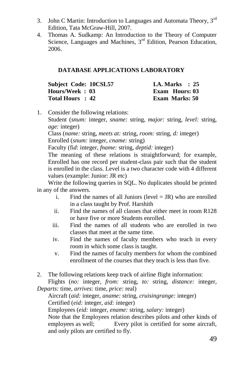- 3. John C Martin: Introduction to Languages and Automata Theory, 3rd Edition, Tata McGraw-Hill, 2007.
- 4. Thomas A. Sudkamp: An Introduction to the Theory of Computer Science, Languages and Machines, 3<sup>rd</sup> Edition, Pearson Education, 2006.

## **DATABASE APPLICATIONS LABORATORY**

| Subject Code: 10CSL57 | <b>I.A. Marks</b> : 25 |
|-----------------------|------------------------|
| Hours/Week: 03        | <b>Exam Hours: 03</b>  |
| Total Hours : 42      | Exam Marks: 50         |

1. Consider the following relations:

Student (*snum:* integer, *sname:* string, *major:* string, *level:* string, *age:* integer)

Class (*name:* string, *meets at:* string, *room:* string, *d:* integer) Enrolled (*snum:* integer, *cname:* string)

Faculty (fi*d*: integer, *fname:* string, *deptid:* integer)

The meaning of these relations is straightforward; for example, Enrolled has one record per student-class pair such that the student is enrolled in the class. Level is a two character code with 4 different values (example: Junior: JR etc)

Write the following queries in SQL. No duplicates should be printed in any of the answers.

- i. Find the names of all Juniors (level  $=$  JR) who are enrolled in a class taught by Prof. Harshith
- ii. Find the names of all classes that either meet in room R128 or have five or more Students enrolled.
- iii. Find the names of all students who are enrolled in two classes that meet at the same time.
- iv. Find the names of faculty members who teach in every room in which some class is taught.
- v. Find the names of faculty members for whom the combined enrollment of the courses that they teach is less than five.
- 2. The following relations keep track of airline flight information:

Flights (*no:* integer, *from:* string, *to:* string, *distance:* integer, *Departs:* time, *arrives:* time, *price:* real)

Aircraft (*aid:* integer, *aname:* string, *cruisingrange:* integer) Certified (*eid:* integer, *aid:* integer)

Employees (*eid:* integer, *ename:* string, *salary:* integer)

Note that the Employees relation describes pilots and other kinds of employees as well; Every pilot is certified for some aircraft, and only pilots are certified to fly.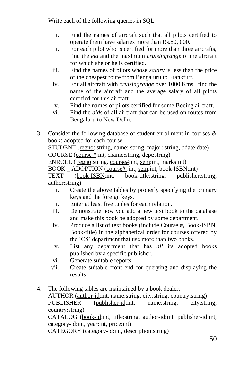Write each of the following queries in SQL.

- i. Find the names of aircraft such that all pilots certified to operate them have salaries more than Rs.80, 000.
- ii. For each pilot who is certified for more than three aircrafts, find the *eid* and the maximum *cruisingrange* of the aircraft for which she or he is certified.
- iii. Find the names of pilots whose *salary* is less than the price of the cheapest route from Bengaluru to Frankfurt.
- iv. For all aircraft with *cruisingrange* over 1000 Kms, .find the name of the aircraft and the average salary of all pilots certified for this aircraft.
- v. Find the names of pilots certified for some Boeing aircraft.
- vi. Find the *aid*s of all aircraft that can be used on routes from Bengaluru to New Delhi.
- 3. Consider the following database of student enrollment in courses  $\&$ books adopted for each course.

STUDENT (regno: string, name: string, major: string, bdate:date) COURSE (course #:int, cname:string, dept:string)

ENROLL ( regno:string, course#:int, sem:int, marks:int)

BOOK \_ ADOPTION (course# :int, sem:int, book-ISBN:int)

TEXT (book-ISBN:int, book-title:string, publisher:string, author:string)

- i. Create the above tables by properly specifying the primary keys and the foreign keys.
- ii. Enter at least five tuples for each relation.
- iii. Demonstrate how you add a new text book to the database and make this book be adopted by some department.
- iv. Produce a list of text books (include Course #, Book-ISBN, Book-title) in the alphabetical order for courses offered by the "CS" department that use more than two books.
- v. List any department that has *all* its adopted books published by a specific publisher.
- vi. Generate suitable reports.
- vii. Create suitable front end for querying and displaying the results.
- 4. The following tables are maintained by a book dealer. AUTHOR (author-id:int, name:string, city:string, country:string) PUBLISHER (publisher-id:int, name:string, city:string, country:string) CATALOG (book-id:int, title:string, author-id:int, publisher-id:int, category-id:int, year:int, price:int) CATEGORY (category-id:int, description:string)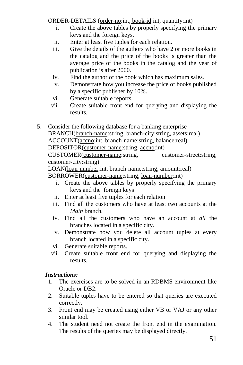ORDER-DETAILS (order-no:int, book-id:int, quantity:int)

- i. Create the above tables by properly specifying the primary keys and the foreign keys.
- ii. Enter at least five tuples for each relation.
- iii. Give the details of the authors who have 2 or more books in the catalog and the price of the books is greater than the average price of the books in the catalog and the year of publication is after 2000.
- iv. Find the author of the book which has maximum sales.
- v. Demonstrate how you increase the price of books published by a specific publisher by 10%.
- vi. Generate suitable reports.
- vii. Create suitable front end for querying and displaying the results.
- 5. Consider the following database for a banking enterprise BRANCH(branch-name:string, branch-city:string, assets:real) ACCOUNT(accno:int, branch-name:string, balance:real) DEPOSITOR(customer-name:string, accno:int) CUSTOMER(customer-name:string, customer-street:string, customer-city:string) LOAN(loan-number:int, branch-name:string, amount:real) BORROWER(customer-name:string, loan-number:int)
	- i. Create the above tables by properly specifying the primary keys and the foreign keys
	- ii. Enter at least five tuples for each relation
	- iii. Find all the customers who have at least two accounts at the *Main* branch.
	- iv. Find all the customers who have an account at *all* the branches located in a specific city.
	- v. Demonstrate how you delete all account tuples at every branch located in a specific city.
	- vi. Generate suitable reports.
	- vii. Create suitable front end for querying and displaying the results.

# *Instructions:*

- 1. The exercises are to be solved in an RDBMS environment like Oracle or DB2.
- 2. Suitable tuples have to be entered so that queries are executed correctly.
- 3. Front end may be created using either VB or VAJ or any other similar tool.
- 4. The student need not create the front end in the examination. The results of the queries may be displayed directly.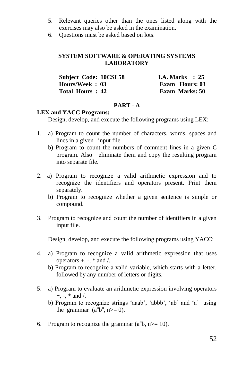- 5. Relevant queries other than the ones listed along with the exercises may also be asked in the examination.
- 6. Questions must be asked based on lots.

# **SYSTEM SOFTWARE & OPERATING SYSTEMS LABORATORY**

| Subject Code: 10CSL58 | <b>I.A. Marks</b> : 25 |
|-----------------------|------------------------|
| Hours/Week: 03        | Exam Hours: 03         |
| Total Hours: 42       | <b>Exam Marks: 50</b>  |

## **PART - A**

## **LEX and YACC Programs:**

Design, develop, and execute the following programs using LEX:

- 1. a) Program to count the number of characters, words, spaces and lines in a given input file.
	- b) Program to count the numbers of comment lines in a given C program. Also eliminate them and copy the resulting program into separate file.
- 2. a) Program to recognize a valid arithmetic expression and to recognize the identifiers and operators present. Print them separately.
	- b) Program to recognize whether a given sentence is simple or compound.
- 3. Program to recognize and count the number of identifiers in a given input file.

Design, develop, and execute the following programs using YACC:

- 4. a) Program to recognize a valid arithmetic expression that uses operators  $+$ ,  $-$ ,  $*$  and  $/$ .
	- b) Program to recognize a valid variable, which starts with a letter, followed by any number of letters or digits.
- 5. a) Program to evaluate an arithmetic expression involving operators  $+$ ,  $-$ ,  $*$  and  $/$ .
	- b) Program to recognize strings 'aaab', 'abbb', 'ab' and 'a' using the grammar  $(a^n b^n, n>=0)$ .
- 6. Program to recognize the grammar  $(a^n b, n \ge 10)$ .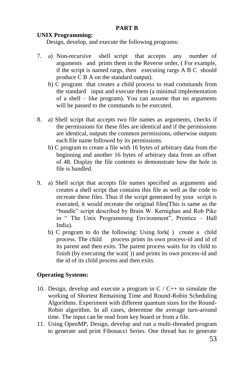## **PART B**

## **UNIX Programming:**

Design, develop, and execute the following programs:

- 7. a) Non-recursive shell script that accepts any number of arguments and prints them in the Reverse order, ( For example, if the script is named rargs, then executing rargs A B C should produce C B A on the standard output).
	- b) C program that creates a child process to read commands from the standard input and execute them (a minimal implementation of a shell – like program). You can assume that no arguments will be passed to the commands to be executed.
- 8. a) Shell script that accepts two file names as arguments, checks if the permissions for these files are identical and if the permissions are identical, outputs the common permissions, otherwise outputs each file name followed by its permissions.
	- b) C program to create a file with 16 bytes of arbitrary data from the beginning and another 16 bytes of arbitrary data from an offset of 48. Display the file contents to demonstrate how the hole in file is handled.
- 9. a) Shell script that accepts file names specified as arguments and creates a shell script that contains this file as well as the code to recreate these files. Thus if the script generated by your script is executed, it would recreate the original files(This is same as the "bundle" script described by Brain W. Kernighan and Rob Pike in " The Unix Programming Environment", Prentice – Hall India).
	- b) C program to do the following: Using fork( ) create a child process. The child process prints its own process-id and id of its parent and then exits. The parent process waits for its child to finish (by executing the wait( $\bar{ }$ ) and prints its own process-id and the id of its child process and then exits.

## **Operating Systems:**

- 10. Design, develop and execute a program in  $C / C_{++}$  to simulate the working of Shortest Remaining Time and Round-Robin Scheduling Algorithms. Experiment with different quantum sizes for the Round-Robin algorithm. In all cases, determine the average turn-around time. The input can be read from key board or from a file.
- 11. Using OpenMP, Design, develop and run a multi-threaded program to generate and print Fibonacci Series. One thread has to generate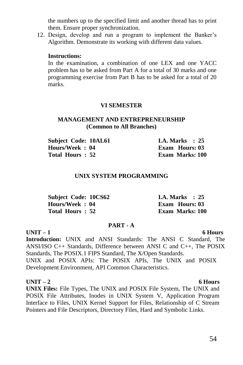the numbers up to the specified limit and another thread has to print them. Ensure proper synchronization.

12. Design, develop and run a program to implement the Banker"s Algorithm. Demonstrate its working with different data values.

## **Instructions:**

In the examination, a combination of one LEX and one YACC problem has to be asked from Part A for a total of 30 marks and one programming exercise from Part B has to be asked for a total of 20 marks.

## **VI SEMESTER**

## **MANAGEMENT AND ENTREPRENEURSHIP (Common to All Branches)**

| <b>Subject Code: 10AL61</b> | <b>I.A. Marks</b> : 25 |
|-----------------------------|------------------------|
| Hours/Week : 04             | Exam Hours: 03         |
| Total Hours : 52            | <b>Exam Marks: 100</b> |

## **UNIX SYSTEM PROGRAMMING**

| <b>Subject Code: 10CS62</b> | I.A. Marks $\therefore$ 25 |
|-----------------------------|----------------------------|
| Hours/Week: 04              | Exam Hours: 03             |
| Total Hours: 52             | <b>Exam Marks: 100</b>     |

## **PART - A**

## **UNIT – 1 6 Hours**

**Introduction:** UNIX and ANSI Standards: The ANSI C Standard, The ANSI/ISO C++ Standards, Difference between ANSI C and C++, The POSIX Standards, The POSIX.1 FIPS Standard, The X/Open Standards. UNIX and POSIX APIs: The POSIX APIs, The UNIX and POSIX Development Environment, API Common Characteristics.

## **UNIT – 2 6 Hours**

**UNIX Files:** File Types, The UNIX and POSIX File System, The UNIX and POSIX File Attributes, Inodes in UNIX System V, Application Program Interface to Files, UNIX Kernel Support for Files, Relationship of C Stream Pointers and File Descriptors, Directory Files, Hard and Symbolic Links.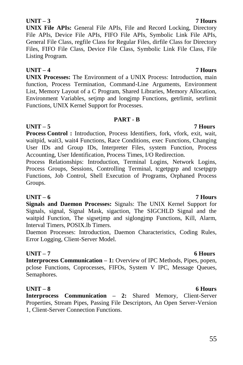# **UNIT – 3 7 Hours**

**UNIX File APIs:** General File APIs, File and Record Locking, Directory File APIs, Device File APIs, FIFO File APIs, Symbolic Link File APIs, General File Class, regfile Class for Regular Files, dirfile Class for Directory Files, FIFO File Class, Device File Class, Symbolic Link File Class, File Listing Program.

# **UNIT – 4 7 Hours**

**UNIX Processes:** The Environment of a UNIX Process: Introduction, main function, Process Termination, Command-Line Arguments, Environment List, Memory Layout of a C Program, Shared Libraries, Memory Allocation, Environment Variables, setjmp and longjmp Functions, getrlimit, setrlimit Functions, UNIX Kernel Support for Processes.

## **PART - B**

# **UNIT – 5 7 Hours**

**Process Control :** Introduction, Process Identifiers, fork, vfork, exit, wait, waitpid, wait3, wait4 Functions, Race Conditions, exec Functions, Changing User IDs and Group IDs, Interpreter Files, system Function, Process Accounting, User Identification, Process Times, I/O Redirection.

Process Relationships: Introduction, Terminal Logins, Network Logins, Process Groups, Sessions, Controlling Terminal, tcgetpgrp and tcsetpgrp Functions, Job Control, Shell Execution of Programs, Orphaned Process Groups.

# **UNIT – 6 7 Hours**

**Signals and Daemon Processes:** Signals: The UNIX Kernel Support for Signals, signal, Signal Mask, sigaction, The SIGCHLD Signal and the waitpid Function, The sigsetjmp and siglongjmp Functions, Kill, Alarm, Interval Timers, POSIX.lb Timers.

Daemon Processes: Introduction, Daemon Characteristics, Coding Rules, Error Logging, Client-Server Model.

# **UNIT – 7 6 Hours**

**Interprocess Communication – 1:** Overview of IPC Methods, Pipes, popen, pclose Functions, Coprocesses, FIFOs, System V IPC, Message Queues, Semaphores.

# **UNIT – 8 6 Hours**

**Interprocess Communication – 2:** Shared Memory, Client-Server Properties, Stream Pipes, Passing File Descriptors, An Open Server-Version 1, Client-Server Connection Functions.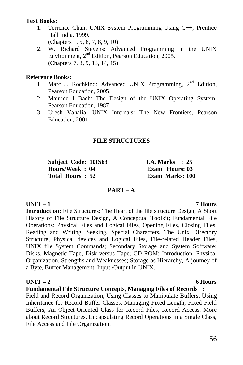## **Text Books:**

- 1. Terrence Chan: UNIX System Programming Using C++, Prentice Hall India, 1999. (Chapters 1, 5, 6, 7, 8, 9, 10)
- 2. W. Richard Stevens: Advanced Programming in the UNIX Environment, 2<sup>nd</sup> Edition, Pearson Education, 2005. (Chapters 7, 8, 9, 13, 14, 15)

## **Reference Books:**

- 1. Marc J. Rochkind: Advanced UNIX Programming, 2<sup>nd</sup> Edition, Pearson Education, 2005.
- 2. Maurice J Bach: The Design of the UNIX Operating System, Pearson Education, 1987.
- 3. Uresh Vahalia: UNIX Internals: The New Frontiers, Pearson Education, 2001.

# **FILE STRUCTURES**

**Subject Code: 10IS63 I.A. Marks : 25 Hours/Week : 04 Exam Hours: 03 Total Hours : 52 Exam Marks: 100**

## **PART – A**

# **UNIT – 1 7 Hours**

**Introduction:** File Structures: The Heart of the file structure Design, A Short History of File Structure Design, A Conceptual Toolkit; Fundamental File Operations: Physical Files and Logical Files, Opening Files, Closing Files, Reading and Writing, Seeking, Special Characters, The Unix Directory Structure, Physical devices and Logical Files, File-related Header Files, UNIX file System Commands; Secondary Storage and System Software: Disks, Magnetic Tape, Disk versus Tape; CD-ROM: Introduction, Physical Organization, Strengths and Weaknesses; Storage as Hierarchy, A journey of a Byte, Buffer Management, Input /Output in UNIX.

# **UNIT – 2 6 Hours**

# **Fundamental File Structure Concepts, Managing Files of Records :**

Field and Record Organization, Using Classes to Manipulate Buffers, Using Inheritance for Record Buffer Classes, Managing Fixed Length, Fixed Field Buffers, An Object-Oriented Class for Record Files, Record Access, More about Record Structures, Encapsulating Record Operations in a Single Class, File Access and File Organization.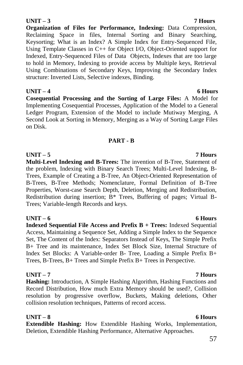# 57

# **UNIT – 3 7 Hours**

**Organization of Files for Performance, Indexing:** Data Compression, Reclaiming Space in files, Internal Sorting and Binary Searching, Keysorting; What is an Index? A Simple Index for Entry-Sequenced File, Using Template Classes in C++ for Object I/O, Object-Oriented support for Indexed, Entry-Sequenced Files of Data Objects, Indexes that are too large to hold in Memory, Indexing to provide access by Multiple keys, Retrieval Using Combinations of Secondary Keys, Improving the Secondary Index structure: Inverted Lists, Selective indexes, Binding.

**UNIT – 4 6 Hours Cosequential Processing and the Sorting of Large Files:** A Model for Implementing Cosequential Processes, Application of the Model to a General Ledger Program, Extension of the Model to include Mutiway Merging, A Second Look at Sorting in Memory, Merging as a Way of Sorting Large Files on Disk.

# **PART - B**

**UNIT – 5 7 Hours Multi-Level Indexing and B-Trees:** The invention of B-Tree, Statement of the problem, Indexing with Binary Search Trees; Multi-Level Indexing, B-Trees, Example of Creating a B-Tree, An Object-Oriented Representation of B-Trees, B-Tree Methods; Nomenclature, Formal Definition of B-Tree Properties, Worst-case Search Depth, Deletion, Merging and Redistribution, Redistribution during insertion; B\* Trees, Buffering of pages; Virtual B-Trees; Variable-length Records and keys.

# **UNIT – 6 6 Hours**

**Indexed Sequential File Access and Prefix B + Trees:** Indexed Sequential Access, Maintaining a Sequence Set, Adding a Simple Index to the Sequence Set, The Content of the Index: Separators Instead of Keys, The Simple Prefix B+ Tree and its maintenance, Index Set Block Size, Internal Structure of Index Set Blocks: A Variable-order B- Tree, Loading a Simple Prefix B+ Trees, B-Trees, B+ Trees and Simple Prefix B+ Trees in Perspective.

# **UNIT – 7 7 Hours**

**Hashing:** Introduction, A Simple Hashing Algorithm, Hashing Functions and Record Distribution, How much Extra Memory should be used?, Collision resolution by progressive overflow, Buckets, Making deletions, Other collision resolution techniques, Patterns of record access.

# **UNIT – 8 6 Hours**

**Extendible Hashing:** How Extendible Hashing Works, Implementation, Deletion, Extendible Hashing Performance, Alternative Approaches.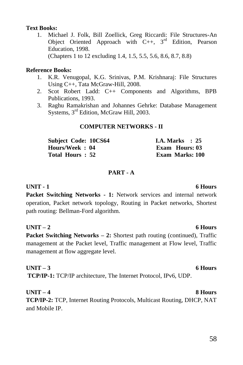## **Text Books:**

1. Michael J. Folk, Bill Zoellick, Greg Riccardi: File Structures-An Object Oriented Approach with  $C_{++}$ ,  $3^{rd}$  Edition, Pearson Education, 1998. (Chapters 1 to 12 excluding 1.4, 1.5, 5.5, 5.6, 8.6, 8.7, 8.8)

## **Reference Books:**

- 1. K.R. Venugopal, K.G. Srinivas, P.M. Krishnaraj: File Structures Using C++, Tata McGraw-Hill, 2008.
- 2. Scot Robert Ladd: C++ Components and Algorithms, BPB Publications, 1993.
- 3. Raghu Ramakrishan and Johannes Gehrke: Database Management Systems, 3<sup>rd</sup> Edition, McGraw Hill, 2003.

## **COMPUTER NETWORKS - II**

| Subject Code: 10CS64 | <b>I.A.</b> Marks $: 25$ |
|----------------------|--------------------------|
| Hours/Week: 04       | <b>Exam Hours: 03</b>    |
| Total Hours: 52      | <b>Exam Marks: 100</b>   |

# **PART - A**

# **UNIT - 1 6 Hours**

**Packet Switching Networks - 1:** Network services and internal network operation, Packet network topology, Routing in Packet networks, Shortest path routing: Bellman-Ford algorithm.

# **UNIT – 2 6 Hours**

**Packet Switching Networks – 2: Shortest path routing (continued), Traffic** management at the Packet level, Traffic management at Flow level, Traffic management at flow aggregate level.

# **UNIT – 3 6 Hours**

**TCP/IP-1:** TCP/IP architecture, The Internet Protocol, IPv6, UDP.

# **UNIT – 4 8 Hours**

**TCP/IP-2:** TCP, Internet Routing Protocols, Multicast Routing, DHCP, NAT and Mobile IP.

# 58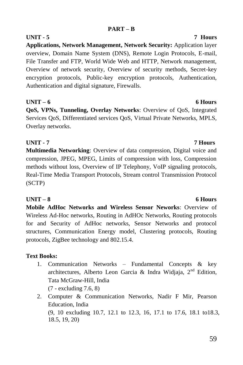# **PART – B**

**UNIT - 5 7 Hours Applications, Network Management, Network Security:** Application layer overview, Domain Name System (DNS), Remote Login Protocols, E-mail, File Transfer and FTP, World Wide Web and HTTP, Network management, Overview of network security, Overview of security methods, Secret-key encryption protocols, Public-key encryption protocols, Authentication, Authentication and digital signature, Firewalls.

# **UNIT – 6 6 Hours**

**QoS, VPNs, Tunneling, Overlay Networks**: Overview of QoS, Integrated Services QoS, Differentiated services QoS, Virtual Private Networks, MPLS, Overlay networks.

# **UNIT - 7 7 Hours**

**Multimedia Networking**: Overview of data compression, Digital voice and compression, JPEG, MPEG, Limits of compression with loss, Compression methods without loss, Overview of IP Telephony, VoIP signaling protocols, Real-Time Media Transport Protocols, Stream control Transmission Protocol (SCTP)

# **UNIT – 8 6 Hours**

**Mobile AdHoc Networks and Wireless Sensor Neworks**: Overview of Wireless Ad-Hoc networks, Routing in AdHOc Networks, Routing protocols for and Security of AdHoc networks, Sensor Networks and protocol structures, Communication Energy model, Clustering protocols, Routing protocols, ZigBee technology and 802.15.4.

# **Text Books:**

- 1. Communication Networks Fundamental Concepts & key architectures, Alberto Leon Garcia & Indra Widiaja,  $2<sup>nd</sup>$  Edition, Tata McGraw-Hill, India (7 - excluding 7.6, 8)
- 2. Computer & Communication Networks, Nadir F Mir, Pearson Education, India (9, 10 excluding 10.7, 12.1 to 12.3, 16, 17.1 to 17.6, 18.1 to18.3, 18.5, 19, 20)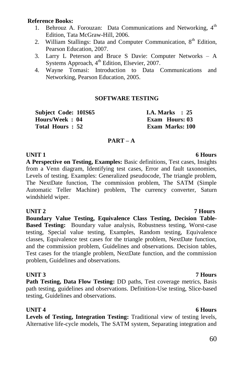## **Reference Books:**

- 1. Behrouz A. Forouzan: Data Communications and Networking. 4<sup>th</sup> Edition, Tata McGraw-Hill, 2006.
- 2. William Stallings: Data and Computer Communication,  $8<sup>th</sup>$  Edition, Pearson Education, 2007.
- 3. Larry L Peterson and Bruce S Davie: Computer Networks A Systems Approach, 4<sup>th</sup> Edition, Elsevier, 2007.
- 4. Wayne Tomasi: Introduction to Data Communications and Networking, Pearson Education, 2005.

## **SOFTWARE TESTING**

**Subject Code: 10IS65 I.A. Marks : 25 Hours/Week : 04 Exam Hours: 03 Total Hours : 52 Exam Marks: 100**

# **PART – A**

**UNIT 1** 6 **Hours A Perspective on Testing, Examples:** Basic definitions, Test cases, Insights from a Venn diagram, Identifying test cases, Error and fault taxonomies, Levels of testing. Examples: Generalized pseudocode, The triangle problem, The NextDate function, The commission problem, The SATM (Simple Automatic Teller Machine) problem, The currency converter, Saturn windshield wiper.

## **UNIT 2 7 Hours**

**Boundary Value Testing, Equivalence Class Testing, Decision Table-Based Testing:** Boundary value analysis, Robustness testing, Worst-case testing, Special value testing, Examples, Random testing, Equivalence classes, Equivalence test cases for the triangle problem, NextDate function, and the commission problem, Guidelines and observations. Decision tables, Test cases for the triangle problem, NextDate function, and the commission problem, Guidelines and observations.

## **UNIT 3 7 Hours**

**Path Testing, Data Flow Testing:** DD paths, Test coverage metrics, Basis path testing, guidelines and observations. Definition-Use testing, Slice-based testing, Guidelines and observations.

**UNIT 4** 6 Hours **Levels of Testing, Integration Testing:** Traditional view of testing levels, Alternative life-cycle models, The SATM system, Separating integration and

# 60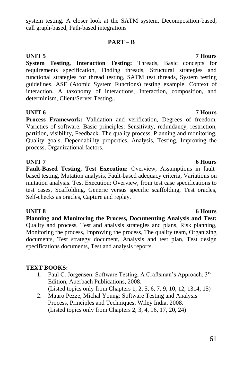system testing. A closer look at the SATM system, Decomposition-based, call graph-based, Path-based integrations

# **PART – B**

**System Testing, Interaction Testing:** Threads, Basic concepts for requirements specification, Finding threads, Structural strategies and functional strategies for thread testing, SATM test threads, System testing guidelines, ASF (Atomic System Functions) testing example. Context of interaction, A taxonomy of interactions, Interaction, composition, and determinism, Client/Server Testing,.

# **UNIT 6 7 Hours**

Process Framework: Validation and verification, Degrees of freedom, Varieties of software. Basic principles: Sensitivity, redundancy, restriction, partition, visibility, Feedback. The quality process, Planning and monitoring, Quality goals, Dependability properties, Analysis, Testing, Improving the process, Organizational factors.

# **UNIT 7** 6 Hours

**Fault-Based Testing, Test Execution:** Overview, Assumptions in faultbased testing, Mutation analysis, Fault-based adequacy criteria, Variations on mutation analysis. Test Execution: Overview, from test case specifications to test cases, Scaffolding, Generic versus specific scaffolding, Test oracles, Self-checks as oracles, Capture and replay.

**Planning and Monitoring the Process, Documenting Analysis and Test:**  Quality and process, Test and analysis strategies and plans, Risk planning, Monitoring the process, Improving the process, The quality team, Organizing documents, Test strategy document, Analysis and test plan, Test design specifications documents, Test and analysis reports.

# **TEXT BOOKS:**

- 1. Paul C. Jorgensen: Software Testing, A Craftsman's Approach, 3<sup>rd</sup> Edition, Auerbach Publications, 2008. (Listed topics only from Chapters 1, 2, 5, 6, 7, 9, 10, 12, 1314, 15)
- 2. Mauro Pezze, Michal Young: Software Testing and Analysis Process, Principles and Techniques, Wiley India, 2008. (Listed topics only from Chapters 2, 3, 4, 16, 17, 20, 24)

## **UNIT 5 7 Hours**

# **UNIT 8** 6 Hours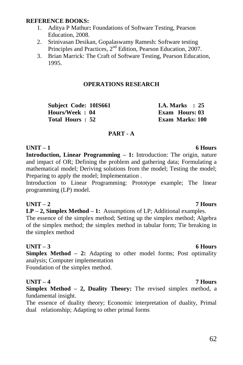## **REFERENCE BOOKS:**

- 1. Aditya P Mathur**:** Foundations of Software Testing, Pearson Education, 2008.
- 2. Srinivasan Desikan, Gopalaswamy Ramesh: Software testing Principles and Practices,  $2<sup>nd</sup>$  Edition, Pearson Education, 2007.
- 3. Brian Marrick: The Craft of Software Testing, Pearson Education, 1995.

## **OPERATIONS RESEARCH**

**Subject Code: 10IS661 I.A. Marks : 25 Hours/Week : 04 Exam Hours: 03 Total Hours : 52 Exam Marks: 100**

## **PART - A**

# **UNIT – 1 6 Hours**

**Introduction, Linear Programming – 1:** Introduction: The origin, nature and impact of OR; Defining the problem and gathering data; Formulating a mathematical model; Deriving solutions from the model; Testing the model; Preparing to apply the model; Implementation .

Introduction to Linear Programming: Prototype example; The linear programming (LP) model.

## **UNIT – 2 7 Hours**

**LP – 2, Simplex Method – 1:** Assumptions of LP; Additional examples.

The essence of the simplex method; Setting up the simplex method; Algebra of the simplex method; the simplex method in tabular form; Tie breaking in the simplex method

## **UNIT – 3 6 Hours**

**Simplex Method – 2:** Adapting to other model forms; Post optimality analysis; Computer implementation

Foundation of the simplex method.

## **UNIT – 4 7 Hours**

**Simplex Method – 2, Duality Theory:** The revised simplex method, a fundamental insight.

The essence of duality theory; Economic interpretation of duality, Primal dual relationship; Adapting to other primal forms

# 62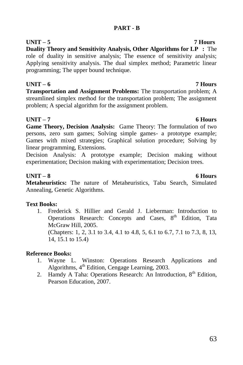# **PART - B**

**UNIT – 5 7 Hours Duality Theory and Sensitivity Analysis, Other Algorithms for LP :** The role of duality in sensitive analysis; The essence of sensitivity analysis; Applying sensitivity analysis. The dual simplex method; Parametric linear programming; The upper bound technique.

# **UNIT – 6 7 Hours**

**Transportation and Assignment Problems:** The transportation problem; A streamlined simplex method for the transportation problem; The assignment problem; A special algorithm for the assignment problem.

# **UNIT – 7 6 Hours**

**Game Theory, Decision Analysis:** Game Theory: The formulation of two persons, zero sum games; Solving simple games- a prototype example; Games with mixed strategies; Graphical solution procedure; Solving by linear programming, Extensions.

Decision Analysis: A prototype example; Decision making without experimentation; Decision making with experimentation; Decision trees.

# **UNIT – 8 6 Hours**

**Metaheuristics:** The nature of Metaheuristics, Tabu Search, Simulated Annealing, Genetic Algorithms.

# **Text Books:**

1. Frederick S. Hillier and Gerald J. Lieberman: Introduction to Operations Research: Concepts and Cases,  $8<sup>th</sup>$  Edition, Tata McGraw Hill, 2005.

(Chapters: 1, 2, 3.1 to 3.4, 4.1 to 4.8, 5, 6.1 to 6.7, 7.1 to 7.3, 8, 13, 14, 15.1 to 15.4)

# **Reference Books:**

- 1. Wayne L. Winston: Operations Research Applications and Algorithms, 4<sup>th</sup> Edition, Cengage Learning, 2003.
- 2. Hamdy A Taha: Operations Research: An Introduction,  $8<sup>th</sup>$  Edition, Pearson Education, 2007.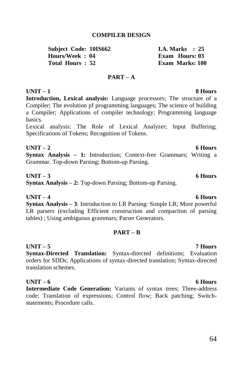## **COMPILER DESIGN**

**Subject Code: 10IS662 I.A. Marks : 25**<br> **Hours/Week** • 04 **Exam Hours** 03  $H_{\text{ouirs}}/ \text{Week} \cdot 04$ **Total Hours : 52 Exam Marks: 100**

## **PART – A**

## **UNIT – 1 8 Hours**

**Introduction, Lexical analysis:** Language processors; The structure of a Compiler; The evolution pf programming languages; The science of building a Compiler; Applications of compiler technology; Programming language basics.

Lexical analysis: The Role of Lexical Analyzer; Input Buffering; Specifications of Tokens; Recognition of Tokens.

## **UNIT – 2 6 Hours Syntax Analysis – 1:** Introduction; Context-free Grammars; Writing a Grammar. Top-down Parsing; Bottom-up Parsing.

## **UNIT – 3 6 Hours**

**Syntax Analysis – 2:** Top-down Parsing; Bottom-up Parsing.

## **UNIT – 4 6 Hours**

**Syntax Analysis – 3**: Introduction to LR Parsing: Simple LR; More powerful LR parsers (excluding Efficient construction and compaction of parsing tables) ; Using ambiguous grammars; Parser Generators.

## **PART – B**

# **UNIT – 5 7 Hours**

**Syntax-Directed Translation:** Syntax-directed definitions; Evaluation orders for SDDs; Applications of syntax-directed translation; Syntax-directed translation schemes.

**UNIT – 6 6 Hours**

**Intermediate Code Generation:** Variants of syntax trees; Three-address code; Translation of expressions; Control flow; Back patching; Switchstatements; Procedure calls.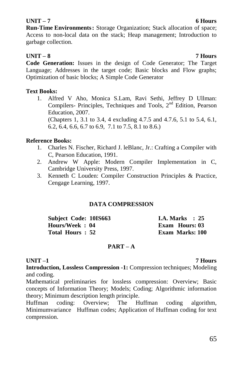## **UNIT – 7 6 Hours**

**Run-Time Environments:** Storage Organization; Stack allocation of space; Access to non-local data on the stack; Heap management; Introduction to garbage collection.

## **UNIT – 8 7 Hours**

**Code Generation:** Issues in the design of Code Generator; The Target Language; Addresses in the target code; Basic blocks and Flow graphs; Optimization of basic blocks; A Simple Code Generator

## **Text Books:**

1. Alfred V Aho, Monica S.Lam, Ravi Sethi, Jeffrey D Ullman: Compilers- Principles, Techniques and Tools, 2<sup>nd</sup> Edition. Pearson Education, 2007. (Chapters 1, 3.1 to 3.4, 4 excluding 4.7.5 and 4.7.6, 5.1 to 5.4, 6.1, 6.2, 6.4, 6.6, 6.7 to 6.9, 7.1 to 7.5, 8.1 to 8.6.)

# **Reference Books:**

- 1. Charles N. Fischer, Richard J. leBlanc, Jr.: Crafting a Compiler with C, Pearson Education, 1991.
- 2. Andrew W Apple: Modern Compiler Implementation in C, Cambridge University Press, 1997.
- 3. Kenneth C Louden: Compiler Construction Principles & Practice, Cengage Learning, 1997.

# **DATA COMPRESSION**

| Subject Code: 10IS663 | <b>I.A. Marks</b> : 25 |
|-----------------------|------------------------|
| Hours/Week: 04        | <b>Exam Hours: 03</b>  |
| Total Hours: 52       | Exam Marks: 100        |

## **PART – A**

**UNIT –1 7 Hours Introduction, Lossless Compression -1:** Compression techniques; Modeling and coding.

Mathematical preliminaries for lossless compression: Overview; Basic concepts of Information Theory; Models; Coding; Algorithmic information theory; Minimum description length principle.

Huffman coding: Overview; The Huffman coding algorithm, Minimumvariance Huffman codes; Application of Huffman coding for text compression.

## 65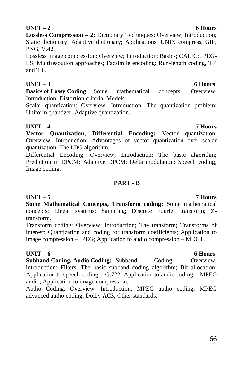**UNIT – 2 6 Hours Lossless Compression – 2:** Dictionary Techniques: Overview; Introduction; Static dictionary; Adaptive dictionary; Applications: UNIX compress, GIF, PNG, V.42.

Lossless image compression: Overview; Introduction; Basics; CALIC; JPEG-LS; Multiresoution approaches; Facsimile encoding: Run-length coding, T.4 and T.6.

# **UNIT – 3 6 Hours**

**Basics of Lossy Coding:** Some mathematical concepts: Overview: Introduction; Distortion criteria; Models.

Scalar quantization: Overview; Introduction; The quantization problem; Uniform quantizer; Adaptive quantization.

**UNIT – 4 7 Hours Vector Quantization, Differential Encoding:** Vector quantization: Overview; Introduction; Advantages of vector quantization over scalar quantization; The LBG algorithm.

Differential Encoding: Overview; Introduction; The basic algorithm; Prediction in DPCM; Adaptive DPCM; Delta modulation; Speech coding; Image coding.

# **PART - B**

## **UNIT – 5 7 Hours Some Mathematical Concepts, Transform coding:** Some mathematical concepts: Linear systems; Sampling; Discrete Fourier transform; Ztransform.

Transform coding: Overview; introduction; The transform; Transforms of interest; Quantization and coding for transform coefficients; Application to image compression – JPEG; Application to audio compression – MDCT.

# **UNIT – 6 6 Hours**

**Subband Coding, Audio Coding:** Subband Coding: Overview; introduction; Filters; The basic subband coding algorithm; Bit allocation; Application to speech coding  $-$  G.722; Application to audio coding  $-$  MPEG audio; Application to image compression.

Audio Coding: Overview; Introduction; MPEG audio coding; MPEG advanced audio coding; Dolby AC3; Other standards.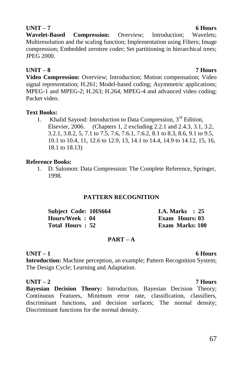**Wavelet-Based Compression:** Overview; Introduction; Wavelets; Multiresolution and the scaling function; Implementation using Filters; Image compression; Embedded zerotree coder; Set partitioning in hierarchical trees; JPEG 2000.

# **UNIT – 8 7 Hours**

**Video Compression:** Overview; Introduction; Motion compensation; Video signal representation; H.261; Model-based coding; Asymmetric applications; MPEG-1 and MPEG-2; H.263; H.264, MPEG-4 and advanced video coding; Packet video.

## **Text Books:**

1. Khalid Sayood: Introduction to Data Compression, 3<sup>rd</sup> Edition, Elsevier, 2006. (Chapters 1, 2 excluding 2.2.1 and 2.4.3, 3.1, 3.2, 3.2.1, 3.8.2, 5, 7.1 to 7.5, 7.6, 7.6.1, 7.6.2, 8.1 to 8.3, 8.6, 9.1 to 9.5, 10.1 to 10.4, 11, 12.6 to 12.9, 13, 14.1 to 14.4, 14.9 to 14.12, 15, 16, 18.1 to 18.13)

## **Reference Books:**

1. D. Salomon: Data Compression: The Complete Reference, Springer, 1998.

# **PATTERN RECOGNITION**

| Subject Code: 10IS664 | <b>I.A. Marks</b> : 25 |  |
|-----------------------|------------------------|--|
| Hours/Week: 04        | <b>Exam Hours: 03</b>  |  |
| Total Hours: 52       | Exam Marks: 100        |  |

# **PART – A**

# **UNIT – 1 6 Hours**

**Introduction:** Machine perception, an example; Pattern Recognition System; The Design Cycle; Learning and Adaptation.

**UNIT – 2 7 Hours Bayesian Decision Theory:** Introduction, Bayesian Decision Theory; Continuous Features, Minimum error rate, classification, classifiers, discriminant functions, and decision surfaces; The normal density; Discriminant functions for the normal density.

## **UNIT – 7 6 Hours**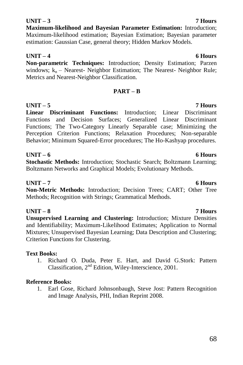# **UNIT – 3 7 Hours**

**Maximum-likelihood and Bayesian Parameter Estimation:** Introduction; Maximum-likelihood estimation; Bayesian Estimation; Bayesian parameter estimation: Gaussian Case, general theory; Hidden Markov Models.

# **UNIT – 4 6 Hours**

**Non-parametric Techniques:** Introduction; Density Estimation; Parzen windows;  $k_n$  – Nearest- Neighbor Estimation; The Nearest- Neighbor Rule; Metrics and Nearest-Neighbor Classification.

# **PART – B**

**UNIT – 5 7 Hours Linear Discriminant Functions:** Introduction; Linear Discriminant Functions and Decision Surfaces; Generalized Linear Discriminant Functions; The Two-Category Linearly Separable case; Minimizing the Perception Criterion Functions; Relaxation Procedures; Non-separable Behavior; Minimum Squared-Error procedures; The Ho-Kashyap procedures.

**UNIT – 6 6 Hours Stochastic Methods:** Introduction; Stochastic Search; Boltzmann Learning; Boltzmann Networks and Graphical Models; Evolutionary Methods.

# **UNIT – 7 6 Hours**

**Non-Metric Methods:** Introduction; Decision Trees; CART; Other Tree Methods; Recognition with Strings; Grammatical Methods.

# **UNIT – 8 7 Hours**

**Unsupervised Learning and Clustering:** Introduction; Mixture Densities and Identifiability; Maximum-Likelihood Estimates; Application to Normal Mixtures; Unsupervised Bayesian Learning; Data Description and Clustering; Criterion Functions for Clustering.

# **Text Books:**

1. Richard O. Duda, Peter E. Hart, and David G.Stork: Pattern Classification, 2nd Edition, Wiley-Interscience, 2001.

# **Reference Books:**

1. Earl Gose, Richard Johnsonbaugh, Steve Jost: Pattern Recognition and Image Analysis, PHI, Indian Reprint 2008.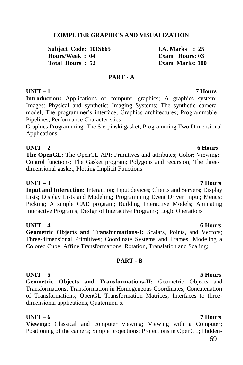## **COMPUTER GRAPHICS AND VISUALIZATION**

**Subject Code: 10IS665 1.A. Marks : 25**<br> **Hours/Week** • 04 **I.A. Fram Hours** 03  $H_{\text{ouirs}}/ \text{Week} \cdot 04$ **Total Hours : 52 Exam Marks: 100**

## **PART - A**

# **UNIT – 1 7 Hours**

**Introduction:** Applications of computer graphics; A graphics system; Images: Physical and synthetic; Imaging Systems; The synthetic camera model; The programmer's interface; Graphics architectures; Programmable Pipelines; Performance Characteristics

Graphics Programming: The Sierpinski gasket; Programming Two Dimensional Applications.

## **UNIT – 2 6 Hours**

**The OpenGL:** The OpenGL API; Primitives and attributes; Color; Viewing; Control functions; The Gasket program; Polygons and recursion; The threedimensional gasket; Plotting Implicit Functions

## **UNIT – 3 7 Hours**

**Input and Interaction:** Interaction; Input devices; Clients and Servers; Display Lists; Display Lists and Modeling; Programming Event Driven Input; Menus; Picking; A simple CAD program; Building Interactive Models; Animating Interactive Programs; Design of Interactive Programs; Logic Operations

**UNIT – 4 6 Hours**

**Geometric Objects and Transformations-I:** Scalars, Points, and Vectors; Three-dimensional Primitives; Coordinate Systems and Frames; Modeling a Colored Cube; Affine Transformations; Rotation, Translation and Scaling;

## **PART - B**

# **UNIT – 5 5 Hours**

**Geometric Objects and Transformations-II:** Geometric Objects and Transformations; Transformation in Homogeneous Coordinates; Concatenation of Transformations; OpenGL Transformation Matrices; Interfaces to threedimensional applications; Quaternion's.

## **UNIT – 6 7 Hours**

**Viewing:** Classical and computer viewing; Viewing with a Computer; Positioning of the camera; Simple projections; Projections in OpenGL; Hidden-

# 69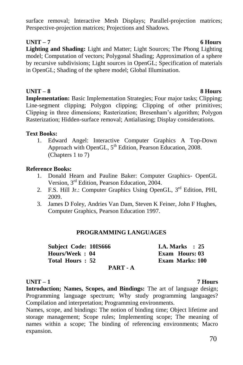surface removal; Interactive Mesh Displays; Parallel-projection matrices; Perspective-projection matrices; Projections and Shadows.

# **UNIT – 7 6 Hours**

**Lighting and Shading:** Light and Matter; Light Sources; The Phong Lighting model; Computation of vectors; Polygonal Shading; Approximation of a sphere by recursive subdivisions; Light sources in OpenGL; Specification of materials in OpenGL; Shading of the sphere model; Global Illumination.

# **UNIT – 8 8 Hours**

**Implementation:** Basic Implementation Strategies; Four major tasks; Clipping; Line-segment clipping; Polygon clipping; Clipping of other primitives; Clipping in three dimensions; Rasterization; Bresenham"s algorithm; Polygon Rasterization; Hidden-surface removal; Antialiasing; Display considerations.

# **Text Books:**

1. Edward Angel: Interactive Computer Graphics A Top-Down Approach with OpenGL,  $5<sup>th</sup> Edition$ , Pearson Education, 2008. (Chapters 1 to 7)

# **Reference Books:**

- 1. Donald Hearn and Pauline Baker: Computer Graphics- OpenGL Version, 3rd Edition, Pearson Education, 2004.
- 2. F.S. Hill Jr.: Computer Graphics Using OpenGL, 3<sup>rd</sup> Edition, PHI, 2009.
- 3. James D Foley, Andries Van Dam, Steven K Feiner, John F Hughes, Computer Graphics, Pearson Education 1997.

## **PROGRAMMING LANGUAGES**

| <b>Subject Code: 10IS666</b> | <b>I.A. Marks</b> : 25 |
|------------------------------|------------------------|
| Hours/Week: 04               | Exam Hours: 03         |
| Total Hours: 52              | <b>Exam Marks: 100</b> |
| PART - A                     |                        |

# **UNIT – 1 7 Hours**

**Introduction; Names, Scopes, and Bindings:** The art of language design; Programming language spectrum; Why study programming languages? Compilation and interpretation; Programming environments.

Names, scope, and bindings: The notion of binding time; Object lifetime and storage management; Scope rules; Implementing scope; The meaning of names within a scope; The binding of referencing environments; Macro expansion.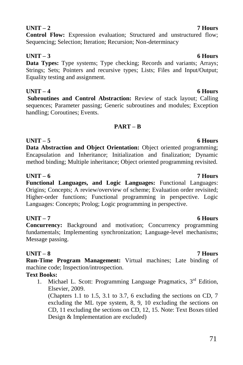# 71

# **UNIT – 2 7 Hours**

# **Control Flow:** Expression evaluation; Structured and unstructured flow; Sequencing; Selection; Iteration; Recursion; Non-determinacy

# **UNIT – 3 6 Hours**

**Data Types:** Type systems: Type checking: Records and variants: Arrays: Strings; Sets; Pointers and recursive types; Lists; Files and Input/Output; Equality testing and assignment.

**UNIT – 4 6 Hours Subroutines and Control Abstraction:** Review of stack layout; Calling sequences; Parameter passing; Generic subroutines and modules; Exception handling; Coroutines; Events.

# **PART – B**

# **UNIT – 5 6 Hours**

**Data Abstraction and Object Orientation:** Object oriented programming; Encapsulation and Inheritance; Initialization and finalization; Dynamic method binding; Multiple inheritance; Object oriented programming revisited.

# **UNIT – 6 7 Hours**

**Functional Languages, and Logic Languages:** Functional Languages: Origins; Concepts; A review/overview of scheme; Evaluation order revisited; Higher-order functions; Functional programming in perspective. Logic Languages: Concepts; Prolog; Logic programming in perspective.

# **UNIT – 7 6 Hours**

**Concurrency:** Background and motivation; Concurrency programming fundamentals; Implementing synchronization; Language-level mechanisms; Message passing.

# **UNIT – 8 7 Hours**

**Run-Time Program Management:** Virtual machines; Late binding of machine code; Inspection/introspection.

# **Text Books:**

1. Michael L. Scott: Programming Language Pragmatics,  $3<sup>rd</sup>$  Edition, Elsevier, 2009.

(Chapters 1.1 to 1.5, 3.1 to 3.7, 6 excluding the sections on CD, 7 excluding the ML type system, 8, 9, 10 excluding the sections on CD, 11 excluding the sections on CD, 12, 15. Note: Text Boxes titled Design & Implementation are excluded)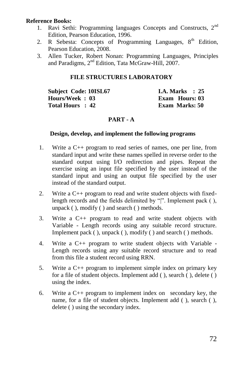## **Reference Books:**

- 1. Ravi Sethi: Programming languages Concepts and Constructs. 2<sup>nd</sup> Edition, Pearson Education, 1996.
- 2. R Sebesta: Concepts of Programming Languages,  $8<sup>th</sup>$  Edition, Pearson Education, 2008.
- 3. Allen Tucker, Robert Nonan: Programming Languages, Principles and Paradigms, 2nd Edition, Tata McGraw-Hill, 2007.

## **FILE STRUCTURES LABORATORY**

**Subject Code: 10ISL67 I.A. Marks : 25**<br> **Hours/Week : 03 Exam Hours: 03 Hours/Week: 03 Total Hours : 42 Exam Marks: 50**

# **PART - A**

## **Design, develop, and implement the following programs**

- 1. Write a C++ program to read series of names, one per line, from standard input and write these names spelled in reverse order to the standard output using I/O redirection and pipes. Repeat the exercise using an input file specified by the user instead of the standard input and using an output file specified by the user instead of the standard output.
- 2. Write a C++ program to read and write student objects with fixedlength records and the fields delimited by "|". Implement pack ( ), unpack ( ), modify ( ) and search ( ) methods.
- 3. Write a C++ program to read and write student objects with Variable - Length records using any suitable record structure. Implement pack ( ), unpack ( ), modify ( ) and search ( ) methods.
- 4. Write a C++ program to write student objects with Variable Length records using any suitable record structure and to read from this file a student record using RRN.
- 5. Write a C++ program to implement simple index on primary key for a file of student objects. Implement add ( ), search ( ), delete ( ) using the index.
- 6. Write a C++ program to implement index on secondary key, the name, for a file of student objects. Implement add ( ), search ( ), delete ( ) using the secondary index.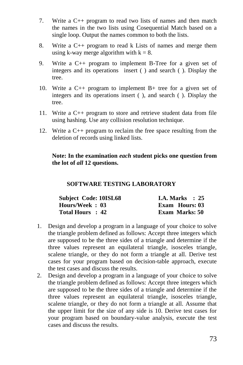- 7. Write a C++ program to read two lists of names and then match the names in the two lists using Cosequential Match based on a single loop. Output the names common to both the lists.
- 8. Write a C++ program to read k Lists of names and merge them using k-way merge algorithm with  $k = 8$ .
- 9. Write a C++ program to implement B-Tree for a given set of integers and its operations insert ( ) and search ( ). Display the tree.
- 10. Write a C++ program to implement B+ tree for a given set of integers and its operations insert ( ), and search ( ). Display the tree.
- 11. Write a C++ program to store and retrieve student data from file using hashing. Use any collision resolution technique.
- 12. Write a C++ program to reclaim the free space resulting from the deletion of records using linked lists.

**Note: In the examination** *each* **student picks one question from the lot of** *all* **12 questions.**

#### **SOFTWARE TESTING LABORATORY**

| <b>Subject Code: 10ISL68</b> | I.A. Marks $\therefore$ 25 |
|------------------------------|----------------------------|
| Hours/Week: 03               | Exam Hours: 03             |
| Total Hours : 42             | Exam Marks: 50             |

- 1. Design and develop a program in a language of your choice to solve the triangle problem defined as follows: Accept three integers which are supposed to be the three sides of a triangle and determine if the three values represent an equilateral triangle, isosceles triangle, scalene triangle, or they do not form a triangle at all. Derive test cases for your program based on decision-table approach, execute the test cases and discuss the results.
- 2. Design and develop a program in a language of your choice to solve the triangle problem defined as follows: Accept three integers which are supposed to be the three sides of a triangle and determine if the three values represent an equilateral triangle, isosceles triangle, scalene triangle, or they do not form a triangle at all. Assume that the upper limit for the size of any side is 10. Derive test cases for your program based on boundary-value analysis, execute the test cases and discuss the results.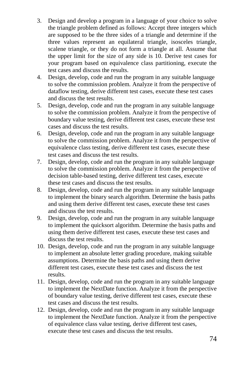- 3. Design and develop a program in a language of your choice to solve the triangle problem defined as follows: Accept three integers which are supposed to be the three sides of a triangle and determine if the three values represent an equilateral triangle, isosceles triangle, scalene triangle, or they do not form a triangle at all. Assume that the upper limit for the size of any side is 10. Derive test cases for your program based on equivalence class partitioning, execute the test cases and discuss the results.
- 4. Design, develop, code and run the program in any suitable language to solve the commission problem. Analyze it from the perspective of dataflow testing, derive different test cases, execute these test cases and discuss the test results.
- 5. Design, develop, code and run the program in any suitable language to solve the commission problem. Analyze it from the perspective of boundary value testing, derive different test cases, execute these test cases and discuss the test results.
- 6. Design, develop, code and run the program in any suitable language to solve the commission problem. Analyze it from the perspective of equivalence class testing, derive different test cases, execute these test cases and discuss the test results.
- 7. Design, develop, code and run the program in any suitable language to solve the commission problem. Analyze it from the perspective of decision table-based testing, derive different test cases, execute these test cases and discuss the test results.
- 8. Design, develop, code and run the program in any suitable language to implement the binary search algorithm. Determine the basis paths and using them derive different test cases, execute these test cases and discuss the test results.
- 9. Design, develop, code and run the program in any suitable language to implement the quicksort algorithm. Determine the basis paths and using them derive different test cases, execute these test cases and discuss the test results.
- 10. Design, develop, code and run the program in any suitable language to implement an absolute letter grading procedure, making suitable assumptions. Determine the basis paths and using them derive different test cases, execute these test cases and discuss the test results.
- 11. Design, develop, code and run the program in any suitable language to implement the NextDate function. Analyze it from the perspective of boundary value testing, derive different test cases, execute these test cases and discuss the test results.
- 12. Design, develop, code and run the program in any suitable language to implement the NextDate function. Analyze it from the perspective of equivalence class value testing, derive different test cases, execute these test cases and discuss the test results.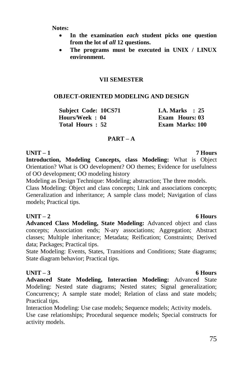**Notes:** 

- **In the examination** *each* **student picks one question from the lot of** *all* **12 questions.**
- **The programs must be executed in UNIX / LINUX environment.**

### **VII SEMESTER**

### **OBJECT-ORIENTED MODELING AND DESIGN**

**Subject Code: 10CS71 I.A. Marks : 25 Hours/Week : 04 Exam Hours: 03 Total Hours : 52 Exam Marks: 100**

#### **PART – A**

#### **UNIT – 1 7 Hours**

**Introduction, Modeling Concepts, class Modeling:** What is Object Orientation? What is OO development? OO themes; Evidence for usefulness of OO development; OO modeling history

Modeling as Design Technique: Modeling; abstraction; The three models.

Class Modeling: Object and class concepts; Link and associations concepts; Generalization and inheritance; A sample class model; Navigation of class models; Practical tips.

### **UNIT – 2 6 Hours**

**Advanced Class Modeling, State Modeling:** Advanced object and class concepts; Association ends; N-ary associations; Aggregation; Abstract classes; Multiple inheritance; Metadata; Reification; Constraints; Derived data; Packages; Practical tips.

State Modeling: Events, States, Transitions and Conditions; State diagrams; State diagram behavior; Practical tips.

**UNIT – 3 6 Hours Advanced State Modeling, Interaction Modeling:** Advanced State Modeling: Nested state diagrams; Nested states; Signal generalization; Concurrency; A sample state model; Relation of class and state models; Practical tips.

Interaction Modeling: Use case models; Sequence models; Activity models. Use case relationships; Procedural sequence models; Special constructs for activity models.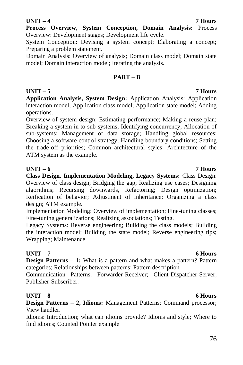## 76

### **UNIT – 4 7 Hours**

**Process Overview, System Conception, Domain Analysis:** Process Overview: Development stages; Development life cycle.

System Conception: Devising a system concept; Elaborating a concept; Preparing a problem statement.

Domain Analysis: Overview of analysis; Domain class model; Domain state model; Domain interaction model; Iterating the analysis.

### **PART – B**

## **UNIT – 5 7 Hours**

**Application Analysis, System Design:** Application Analysis: Application interaction model; Application class model; Application state model; Adding operations.

Overview of system design; Estimating performance; Making a reuse plan; Breaking a system in to sub-systems; Identifying concurrency; Allocation of sub-systems; Management of data storage; Handling global resources; Choosing a software control strategy; Handling boundary conditions; Setting the trade-off priorities; Common architectural styles; Architecture of the ATM system as the example.

### **UNIT – 6 7 Hours**

**Class Design, Implementation Modeling, Legacy Systems:** Class Design: Overview of class design; Bridging the gap; Realizing use cases; Designing algorithms; Recursing downwards, Refactoring; Design optimization; Reification of behavior; Adjustment of inheritance; Organizing a class design; ATM example.

Implementation Modeling: Overview of implementation; Fine-tuning classes; Fine-tuning generalizations; Realizing associations; Testing.

Legacy Systems: Reverse engineering; Building the class models; Building the interaction model; Building the state model; Reverse engineering tips; Wrapping; Maintenance.

## **UNIT – 7 6 Hours**

**Design Patterns – 1:** What is a pattern and what makes a pattern? Pattern categories; Relationships between patterns; Pattern description

Communication Patterns: Forwarder-Receiver; Client-Dispatcher-Server; Publisher-Subscriber.

## **UNIT – 8 6 Hours**

**Design Patterns – 2, Idioms:** Management Patterns: Command processor; View handler.

Idioms: Introduction; what can idioms provide? Idioms and style; Where to find idioms; Counted Pointer example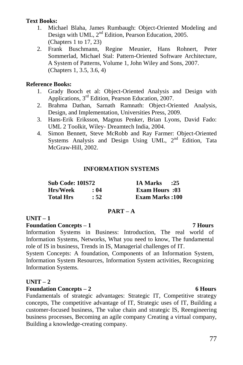### **Text Books:**

- 1. Michael Blaha, James Rumbaugh: Object-Oriented Modeling and Design with UML, 2<sup>nd</sup> Edition, Pearson Education, 2005. (Chapters 1 to 17, 23)
- 2. Frank Buschmann, Regine Meunier, Hans Rohnert, Peter Sommerlad, Michael Stal: Pattern-Oriented Software Architecture, A System of Patterns, Volume 1, John Wiley and Sons, 2007. (Chapters 1, 3.5, 3.6, 4)

### **Reference Books:**

- 1. Grady Booch et al: Object-Oriented Analysis and Design with Applications, 3rd Edition, Pearson Education, 2007.
- 2. Brahma Dathan, Sarnath Ramnath: Object-Oriented Analysis, Design, and Implementation, Universities Press, 2009.
- 3. Hans-Erik Eriksson, Magnus Penker, Brian Lyons, David Fado: UML 2 Toolkit, Wiley- Dreamtech India, 2004.
- 4. Simon Bennett, Steve McRobb and Ray Farmer: Object-Oriented Systems Analysis and Design Using UML, 2<sup>nd</sup> Edition. Tata McGraw-Hill, 2002.

### **INFORMATION SYSTEMS**

| Sub Code: 10IS72 |      | <b>IA Marks</b><br>$\cdot 25$ |
|------------------|------|-------------------------------|
| Hrs/Week         | : 04 | <b>Exam Hours</b> :03         |
| <b>Total Hrs</b> | : 52 | <b>Exam Marks:100</b>         |

### **PART – A**

### **UNIT – 1**

#### **Foundation Concepts – 1 7 Hours**

Information Systems in Business: Introduction, The real world of Information Systems, Networks, What you need to know, The fundamental role of IS in business, Trends in IS, Managerial challenges of IT.

System Concepts: A foundation, Components of an Information System, Information System Resources, Information System activities, Recognizing Information Systems.

### **UNIT – 2**

### **Foundation Concepts – 2 6 Hours**

Fundamentals of strategic advantages: Strategic IT, Competitive strategy concepts, The competitive advantage of IT, Strategic uses of IT, Building a customer-focused business, The value chain and strategic IS, Reengineering business processes, Becoming an agile company Creating a virtual company, Building a knowledge-creating company.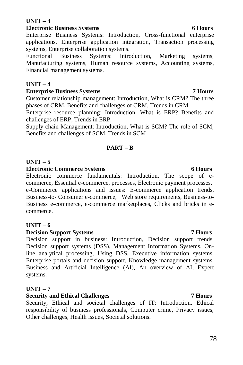## **UNIT – 3**

## **Electronic Business Systems** 6 Hours

Enterprise Business Systems: Introduction, Cross-functional enterprise applications, Enterprise application integration, Transaction processing systems, Enterprise collaboration systems.

Functional Business Systems: Introduction, Marketing systems, Manufacturing systems, Human resource systems, Accounting systems, Financial management systems.

# **UNIT – 4**

## **Enterprise Business Systems 7 Hours**

Customer relationship management: Introduction, What is CRM? The three phases of CRM, Benefits and challenges of CRM, Trends in CRM

Enterprise resource planning: Introduction, What is ERP? Benefits and challenges of ERP, Trends in ERP.

Supply chain Management: Introduction, What is SCM? The role of SCM, Benefits and challenges of SCM, Trends in SCM

## **PART – B**

# **UNIT – 5**

## **Electronic Commerce Systems** 6 Hours

Electronic commerce fundamentals: Introduction, The scope of ecommerce, Essential e-commerce, processes, Electronic payment processes. e-Commerce applications and issues: E-commerce application trends, Business-to- Consumer e-commerce, Web store requirements, Business-to-Business e-commerce, e-commerce marketplaces, Clicks and bricks in ecommerce.

## **UNIT – 6**

## **Decision Support Systems 7 Hours**

Decision support in business: Introduction, Decision support trends, Decision support systems (DSS), Management Information Systems, Online analytical processing, Using DSS, Executive information systems, Enterprise portals and decision support, Knowledge management systems, Business and Artificial Intelligence (AI), An overview of AI, Expert systems.

# **UNIT – 7**

## **Security and Ethical Challenges 7 Hours**

Security, Ethical and societal challenges of IT: Introduction, Ethical responsibility of business professionals, Computer crime, Privacy issues, Other challenges, Health issues, Societal solutions.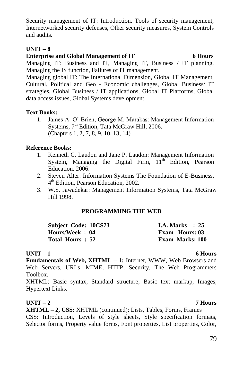Security management of IT: Introduction, Tools of security management, Internetworked security defenses, Other security measures, System Controls and audits.

### **UNIT – 8**

## **Enterprise and Global Management of IT** 6 Hours

Managing IT: Business and IT, Managing IT, Business / IT planning, Managing the IS function, Failures of IT management.

Managing global IT: The International Dimension, Global IT Management, Cultural, Political and Geo - Economic challenges, Global Business/ IT strategies, Global Business / IT applications, Global IT Platforms, Global data access issues, Global Systems development.

### **Text Books:**

1. James A. O" Brien, George M. Marakas: Management Information Systems, 7<sup>th</sup> Edition, Tata McGraw Hill, 2006. (Chapters 1, 2, 7, 8, 9, 10, 13, 14)

## **Reference Books:**

- 1. Kenneth C. Laudon and Jane P. Laudon: Management Information System, Managing the Digital Firm,  $11<sup>th</sup>$  Edition, Pearson Education, 2006.
- 2. Steven Alter: Information Systems The Foundation of E-Business, 4<sup>th</sup> Edition, Pearson Education, 2002.
- 3. W.S. Jawadekar: Management Information Systems, Tata McGraw Hill 1998.

## **PROGRAMMING THE WEB**

| Subject Code: 10CS73 | <b>I.A. Marks</b> : $25$ |  |
|----------------------|--------------------------|--|
| Hours/Week: 04       | Exam Hours: 03           |  |
| Total Hours: 52      | <b>Exam Marks: 100</b>   |  |

### **UNIT – 1 6 Hours**

**Fundamentals of Web, XHTML – 1:** Internet, WWW, Web Browsers and Web Servers, URLs, MIME, HTTP, Security, The Web Programmers Toolbox.

XHTML: Basic syntax, Standard structure, Basic text markup, Images, Hypertext Links.

## **UNIT – 2 7 Hours**

**XHTML – 2, CSS:** XHTML (continued): Lists, Tables, Forms, Frames CSS: Introduction, Levels of style sheets, Style specification formats, Selector forms, Property value forms, Font properties, List properties, Color,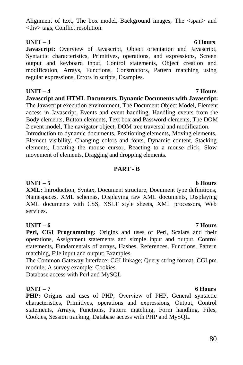### Alignment of text. The box model, Background images, The  $\langle$ span $\rangle$  and <div> tags, Conflict resolution.

## **UNIT – 3 6 Hours**

**Javascript:** Overview of Javascript, Object orientation and Javascript, Syntactic characteristics, Primitives, operations, and expressions, Screen output and keyboard input, Control statements, Object creation and modification, Arrays, Functions, Constructors, Pattern matching using regular expressions, Errors in scripts, Examples.

### **UNIT – 4 7 Hours**

**Javascript and HTML Documents, Dynamic Documents with Javascript:**  The Javascript execution environment, The Document Object Model, Element access in Javascript, Events and event handling, Handling events from the Body elements, Button elements, Text box and Password elements, The DOM 2 event model, The navigator object, DOM tree traversal and modification.

Introduction to dynamic documents, Positioning elements, Moving elements, Element visibility, Changing colors and fonts, Dynamic content, Stacking elements, Locating the mouse cursor, Reacting to a mouse click, Slow movement of elements, Dragging and dropping elements.

### **PART - B**

## **UNIT – 5 6 Hours**

**XML:** Introduction, Syntax, Document structure, Document type definitions, Namespaces, XML schemas, Displaying raw XML documents, Displaying XML documents with CSS, XSLT style sheets, XML processors, Web services.

### **UNIT – 6 7 Hours**

Perl, CGI Programming: Origins and uses of Perl, Scalars and their operations, Assignment statements and simple input and output, Control statements, Fundamentals of arrays, Hashes, References, Functions, Pattern matching, File input and output; Examples.

The Common Gateway Interface; CGI linkage; Query string format; CGI.pm module; A survey example; Cookies.

Database access with Perl and MySQL

## **UNIT – 7 6 Hours**

PHP: Origins and uses of PHP, Overview of PHP, General syntactic characteristics, Primitives, operations and expressions, Output, Control statements, Arrays, Functions, Pattern matching, Form handling, Files, Cookies, Session tracking, Database access with PHP and MySQL.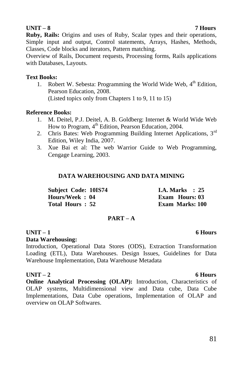### **UNIT – 8 7 Hours**

**Ruby, Rails:** Origins and uses of Ruby, Scalar types and their operations, Simple input and output, Control statements, Arrays, Hashes, Methods, Classes, Code blocks and iterators, Pattern matching.

Overview of Rails, Document requests, Processing forms, Rails applications with Databases, Layouts.

#### **Text Books:**

1. Robert W. Sebesta: Programming the World Wide Web,  $4<sup>th</sup>$  Edition, Pearson Education, 2008. (Listed topics only from Chapters 1 to 9, 11 to 15)

#### **Reference Books:**

- 1. M. Deitel, P.J. Deitel, A. B. Goldberg: Internet & World Wide Web How to Program, 4<sup>th</sup> Edition, Pearson Education, 2004.
- 2. Chris Bates: Web Programming Building Internet Applications, 3<sup>rd</sup> Edition, Wiley India, 2007.
- 3. Xue Bai et al: The web Warrior Guide to Web Programming, Cengage Learning, 2003.

#### **DATA WAREHOUSING AND DATA MINING**

| Subject Code: 10IS74 | I.A. Marks $\therefore$ 25 |
|----------------------|----------------------------|
| Hours/Week: 04       | Exam Hours: 03             |
| Total Hours: 52      | <b>Exam Marks: 100</b>     |

#### **PART – A**

### **UNIT – 1 6 Hours**

#### **Data Warehousing:**

Introduction, Operational Data Stores (ODS), Extraction Transformation Loading (ETL), Data Warehouses. Design Issues, Guidelines for Data Warehouse Implementation, Data Warehouse Metadata

#### UNIT – 2 6 Hours

**Online Analytical Processing (OLAP):** Introduction, Characteristics of OLAP systems, Multidimensional view and Data cube, Data Cube Implementations, Data Cube operations, Implementation of OLAP and overview on OLAP Softwares.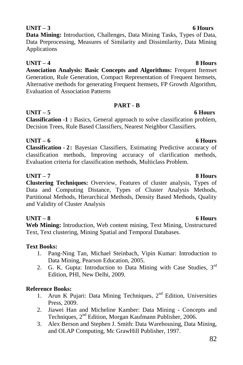# **UNIT – 4 8 Hours**

**Association Analysis: Basic Concepts and Algorithms:** Frequent Itemset Generation, Rule Generation, Compact Representation of Frequent Itemsets, Alternative methods for generating Frequent Itemsets, FP Growth Algorithm, Evaluation of Association Patterns

**UNIT – 3 6 Hours Data Mining:** Introduction, Challenges, Data Mining Tasks, Types of Data, Data Preprocessing, Measures of Similarity and Dissimilarity, Data Mining

### **PART - B**

**UNIT – 5 6 Hours**

Applications

**Classification -1 :** Basics, General approach to solve classification problem, Decision Trees, Rule Based Classifiers, Nearest Neighbor Classifiers.

**UNIT – 6 6 Hours**

**Classification - 2:** Bayesian Classifiers, Estimating Predictive accuracy of classification methods, Improving accuracy of clarification methods, Evaluation criteria for classification methods, Multiclass Problem.

## **UNIT – 7 8 Hours**

**Clustering Techniques:** Overview, Features of cluster analysis, Types of Data and Computing Distance, Types of Cluster Analysis Methods, Partitional Methods, Hierarchical Methods, Density Based Methods, Quality and Validity of Cluster Analysis

## **UNIT – 8 6 Hours**

**Web Mining:** Introduction, Web content mining, Text Mining, Unstructured Text, Text clustering, Mining Spatial and Temporal Databases.

## **Text Books:**

- 1. Pang-Ning Tan, Michael Steinbach, Vipin Kumar: Introduction to Data Mining, Pearson Education, 2005.
- 2. G. K. Gupta: Introduction to Data Mining with Case Studies, 3rd Edition, PHI, New Delhi, 2009.

## **Reference Books:**

- 1. Arun K Pujari: Data Mining Techniques,  $2<sup>nd</sup>$  Edition, Universities Press, 2009.
- 2. Jiawei Han and Micheline Kamber: Data Mining Concepts and Techniques, 2nd Edition, Morgan Kaufmann Publisher, 2006.
- 3. Alex Berson and Stephen J. Smith: Data Warehousing, Data Mining, and OLAP Computing, Mc GrawHill Publisher, 1997.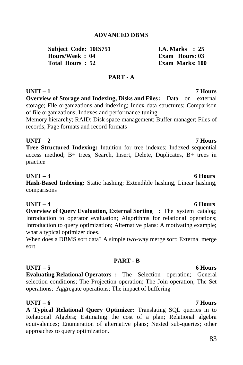### **ADVANCED DBMS**

**Subject Code: 10IS751 I.A. Marks : 25**  $H_{\text{ouirs}}/ \text{Week} \cdot 04$ **Total Hours : 52 Exam Marks: 100**

#### **PART - A**

**Overview of Storage and Indexing, Disks and Files:** Data on external storage; File organizations and indexing; Index data structures; Comparison of file organizations; Indexes and performance tuning

Memory hierarchy; RAID; Disk space management; Buffer manager; Files of records; Page formats and record formats

### **UNIT – 2 7 Hours**

**Tree Structured Indexing:** Intuition for tree indexes; Indexed sequential access method; B+ trees, Search, Insert, Delete, Duplicates, B+ trees in practice

#### **UNIT – 3 6 Hours**

**Hash-Based Indexing:** Static hashing; Extendible hashing, Linear hashing, comparisons

### **UNIT – 4 6 Hours**

**Overview of Query Evaluation, External Sorting :** The system catalog; Introduction to operator evaluation; Algorithms for relational operations; Introduction to query optimization; Alternative plans: A motivating example; what a typical optimizer does.

When does a DBMS sort data? A simple two-way merge sort; External merge sort

#### **PART - B**

#### **UNIT – 5 6 Hours**

**Evaluating Relational Operators :** The Selection operation; General selection conditions; The Projection operation; The Join operation; The Set operations; Aggregate operations; The impact of buffering

## **UNIT – 6 7 Hours**

**A Typical Relational Query Optimizer:** Translating SQL queries in to Relational Algebra; Estimating the cost of a plan; Relational algebra equivalences; Enumeration of alternative plans; Nested sub-queries; other approaches to query optimization.

## **UNIT – 1 7 Hours**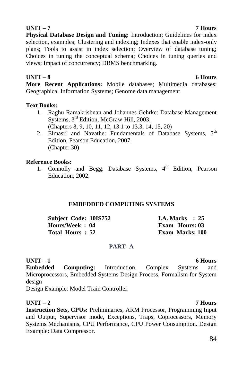# **UNIT – 7 7 Hours**

**Physical Database Design and Tuning:** Introduction; Guidelines for index selection, examples; Clustering and indexing; Indexes that enable index-only plans; Tools to assist in index selection; Overview of database tuning; Choices in tuning the conceptual schema; Choices in tuning queries and views; Impact of concurrency; DBMS benchmarking.

### **UNIT – 8 6 Hours**

**More Recent Applications:** Mobile databases; Multimedia databases; Geographical Information Systems; Genome data management

### **Text Books:**

- 1. Raghu Ramakrishnan and Johannes Gehrke: Database Management Systems, 3rd Edition, McGraw-Hill, 2003. (Chapters 8, 9, 10, 11, 12, 13.1 to 13.3, 14, 15, 20)
- 2. Elmasri and Navathe: Fundamentals of Database Systems,  $5<sup>th</sup>$ Edition, Pearson Education, 2007. (Chapter 30)

### **Reference Books:**

1. Connolly and Begg: Database Systems, 4<sup>th</sup> Edition, Pearson Education, 2002.

### **EMBEDDED COMPUTING SYSTEMS**

| <b>Subject Code: 10IS752</b> | <b>I.A. Marks</b> : $25$ |
|------------------------------|--------------------------|
| Hours/Week: 04               | Exam Hours: 03           |
| Total Hours: 52              | <b>Exam Marks: 100</b>   |

### **PART- A**

**UNIT – 1 6 Hours Embedded Computing:** Introduction, Complex Systems and Microprocessors, Embedded Systems Design Process, Formalism for System design

Design Example: Model Train Controller.

## **UNIT – 2 7 Hours**

**Instruction Sets, CPUs:** Preliminaries, ARM Processor, Programming Input and Output, Supervisor mode, Exceptions, Traps, Coprocessors, Memory Systems Mechanisms, CPU Performance, CPU Power Consumption. Design Example: Data Compressor.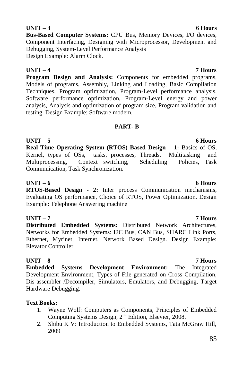**Bus-Based Computer Systems:** CPU Bus, Memory Devices, I/O devices, Component Interfacing, Designing with Microprocessor, Development and Debugging, System-Level Performance Analysis Design Example: Alarm Clock.

## **UNIT – 4 7 Hours**

**Program Design and Analysis:** Components for embedded programs, Models of programs, Assembly, Linking and Loading, Basic Compilation Techniques, Program optimization, Program-Level performance analysis, Software performance optimization, Program-Level energy and power analysis, Analysis and optimization of program size, Program validation and testing. Design Example: Software modem.

### **PART- B**

**UNIT – 5 6 Hours Real Time Operating System (RTOS) Based Design – 1:** Basics of OS, Kernel, types of OSs, tasks, processes, Threads, Multitasking and Multiprocessing, Context switching, Scheduling Policies, Task Communication, Task Synchronization.

### **UNIT – 6 6 Hours**

**RTOS-Based Design - 2:** Inter process Communication mechanisms, Evaluating OS performance, Choice of RTOS, Power Optimization. Design Example: Telephone Answering machine

## **UNIT – 7 7 Hours**

**Distributed Embedded Systems:** Distributed Network Architectures, Networks for Embedded Systems: I2C Bus, CAN Bus, SHARC Link Ports, Ethernet, Myrinet, Internet, Network Based Design. Design Example: Elevator Controller.

**UNIT – 8 7 Hours**

**Embedded Systems Development Environment:** The Integrated Development Environment, Types of File generated on Cross Compilation, Dis-assembler /Decompiler, Simulators, Emulators, and Debugging, Target Hardware Debugging.

### **Text Books:**

- 1. Wayne Wolf: Computers as Components, Principles of Embedded Computing Systems Design, 2nd Edition, Elsevier, 2008.
- 2. Shibu K V: Introduction to Embedded Systems, Tata McGraw Hill, 2009

## **UNIT – 3 6 Hours**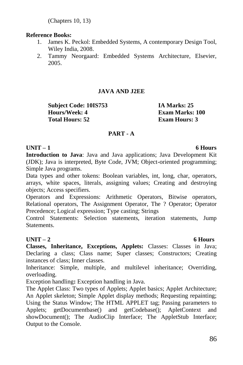(Chapters 10, 13)

### **Reference Books:**

- 1. James K. Peckol: Embedded Systems, A contemporary Design Tool, Wiley India, 2008.
- 2. Tammy Neorgaard: Embedded Systems Architecture, Elsevier, 2005.

## **JAVA AND J2EE**

**Subject Code: 10IS753 IA Marks: 25 Hours/Week: 4 Exam Marks: 100 Total Hours: 52 Exam Hours: 3**

### **PART - A**

### **UNIT – 1 6 Hours**

**Introduction to Java**: Java and Java applications; Java Development Kit (JDK); Java is interpreted, Byte Code, JVM; Object-oriented programming; Simple Java programs.

Data types and other tokens: Boolean variables, int, long, char, operators, arrays, white spaces, literals, assigning values; Creating and destroying objects; Access specifiers.

Operators and Expressions: Arithmetic Operators, Bitwise operators, Relational operators, The Assignment Operator, The ? Operator; Operator Precedence; Logical expression; Type casting; Strings

Control Statements: Selection statements, iteration statements, Jump **Statements** 

### **UNIT – 2 6 Hours**

**Classes, Inheritance, Exceptions, Applets:** Classes: Classes in Java; Declaring a class; Class name; Super classes; Constructors; Creating instances of class; Inner classes.

Inheritance: Simple, multiple, and multilevel inheritance; Overriding, overloading.

Exception handling**:** Exception handling in Java.

The Applet Class: Two types of Applets; Applet basics; Applet Architecture; An Applet skeleton; Simple Applet display methods; Requesting repainting; Using the Status Window; The HTML APPLET tag; Passing parameters to Applets; getDocumentbase() and getCodebase(); ApletContext and showDocument(); The AudioClip Interface; The AppletStub Interface; Output to the Console.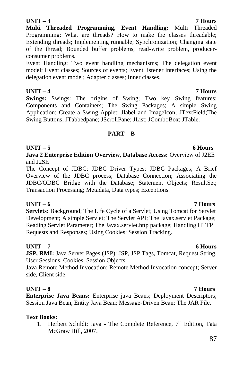# 87

### **UNIT – 3 7 Hours**

**Multi Threaded Programming, Event Handling:** Multi Threaded Programming: What are threads? How to make the classes threadable; Extending threads; Implementing runnable; Synchronization; Changing state of the thread; Bounded buffer problems, read-write problem, producerconsumer problems.

Event Handling: Two event handling mechanisms; The delegation event model; Event classes; Sources of events; Event listener interfaces; Using the delegation event model; Adapter classes; Inner classes.

### **UNIT – 4 7 Hours**

**Swings:** Swings: The origins of Swing; Two key Swing features; Components and Containers; The Swing Packages; A simple Swing Application; Create a Swing Applet; Jlabel and ImageIcon; JTextField;The Swing Buttons; JTabbedpane; JScrollPane; JList; JComboBox; JTable.

### **PART – B**

### **UNIT – 5 6 Hours**

**Java 2 Enterprise Edition Overview, Database Access:** Overview of J2EE and J2SE

The Concept of JDBC; JDBC Driver Types; JDBC Packages; A Brief Overview of the JDBC process; Database Connection; Associating the JDBC/ODBC Bridge with the Database; Statement Objects; ResultSet; Transaction Processing; Metadata, Data types; Exceptions.

## **UNIT – 6 7 Hours**

**Servlets:** Background; The Life Cycle of a Servlet; Using Tomcat for Servlet Development; A simple Servlet; The Servlet API; The Javax.servlet Package; Reading Servlet Parameter; The Javax.servlet.http package; Handling HTTP Requests and Responses; Using Cookies; Session Tracking.

### **UNIT – 7 6 Hours**

**JSP, RMI:** Java Server Pages (JSP): JSP, JSP Tags, Tomcat, Request String, User Sessions, Cookies, Session Objects.

Java Remote Method Invocation: Remote Method Invocation concept; Server side, Client side.

## **UNIT – 8 7 Hours**

**Enterprise Java Beans:** Enterprise java Beans; Deployment Descriptors; Session Java Bean, Entity Java Bean; Message-Driven Bean; The JAR File.

### **Text Books:**

1. Herbert Schildt: Java - The Complete Reference,  $7<sup>th</sup>$  Edition, Tata McGraw Hill, 2007.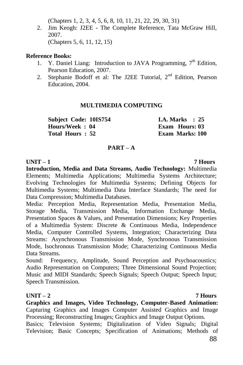(Chapters 1, 2, 3, 4, 5, 6, 8, 10, 11, 21, 22, 29, 30, 31)

2. Jim Keogh: J2EE - The Complete Reference, Tata McGraw Hill, 2007. (Chapters 5, 6, 11, 12, 15)

#### **Reference Books:**

- 1. Y. Daniel Liang: Introduction to JAVA Programming,  $7<sup>th</sup>$  Edition, Pearson Education, 2007.
- 2. Stephanie Bodoff et al: The J2EE Tutorial, 2<sup>nd</sup> Edition, Pearson Education, 2004.

### **MULTIMEDIA COMPUTING**

**Subject Code: 10IS754 I.A. Marks : 25 Hours/Week : 04 Exam Hours: 03 Total Hours : 52** 

#### **PART – A**

**UNIT – 1 7 Hours Introduction, Media and Data Streams, Audio Technology:** Multimedia Elements; Multimedia Applications; Multimedia Systems Architecture; Evolving Technologies for Multimedia Systems; Defining Objects for Multimedia Systems; Multimedia Data Interface Standards; The need for Data Compression; Multimedia Databases.

Media: Perception Media, Representation Media, Presentation Media, Storage Media, Transmission Media, Information Exchange Media, Presentation Spaces & Values, and Presentation Dimensions; Key Properties of a Multimedia System: Discrete & Continuous Media, Independence Media, Computer Controlled Systems, Integration; Characterizing Data Streams: Asynchronous Transmission Mode, Synchronous Transmission Mode, Isochronous Transmission Mode; Characterizing Continuous Media Data Streams.

Sound: Frequency, Amplitude, Sound Perception and Psychoacoustics; Audio Representation on Computers; Three Dimensional Sound Projection; Music and MIDI Standards; Speech Signals; Speech Output; Speech Input; Speech Transmission.

### **UNIT – 2 7 Hours**

**Graphics and Images, Video Technology, Computer-Based Animation:**  Capturing Graphics and Images Computer Assisted Graphics and Image Processing; Reconstructing Images; Graphics and Image Output Options.

Basics; Television Systems; Digitalization of Video Signals; Digital Television; Basic Concepts; Specification of Animations; Methods of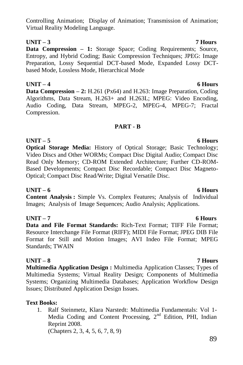## Controlling Animation; Display of Animation; Transmission of Animation; Virtual Reality Modeling Language.

**Data Compression – 1:** Storage Space; Coding Requirements; Source, Entropy, and Hybrid Coding; Basic Compression Techniques; JPEG: Image Preparation, Lossy Sequential DCT-based Mode, Expanded Lossy DCTbased Mode, Lossless Mode, Hierarchical Mode

**UNIT – 3 7 Hours**

**UNIT – 4 6 Hours Data Compression – 2:** H.261 (Px64) and H.263: Image Preparation, Coding Algorithms, Data Stream, H.263+ and H.263L; MPEG: Video Encoding, Audio Coding, Data Stream, MPEG-2, MPEG-4, MPEG-7; Fractal Compression.

### **PART - B**

**UNIT – 5 6 Hours Optical Storage Media:** History of Optical Storage; Basic Technology; Video Discs and Other WORMs; Compact Disc Digital Audio; Compact Disc Read Only Memory; CD-ROM Extended Architecture; Further CD-ROM-Based Developments; Compact Disc Recordable; Compact Disc Magneto-Optical; Compact Disc Read/Write; Digital Versatile Disc.

### **UNIT – 6 6 Hours**

**Content Analysis :** Simple Vs. Complex Features; Analysis of Individual Images; Analysis of Image Sequences; Audio Analysis; Applications.

## **UNIT – 7 6 Hours**

**Data and File Format Standards:** Rich-Text Format; TIFF File Format; Resource Interchange File Format (RIFF); MIDI File Format; JPEG DIB File Format for Still and Motion Images; AVI Indeo File Format; MPEG Standards; TWAIN

### **UNIT – 8 7 Hours**

**Multimedia Application Design :** Multimedia Application Classes; Types of Multimedia Systems; Virtual Reality Design; Components of Multimedia Systems; Organizing Multimedia Databases; Application Workflow Design Issues; Distributed Application Design Issues.

## **Text Books:**

1. Ralf Steinmetz, Klara Narstedt: Multimedia Fundamentals: Vol 1- Media Coding and Content Processing, 2nd Edition, PHI, Indian Reprint 2008. (Chapters 2, 3, 4, 5, 6, 7, 8, 9)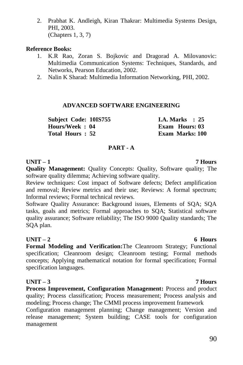2. Prabhat K. Andleigh, Kiran Thakrar: Multimedia Systems Design, PHI, 2003. (Chapters 1, 3, 7)

#### **Reference Books:**

- 1. K.R Rao, Zoran S. Bojkovic and Dragorad A. Milovanovic: Multimedia Communication Systems: Techniques, Standards, and Networks, Pearson Education, 2002.
- 2. Nalin K Sharad: Multimedia Information Networking, PHI, 2002.

#### **ADVANCED SOFTWARE ENGINEERING**

**Subject Code: 10IS755 I.A. Marks : 25 Hours/Week : 04 Exam Hours: 03 Total Hours : 52 Exam Marks: 100**

#### **PART - A**

#### **UNIT – 1 7 Hours**

**Quality Management:** Quality Concepts: Quality, Software quality; The software quality dilemma; Achieving software quality.

Review techniques: Cost impact of Software defects; Defect amplification and removal; Review metrics and their use; Reviews: A formal spectrum; Informal reviews; Formal technical reviews.

Software Quality Assurance: Background issues, Elements of SQA; SQA tasks, goals and metrics; Formal approaches to SQA; Statistical software quality assurance; Software reliability; The ISO 9000 Quality standards; The SQA plan.

#### **UNIT – 2 6 Hours**

**Formal Modeling and Verification:**The Cleanroom Strategy; Functional specification; Cleanroom design; Cleanroom testing; Formal methods concepts; Applying mathematical notation for formal specification; Formal specification languages.

### **UNIT – 3 7 Hours**

**Process Improvement, Configuration Management:** Process and product quality; Process classification; Process measurement; Process analysis and modeling; Process change; The CMMI process improvement framework

Configuration management planning; Change management; Version and release management; System building; CASE tools for configuration management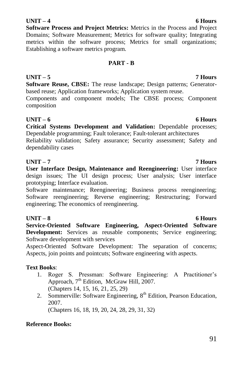## **UNIT – 4 6 Hours**

**Software Process and Project Metrics:** Metrics in the Process and Project Domains; Software Measurement; Metrics for software quality; Integrating metrics within the software process; Metrics for small organizations; Establishing a software metrics program.

### **PART - B**

**Software Reuse, CBSE:** The reuse landscape; Design patterns; Generatorbased reuse; Application frameworks; Application system reuse.

Components and component models; The CBSE process; Component composition

## **UNIT – 6 6 Hours**

**Critical Systems Development and Validation:** Dependable processes; Dependable programming; Fault tolerance; Fault-tolerant architectures

Reliability validation; Safety assurance; Security assessment; Safety and dependability cases

### **UNIT – 7 7 Hours**

**User Interface Design, Maintenance and Reengineering:** User interface design issues; The UI design process; User analysis; User interface prototyping; Interface evaluation.

Software maintenance; Reengineering; Business process reengineering; Software reengineering; Reverse engineering; Restructuring; Forward engineering; The economics of reengineering.

## **UNIT – 8 6 Hours**

**Service-Oriented Software Engineering, Aspect-Oriented Software Development:** Services as reusable components; Service engineering; Software development with services

Aspect-Oriented Software Development: The separation of concerns; Aspects, join points and pointcuts; Software engineering with aspects.

## **Text Books**:

- 1. Roger S. Pressman: Software Engineering: A Practitioner"s Approach, 7<sup>th</sup> Edition, McGraw Hill, 2007. (Chapters 14, 15, 16, 21, 25, 29)
- 2. Sommerville: Software Engineering, 8<sup>th</sup> Edition, Pearson Education, 2007. (Chapters 16, 18, 19, 20, 24, 28, 29, 31, 32)

## **Reference Books:**

#### **UNIT – 5 7 Hours**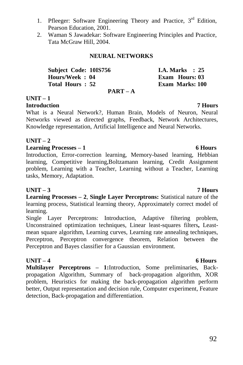- 1. Pfleeger: Software Engineering Theory and Practice, 3<sup>rd</sup> Edition, Pearson Education, 2001.
- 2. Waman S Jawadekar: Software Engineering Principles and Practice, Tata McGraw Hill, 2004.

### **NEURAL NETWORKS**

| <b>Subject Code: 10IS756</b> | I.A. Marks $\therefore$ 25 |
|------------------------------|----------------------------|
| Hours/Week: 04               | <b>Exam Hours: 03</b>      |
| Total Hours: 52              | <b>Exam Marks: 100</b>     |
| $PART-A$                     |                            |

## **UNIT – 1**

### **Introduction 7 Hours**

What is a Neural Network?, Human Brain, Models of Neuron, Neural Networks viewed as directed graphs, Feedback, Network Architectures, Knowledge representation, Artificial Intelligence and Neural Networks.

### **UNIT – 2**

#### **Learning Processes – 1 6 Hours**

Introduction, Error-correction learning, Memory-based learning, Hebbian learning, Competitive learning,Boltzamann learning, Credit Assignment problem, Learning with a Teacher, Learning without a Teacher, Learning tasks, Memory, Adaptation.

### **UNIT – 3 7 Hours**

**Learning Processes – 2**, **Single Layer Perceptrons:** Statistical nature of the learning process, Statistical learning theory, Approximately correct model of learning.

Single Layer Perceptrons: Introduction, Adaptive filtering problem, Unconstrained optimization techniques, Linear least-squares filters**,** Leastmean square algorithm, Learning curves, Learning rate annealing techniques, Perceptron, Perceptron convergence theorem, Relation between the Perceptron and Bayes classifier for a Gaussian environment.

### **UNIT – 4 6 Hours**

**Multilayer Perceptrons – 1:**Introduction, Some preliminaries, Backpropagation Algorithm, Summary of back-propagation algorithm, XOR problem, Heuristics for making the back-propagation algorithm perform better, Output representation and decision rule, Computer experiment, Feature detection, Back-propagation and differentiation.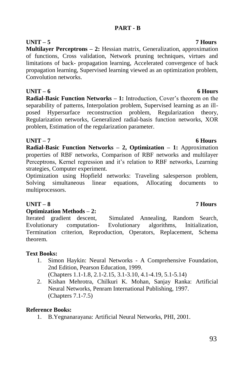#### **UNIT – 5 7 Hours Multilayer Perceptrons – 2:** Hessian matrix, Generalization, approximation of functions, Cross validation, Network pruning techniques, virtues and limitations of back- propagation learning, Accelerated convergence of back propagation learning, Supervised learning viewed as an optimization problem, Convolution networks.

**UNIT – 6 6 Hours Radial-Basic Function Networks – 1:** Introduction, Cover's theorem on the separability of patterns, Interpolation problem, Supervised learning as an illposed Hypersurface reconstruction problem, Regularization theory, Regularization networks, Generalized radial-basis function networks, XOR problem, Estimation of the regularization parameter.

## **UNIT – 7 6 Hours**

**Radial-Basic Function Networks – 2, Optimization – 1:** Approximation properties of RBF networks, Comparison of RBF networks and multilayer Perceptrons, Kernel regression and it's relation to RBF networks, Learning strategies, Computer experiment.

Optimization using Hopfield networks: Traveling salesperson problem, Solving simultaneous linear equations, Allocating documents to multiprocessors.

## **UNIT – 8 7 Hours**

#### **Optimization Methods – 2:**

Iterated gradient descent, Simulated Annealing, Random Search, Evolutionary computation- Evolutionary algorithms, Initialization, Termination criterion, Reproduction, Operators, Replacement, Schema theorem.

### **Text Books:**

1. Simon Haykin: Neural Networks - A Comprehensive Foundation, 2nd Edition, Pearson Education, 1999.

(Chapters 1.1-1.8, 2.1-2.15, 3.1-3.10, 4.1-4.19, 5.1-5.14)

2. Kishan Mehrotra, Chilkuri K. Mohan, Sanjay Ranka: Artificial Neural Networks, Penram International Publishing, 1997. (Chapters 7.1-7.5)

### **Reference Books:**

1. B.Yegnanarayana: Artificial Neural Networks, PHI, 2001.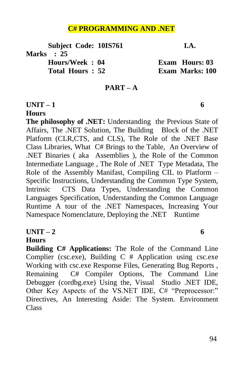# **C# PROGRAMMING AND .NET**

**Subject Code: 10IS761 I.A. Marks : 25 Hours/Week : 04 Exam Hours: 03 Total Hours : 52 Exam Marks: 100**

### **PART – A**

### **UNIT – 1 6**

### **Hours**

**The philosophy of .NET:** Understanding the Previous State of Affairs, The .NET Solution, The Building Block of the .NET Platform (CLR,CTS, and CLS), The Role of the .NET Base Class Libraries, What C# Brings to the Table, An Overview of .NET Binaries ( aka Assemblies ), the Role of the Common Intermediate Language , The Role of .NET Type Metadata, The Role of the Assembly Manifast, Compiling CIL to Platform – Specific Instructions, Understanding the Common Type System, Intrinsic CTS Data Types, Understanding the Common Languages Specification, Understanding the Common Language Runtime A tour of the .NET Namespaces, Increasing Your Namespace Nomenclature, Deploying the .NET Runtime

## $\text{UNIT} - 2$  6

## **Hours**

**Building C# Applications:** The Role of the Command Line Complier (csc.exe), Building C # Application using csc.exe Working with csc.exe Response Files, Generating Bug Reports , Remaining C# Compiler Options, The Command Line Debugger (cordbg.exe) Using the, Visual Studio .NET IDE, Other Key Aspects of the VS.NET IDE, C# "Preprocessor:" Directives, An Interesting Aside: The System. Environment Class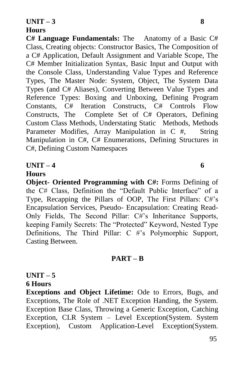## **Hours**

**C# Language Fundamentals:** The Anatomy of a Basic C# Class, Creating objects: Constructor Basics, The Composition of a C# Application, Default Assignment and Variable Scope, The C# Member Initialization Syntax, Basic Input and Output with the Console Class, Understanding Value Types and Reference Types, The Master Node: System, Object, The System Data Types (and C# Aliases), Converting Between Value Types and Reference Types: Boxing and Unboxing, Defining Program Constants, C# Iteration Constructs, C# Controls Flow Constructs, The Complete Set of C# Operators, Defining Custom Class Methods, Understating Static Methods, Methods Parameter Modifies, Array Manipulation in C #, String Manipulation in C#, C# Enumerations, Defining Structures in C#, Defining Custom Namespaces

UNIT – 4 6

### **Hours**

**Object- Oriented Programming with C#:** Forms Defining of the C# Class, Definition the "Default Public Interface" of a Type, Recapping the Pillars of OOP, The First Pillars: C#"s Encapsulation Services, Pseudo- Encapsulation: Creating Read-Only Fields, The Second Pillar: C#"s Inheritance Supports, keeping Family Secrets: The "Protected" Keyword, Nested Type Definitions, The Third Pillar: C #'s Polymorphic Support, Casting Between.

## **PART – B**

# $UNIT - 5$

# **6 Hours**

**Exceptions and Object Lifetime:** Ode to Errors, Bugs, and Exceptions, The Role of .NET Exception Handing, the System. Exception Base Class, Throwing a Generic Exception, Catching Exception, CLR System – Level Exception(System. System Exception), Custom Application-Level Exception(System.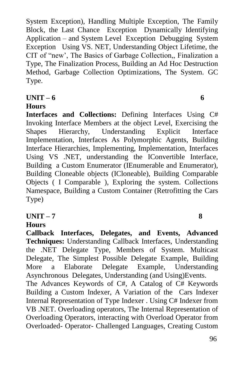System Exception), Handling Multiple Exception, The Family Block, the Last Chance Exception Dynamically Identifying Application – and System Level Exception Debugging System Exception Using VS. NET, Understanding Object Lifetime, the CIT of "new', The Basics of Garbage Collection,, Finalization a Type, The Finalization Process, Building an Ad Hoc Destruction Method, Garbage Collection Optimizations, The System. GC Type.

# **UNIT – 6 6**

# **Hours**

**Interfaces and Collections:** Defining Interfaces Using C# Invoking Interface Members at the object Level, Exercising the Shapes Hierarchy, Understanding Explicit Interface Implementation, Interfaces As Polymorphic Agents, Building Interface Hierarchies, Implementing, Implementation, Interfaces Using VS .NET, understanding the IConvertible Interface, Building a Custom Enumerator (IEnumerable and Enumerator), Building Cloneable objects (ICloneable), Building Comparable Objects ( I Comparable ), Exploring the system. Collections Namespace, Building a Custom Container (Retrofitting the Cars Type)

**UNIT – 7 8** 

# **Hours**

**Callback Interfaces, Delegates, and Events, Advanced Techniques:** Understanding Callback Interfaces, Understanding the .NET Delegate Type, Members of System. Multicast Delegate, The Simplest Possible Delegate Example, Building More a Elaborate Delegate Example, Understanding Asynchronous Delegates, Understanding (and Using)Events. The Advances Keywords of C#, A Catalog of C# Keywords Building a Custom Indexer, A Variation of the Cars Indexer Internal Representation of Type Indexer . Using C# Indexer from VB .NET. Overloading operators, The Internal Representation of Overloading Operators, interacting with Overload Operator from Overloaded- Operator- Challenged Languages, Creating Custom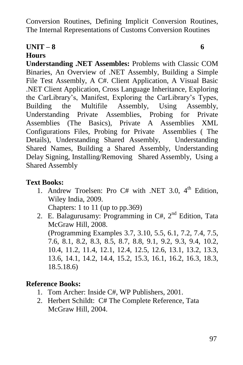Conversion Routines, Defining Implicit Conversion Routines, The Internal Representations of Customs Conversion Routines

# **UNIT – 8 6**

# **Hours**

**Understanding .NET Assembles:** Problems with Classic COM Binaries, An Overview of .NET Assembly, Building a Simple File Test Assembly, A C#. Client Application, A Visual Basic .NET Client Application, Cross Language Inheritance, Exploring the CarLibrary"s, Manifest, Exploring the CarLibrary"s Types, Building the Multifile Assembly, Using Assembly, Understanding Private Assemblies, Probing for Private Assemblies (The Basics), Private A Assemblies XML Configurations Files, Probing for Private Assemblies ( The Details), Understanding Shared Assembly, Understanding Shared Names, Building a Shared Assembly, Understanding Delay Signing, Installing/Removing Shared Assembly, Using a Shared Assembly

# **Text Books:**

1. Andrew Troelsen: Pro C# with .NET 3.0, 4<sup>th</sup> Edition, Wiley India, 2009.

Chapters: 1 to 11 (up to pp.369)

2. E. Balagurusamy: Programming in  $C#$ ,  $2<sup>nd</sup>$  Edition, Tata McGraw Hill, 2008.

(Programming Examples 3.7, 3.10, 5.5, 6.1, 7.2, 7.4, 7.5, 7.6, 8.1, 8.2, 8.3, 8.5, 8.7, 8.8, 9.1, 9.2, 9.3, 9.4, 10.2, 10.4, 11.2, 11.4, 12.1, 12.4, 12.5, 12.6, 13.1, 13.2, 13.3, 13.6, 14.1, 14.2, 14.4, 15.2, 15.3, 16.1, 16.2, 16.3, 18.3, 18.5.18.6)

# **Reference Books:**

- 1. Tom Archer: Inside C#, WP Publishers, 2001.
- 2. Herbert Schildt: C# The Complete Reference, Tata McGraw Hill, 2004.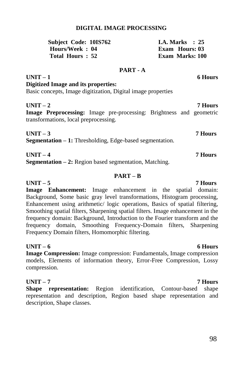#### **DIGITAL IMAGE PROCESSING**

| <b>Subject Code: 10IS762</b> | I.A. Marks $\therefore$ 25 |
|------------------------------|----------------------------|
| Hours/Week: 04               | Exam Hours: 03             |
| Total Hours: 52              | <b>Exam Marks: 100</b>     |

#### **PART - A**

|  |                                     | 6 Hours                                                      |
|--|-------------------------------------|--------------------------------------------------------------|
|  |                                     |                                                              |
|  |                                     |                                                              |
|  |                                     | <b>7 Hours</b>                                               |
|  | Digitized Image and its properties: | Basic concepts, Image digitization, Digital image properties |

**Image Preprocessing:** Image pre-processing: Brightness and geometric transformations, local preprocessing.

**UNIT – 3 7 Hours Segmentation – 1:** Thresholding, Edge-based segmentation.

**UNIT – 4 7 Hours**

**Segmentation – 2:** Region based segmentation, Matching.

#### **PART – B**

**UNIT – 5 7 Hours Image Enhancement:** Image enhancement in the spatial domain: Background, Some basic gray level transformations, Histogram processing, Enhancement using arithmetic/ logic operations, Basics of spatial filtering, Smoothing spatial filters, Sharpening spatial filters. Image enhancement in the frequency domain: Background, Introduction to the Fourier transform and the frequency domain, Smoothing Frequency-Domain filters, Sharpening Frequency Domain filters, Homomorphic filtering.

#### **UNIT – 6 6 Hours**

**Image Compression:** Image compression: Fundamentals, Image compression models, Elements of information theory, Error-Free Compression, Lossy compression.

**UNIT – 7 7 Hours Shape representation:** Region identification, Contour-based shape representation and description, Region based shape representation and description, Shape classes.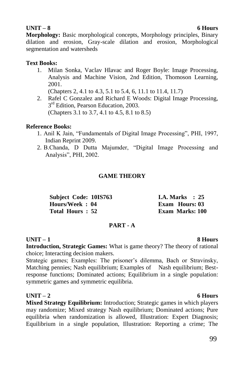## **UNIT – 8 6 Hours**

**Morphology:** Basic morphological concepts, Morphology principles, Binary dilation and erosion, Gray-scale dilation and erosion, Morphological segmentation and watersheds

### **Text Books:**

1. Milan Sonka, Vaclav Hlavac and Roger Boyle: Image Processing, Analysis and Machine Vision, 2nd Edition, Thomoson Learning, 2001.

(Chapters 2, 4.1 to 4.3, 5.1 to 5.4, 6, 11.1 to 11.4, 11.7)

2. Rafel C Gonzalez and Richard E Woods: Digital Image Processing, 3<sup>rd</sup> Edition, Pearson Education, 2003. (Chapters 3.1 to 3.7, 4.1 to 4.5, 8.1 to 8.5)

### **Reference Books:**

- 1. Anil K Jain, "Fundamentals of Digital Image Processing", PHI, 1997, Indian Reprint 2009.
- 2. B.Chanda, D Dutta Majumder, "Digital Image Processing and Analysis", PHI, 2002.

### **GAME THEORY**

| Subject Code: 10IS763 | <b>I.A. Marks</b> : 25 |
|-----------------------|------------------------|
| Hours/Week: 04        | <b>Exam Hours: 03</b>  |
| Total Hours: 52       | <b>Exam Marks: 100</b> |

### **PART - A**

## **UNIT – 1 8 Hours**

**Introduction, Strategic Games:** What is game theory? The theory of rational choice; Interacting decision makers.

Strategic games; Examples: The prisoner's dilemma, Bach or Stravinsky, Matching pennies; Nash equilibrium; Examples of Nash equilibrium; Bestresponse functions; Dominated actions; Equilibrium in a single population: symmetric games and symmetric equilibria.

## **UNIT – 2 6 Hours**

**Mixed Strategy Equilibrium:** Introduction; Strategic games in which players may randomize; Mixed strategy Nash equilibrium; Dominated actions; Pure equilibria when randomization is allowed, Illustration: Expert Diagnosis; Equilibrium in a single population, Illustration: Reporting a crime; The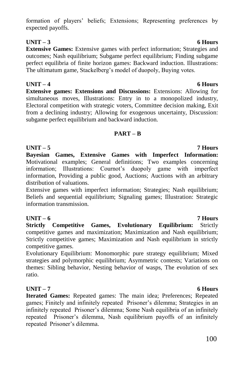### formation of players" beliefs; Extensions; Representing preferences by expected payoffs.

## **UNIT – 3 6 Hours**

**Extensive Games:** Extensive games with perfect information; Strategies and outcomes; Nash equilibrium; Subgame perfect equilibrium; Finding subgame perfect equilibria of finite horizon games: Backward induction. Illustrations: The ultimatum game, Stackelberg's model of duopoly, Buying votes.

**UNIT – 4 6 Hours Extensive games: Extensions and Discussions:** Extensions: Allowing for simultaneous moves, Illustrations: Entry in to a monopolized industry, Electoral competition with strategic voters, Committee decision making, Exit from a declining industry; Allowing for exogenous uncertainty, Discussion: subgame perfect equilibrium and backward induction.

### **PART – B**

### **UNIT – 5 7 Hours**

**Bayesian Games, Extensive Games with Imperfect Information:**  Motivational examples; General definitions; Two examples concerning information: Illustrations: Cournot's duopoly game with imperfect information, Providing a public good, Auctions; Auctions with an arbitrary distribution of valuations.

Extensive games with imperfect information; Strategies; Nash equilibrium; Beliefs and sequential equilibrium; Signaling games; Illustration: Strategic information transmission.

## **UNIT – 6 7 Hours**

**Strictly Competitive Games, Evolutionary Equilibrium:** Strictly competitive games and maximization; Maximization and Nash equilibrium; Strictly competitive games; Maximization and Nash equilibrium in strictly competitive games.

Evolutionary Equilibrium: Monomorphic pure strategy equilibrium; Mixed strategies and polymorphic equilibrium; Asymmetric contests; Variations on themes: Sibling behavior, Nesting behavior of wasps, The evolution of sex ratio.

## **UNIT – 7 6 Hours**

**Iterated Games:** Repeated games: The main idea; Preferences; Repeated games; Finitely and infinitely repeated Prisoner's dilemma; Strategies in an infinitely repeated Prisoner's dilemma; Some Nash equilibria of an infinitely repeated Prisoner"s dilemma, Nash equilibrium payoffs of an infinitely repeated Prisoner"s dilemma.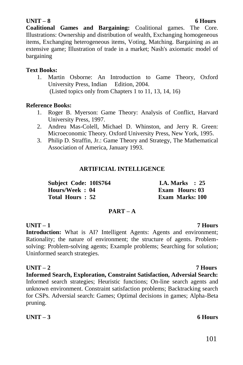### **UNIT – 8 6 Hours**

**Coalitional Games and Bargaining:** Coalitional games. The Core. Illustrations: Ownership and distribution of wealth, Exchanging homogeneous items, Exchanging heterogeneous items, Voting, Matching. Bargaining as an extensive game; Illustration of trade in a market; Nash's axiomatic model of bargaining

#### **Text Books:**

1. Martin Osborne: An Introduction to Game Theory, Oxford University Press, Indian Edition, 2004. (Listed topics only from Chapters 1 to 11, 13, 14, 16)

#### **Reference Books:**

- 1. Roger B. Myerson: Game Theory: Analysis of Conflict, Harvard University Press, 1997.
- 2. Andreu Mas-Colell, Michael D. Whinston, and Jerry R. Green: Microeconomic Theory. Oxford University Press, New York, 1995.
- 3. Philip D. Straffin, Jr.: Game Theory and Strategy, The Mathematical Association of America, January 1993.

### **ARTIFICIAL INTELLIGENCE**

| Subject Code: 10IS764 | <b>I.A.</b> Marks $\therefore$ 25 |
|-----------------------|-----------------------------------|
| Hours/Week: 04        | <b>Exam Hours: 03</b>             |
| Total Hours: 52       | Exam Marks: 100                   |

#### **PART – A**

### **UNIT – 1 7 Hours**

**Introduction:** What is AI? Intelligent Agents: Agents and environment; Rationality; the nature of environment; the structure of agents. Problemsolving: Problem-solving agents; Example problems; Searching for solution; Uninformed search strategies.

**UNIT – 2 7 Hours Informed Search, Exploration, Constraint Satisfaction, Adversial Search:**  Informed search strategies; Heuristic functions; On-line search agents and unknown environment. Constraint satisfaction problems; Backtracking search for CSPs. Adversial search: Games; Optimal decisions in games; Alpha-Beta pruning.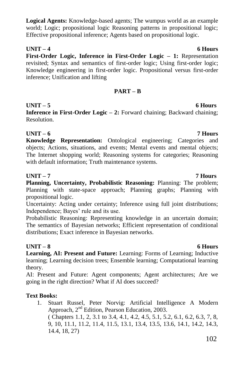### **Logical Agents:** Knowledge-based agents; The wumpus world as an example world; Logic; propositional logic Reasoning patterns in propositional logic; Effective propositional inference; Agents based on propositional logic.

## **UNIT – 4 6 Hours**

**First-Order Logic, Inference in First-Order Logic – 1:** Representation revisited; Syntax and semantics of first-order logic; Using first-order logic; Knowledge engineering in first-order logic. Propositional versus first-order inference; Unification and lifting

### **PART – B**

### **UNIT – 5 6 Hours**

**Inference in First-Order Logic – 2:** Forward chaining; Backward chaining; Resolution.

### **UNIT – 6 7 Hours**

**Knowledge Representation:** Ontological engineering; Categories and objects; Actions, situations, and events; Mental events and mental objects; The Internet shopping world; Reasoning systems for categories; Reasoning with default information; Truth maintenance systems.

### **UNIT – 7 7 Hours**

**Planning, Uncertainty, Probabilistic Reasoning:** Planning: The problem; Planning with state-space approach; Planning graphs; Planning with propositional logic.

Uncertainty: Acting under certainty; Inference using full joint distributions; Independence; Bayes' rule and its use.

Probabilistic Reasoning: Representing knowledge in an uncertain domain; The semantics of Bayesian networks; Efficient representation of conditional distributions; Exact inference in Bayesian networks.

### **UNIT – 8 6 Hours**

**Learning, AI: Present and Future:** Learning: Forms of Learning; Inductive learning; Learning decision trees; Ensemble learning; Computational learning theory.

AI: Present and Future: Agent components; Agent architectures; Are we going in the right direction? What if AI does succeed?

### **Text Books:**

1. Stuart Russel, Peter Norvig: Artificial Intelligence A Modern Approach, 2nd Edition, Pearson Education, 2003. ( Chapters 1.1, 2, 3.1 to 3.4, 4.1, 4.2, 4.5, 5.1, 5.2, 6.1, 6.2, 6.3, 7, 8, 9, 10, 11.1, 11.2, 11.4, 11.5, 13.1, 13.4, 13.5, 13.6, 14.1, 14.2, 14.3, 14.4, 18, 27)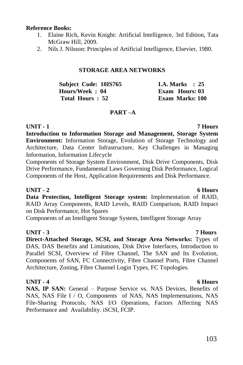#### **Reference Books:**

- 1. Elaine Rich, Kevin Knight: Artificial Intelligence, 3rd Edition, Tata McGraw Hill, 2009.
- 2. Nils J. Nilsson: Principles of Artificial Intelligence, Elsevier, 1980.

#### **STORAGE AREA NETWORKS**

| Subject Code: 10IS765 | <b>I.A. Marks</b> : $25$ |
|-----------------------|--------------------------|
| Hours/Week: 04        | Exam Hours: 03           |
| Total Hours: 52       | <b>Exam Marks: 100</b>   |

#### **PART –A**

**UNIT - 1 7 Hours Introduction to Information Storage and Management, Storage System Environment:** Information Storage, Evolution of Storage Technology and Architecture, Data Center Infrastructure, Key Challenges in Managing Information, Information Lifecycle

Components of Storage System Environment, Disk Drive Components, Disk Drive Performance, Fundamental Laws Governing Disk Performance, Logical Components of the Host, Application Requirements and Disk Performance.

#### **UNIT - 2 6 Hours**

**Data Protection, Intelligent Storage system:** Implementation of RAID, RAID Array Components, RAID Levels, RAID Comparison, RAID Impact on Disk Performance, Hot Spares

Components of an Intelligent Storage System, Intelligent Storage Array

#### **UNIT - 3 7 Hours**

**Direct-Attached Storage, SCSI, and Storage Area Networks:** Types of DAS, DAS Benefits and Limitations, Disk Drive Interfaces, Introduction to Parallel SCSI, Overview of Fibre Channel, The SAN and Its Evolution, Components of SAN, FC Connectivity, Fibre Channel Ports, Fibre Channel Architecture, Zoning, Fibre Channel Login Types, FC Topologies.

#### **UNIT - 4 6 Hours**

**NAS, IP SAN:** General – Purpose Service vs. NAS Devices, Benefits of NAS, NAS File I / O, Components of NAS, NAS Implementations, NAS File-Sharing Protocols, NAS I/O Operations, Factors Affecting NAS Performance and Availability. iSCSI, FCIP.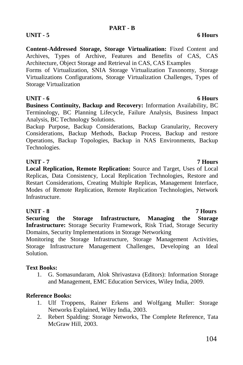#### **PART - B**

# **UNIT - 5 6 Hours**

**Content-Addressed Storage, Storage Virtualization:** Fixed Content and Archives, Types of Archive, Features and Benefits of CAS, CAS Architecture, Object Storage and Retrieval in CAS, CAS Examples

Forms of Virtualization, SNIA Storage Virtualization Taxonomy, Storage Virtualizations Configurations, Storage Virtualization Challenges, Types of Storage Virtualization

### **UNIT - 6 6 Hours**

**Business Continuity, Backup and Recovery:** Information Availability, BC Terminology, BC Planning Lifecycle, Failure Analysis, Business Impact Analysis, BC Technology Solutions.

Backup Purpose, Backup Considerations, Backup Granularity, Recovery Considerations, Backup Methods, Backup Process, Backup and restore Operations, Backup Topologies, Backup in NAS Environments, Backup Technologies.

### **UNIT - 7 7 Hours**

**Local Replication, Remote Replication:** Source and Target, Uses of Local Replicas, Data Consistency, Local Replication Technologies, Restore and Restart Considerations, Creating Multiple Replicas, Management Interface, Modes of Remote Replication, Remote Replication Technologies, Network Infrastructure.

### **UNIT - 8 7 Hours**

**Securing the Storage Infrastructure, Managing the Storage Infrastructure:** Storage Security Framework, Risk Triad, Storage Security Domains, Security Implementations in Storage Networking

Monitoring the Storage Infrastructure, Storage Management Activities, Storage Infrastructure Management Challenges, Developing an Ideal Solution.

### **Text Books:**

1. G. Somasundaram, Alok Shrivastava (Editors): Information Storage and Management, EMC Education Services, Wiley India, 2009.

### **Reference Books:**

- 1. Ulf Troppens, Rainer Erkens and Wolfgang Muller: Storage Networks Explained, Wiley India, 2003.
- 2. Rebert Spalding: Storage Networks, The Complete Reference, Tata McGraw Hill, 2003.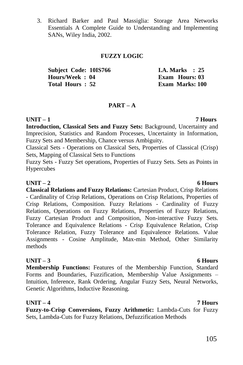3. Richard Barker and Paul Massiglia: Storage Area Networks Essentials A Complete Guide to Understanding and Implementing SANs, Wiley India, 2002.

#### **FUZZY LOGIC**

| <b>Subject Code: 10IS766</b> | <b>I.A. Marks</b> : 25 |  |
|------------------------------|------------------------|--|
| Hours/Week: 04               | Exam Hours: 03         |  |
| Total Hours: 52              | <b>Exam Marks: 100</b> |  |

### **PART – A**

### **UNIT – 1 7 Hours**

**Introduction, Classical Sets and Fuzzy Sets:** Background, Uncertainty and Imprecision, Statistics and Random Processes, Uncertainty in Information, Fuzzy Sets and Membership, Chance versus Ambiguity.

Classical Sets - Operations on Classical Sets, Properties of Classical (Crisp) Sets, Mapping of Classical Sets to Functions

Fuzzy Sets - Fuzzy Set operations, Properties of Fuzzy Sets. Sets as Points in Hypercubes

#### **UNIT – 2 6 Hours**

**Classical Relations and Fuzzy Relations:** Cartesian Product, Crisp Relations - Cardinality of Crisp Relations, Operations on Crisp Relations, Properties of Crisp Relations, Composition. Fuzzy Relations - Cardinality of Fuzzy Relations, Operations on Fuzzy Relations, Properties of Fuzzy Relations, Fuzzy Cartesian Product and Composition, Non-interactive Fuzzy Sets. Tolerance and Equivalence Relations - Crisp Equivalence Relation, Crisp Tolerance Relation, Fuzzy Tolerance and Equivalence Relations. Value Assignments - Cosine Amplitude, Max-min Method, Other Similarity methods

### **UNIT – 3 6 Hours**

**Membership Functions:** Features of the Membership Function, Standard Forms and Boundaries, Fuzzification, Membership Value Assignments – Intuition, Inference, Rank Ordering, Angular Fuzzy Sets, Neural Networks, Genetic Algorithms, Inductive Reasoning.

**UNIT – 4 7 Hours Fuzzy-to-Crisp Conversions, Fuzzy Arithmetic:** Lambda-Cuts for Fuzzy Sets, Lambda-Cuts for Fuzzy Relations, Defuzzification Methods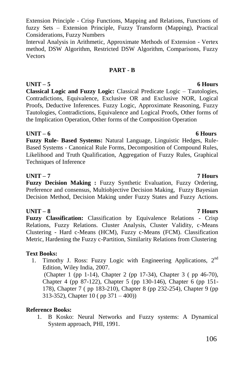Extension Principle - Crisp Functions, Mapping and Relations, Functions of fuzzy Sets – Extension Principle, Fuzzy Transform (Mapping), Practical Considerations, Fuzzy Numbers

Interval Analysis in Arithmetic, Approximate Methods of Extension - Vertex method, DSW Algorithm, Restricted DSW Algorithm, Comparisons, Fuzzy Vectors

### **PART - B**

# **UNIT – 5 6 Hours**

**Classical Logic and Fuzzy Logic:** Classical Predicate Logic – Tautologies, Contradictions, Equivalence, Exclusive OR and Exclusive NOR, Logical Proofs, Deductive Inferences. Fuzzy Logic, Approximate Reasoning, Fuzzy Tautologies, Contradictions, Equivalence and Logical Proofs, Other forms of the Implication Operation, Other forms of the Composition Operation

### **UNIT – 6 6 Hours**

**Fuzzy Rule- Based Systems:** Natural Language, Linguistic Hedges, Rule-Based Systems - Canonical Rule Forms, Decomposition of Compound Rules, Likelihood and Truth Qualification, Aggregation of Fuzzy Rules, Graphical Techniques of Inference

### **UNIT – 7 7 Hours**

**Fuzzy Decision Making :** Fuzzy Synthetic Evaluation, Fuzzy Ordering, Preference and consensus, Multiobjective Decision Making, Fuzzy Bayesian Decision Method, Decision Making under Fuzzy States and Fuzzy Actions.

## **UNIT – 8 7 Hours**

**Fuzzy Classification:** Classification by Equivalence Relations - Crisp Relations, Fuzzy Relations. Cluster Analysis, Cluster Validity, c-Means Clustering - Hard c-Means (HCM), Fuzzy c-Means (FCM). Classification Metric, Hardening the Fuzzy c-Partition, Similarity Relations from Clustering

## **Text Books:**

1. Timothy J. Ross: Fuzzy Logic with Engineering Applications,  $2<sup>nd</sup>$ Edition, Wiley India, 2007. (Chapter 1 (pp 1-14), Chapter 2 (pp 17-34), Chapter 3 ( pp 46-70),

Chapter 4 (pp 87-122), Chapter 5 (pp 130-146), Chapter 6 (pp 151- 178), Chapter 7 ( pp 183-210), Chapter 8 (pp 232-254), Chapter 9 (pp 313-352), Chapter 10 ( pp 371 – 400))

## **Reference Books:**

1. B Kosko: Neural Networks and Fuzzy systems: A Dynamical System approach, PHI, 1991.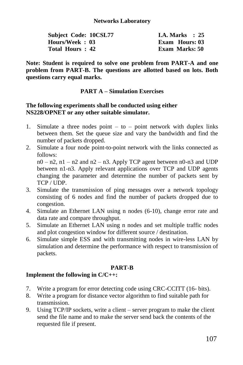| Subject Code: 10CSL77 | I.A. Marks $\therefore$ 25 |
|-----------------------|----------------------------|
| Hours/Week: 03        | Exam Hours: 03             |
| Total Hours: 42       | Exam Marks: 50             |

**Note: Student is required to solve one problem from PART-A and one problem from PART-B. The questions are allotted based on lots. Both questions carry equal marks.**

#### **PART A – Simulation Exercises**

#### **The following experiments shall be conducted using either NS228/OPNET or any other suitable simulator.**

- 1. Simulate a three nodes point  $-$  to  $-$  point network with duplex links between them. Set the queue size and vary the bandwidth and find the number of packets dropped.
- 2. Simulate a four node point-to-point network with the links connected as follows:  $n0 - n2$ ,  $n1 - n2$  and  $n2 - n3$ . Apply TCP agent between  $n0 - n3$  and UDP

between n1-n3. Apply relevant applications over TCP and UDP agents changing the parameter and determine the number of packets sent by TCP / UDP.

- 3. Simulate the transmission of ping messages over a network topology consisting of 6 nodes and find the number of packets dropped due to congestion.
- 4. Simulate an Ethernet LAN using n nodes (6-10), change error rate and data rate and compare throughput.
- 5. Simulate an Ethernet LAN using n nodes and set multiple traffic nodes and plot congestion window for different source / destination.
- 6. Simulate simple ESS and with transmitting nodes in wire-less LAN by simulation and determine the performance with respect to transmission of packets.

### **PART-B**

### **Implement the following in C/C++:**

- 7. Write a program for error detecting code using CRC-CCITT (16- bits).
- 8. Write a program for distance vector algorithm to find suitable path for transmission.
- 9. Using TCP/IP sockets, write a client server program to make the client send the file name and to make the server send back the contents of the requested file if present.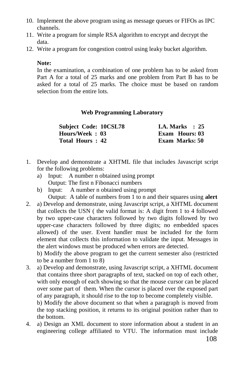- 10. Implement the above program using as message queues or FIFOs as IPC channels.
- 11. Write a program for simple RSA algorithm to encrypt and decrypt the data.
- 12. Write a program for congestion control using leaky bucket algorithm.

#### **Note:**

In the examination, a combination of one problem has to be asked from Part A for a total of 25 marks and one problem from Part B has to be asked for a total of 25 marks. The choice must be based on random selection from the entire lots.

### **Web Programming Laboratory**

| Subject Code: 10CSL78 | <b>I.A.</b> Marks $\therefore$ 25 |
|-----------------------|-----------------------------------|
| Hours/Week: 03        | Exam Hours: 03                    |
| Total Hours: 42       | <b>Exam Marks: 50</b>             |

- 1. Develop and demonstrate a XHTML file that includes Javascript script for the following problems:
	- a) Input: A number n obtained using prompt Output: The first n Fibonacci numbers
	- b) Input: A number n obtained using prompt Output: A table of numbers from 1 to n and their squares using **alert**
- 2. a) Develop and demonstrate, using Javascript script, a XHTML document that collects the USN ( the valid format is: A digit from 1 to 4 followed by two upper-case characters followed by two digits followed by two upper-case characters followed by three digits; no embedded spaces allowed) of the user. Event handler must be included for the form element that collects this information to validate the input. Messages in the alert windows must be produced when errors are detected.

b) Modify the above program to get the current semester also (restricted to be a number from 1 to 8)

- 3. a) Develop and demonstrate, using Javascript script, a XHTML document that contains three short paragraphs of text, stacked on top of each other, with only enough of each showing so that the mouse cursor can be placed over some part of them. When the cursor is placed over the exposed part of any paragraph, it should rise to the top to become completely visible. b) Modify the above document so that when a paragraph is moved from the top stacking position, it returns to its original position rather than to
	- the bottom.
- 4. a) Design an XML document to store information about a student in an engineering college affiliated to VTU. The information must include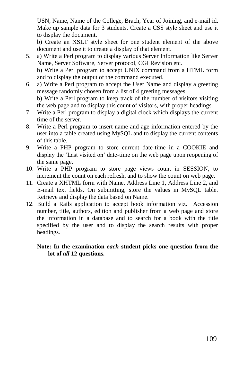USN, Name, Name of the College, Brach, Year of Joining, and e-mail id. Make up sample data for 3 students. Create a CSS style sheet and use it to display the document.

b) Create an XSLT style sheet for one student element of the above document and use it to create a display of that element.

- 5. a) Write a Perl program to display various Server Information like Server Name, Server Software, Server protocol, CGI Revision etc. b) Write a Perl program to accept UNIX command from a HTML form and to display the output of the command executed.
- 6. a) Write a Perl program to accept the User Name and display a greeting message randomly chosen from a list of 4 greeting messages. b) Write a Perl program to keep track of the number of visitors visiting the web page and to display this count of visitors, with proper headings.
- 7. Write a Perl program to display a digital clock which displays the current time of the server.
- 8. Write a Perl program to insert name and age information entered by the user into a table created using MySQL and to display the current contents of this table.
- 9. Write a PHP program to store current date-time in a COOKIE and display the "Last visited on" date-time on the web page upon reopening of the same page.
- 10. Write a PHP program to store page views count in SESSION, to increment the count on each refresh, and to show the count on web page.
- 11. Create a XHTML form with Name, Address Line 1, Address Line 2, and E-mail text fields. On submitting, store the values in MySQL table. Retrieve and display the data based on Name.
- 12. Build a Rails application to accept book information viz. Accession number, title, authors, edition and publisher from a web page and store the information in a database and to search for a book with the title specified by the user and to display the search results with proper headings.

### **Note: In the examination** *each* **student picks one question from the lot of** *all* **12 questions.**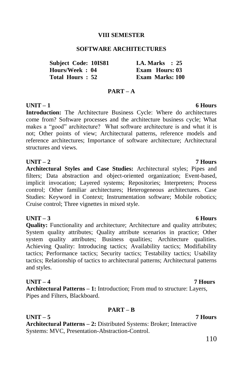### **VIII SEMESTER**

### **SOFTWARE ARCHITECTURES**

| <b>Subject Code: 10IS81</b> | I.A. Marks $\therefore$ 25 |
|-----------------------------|----------------------------|
| Hours/Week: 04              | <b>Exam Hours: 03</b>      |
| Total Hours: 52             | <b>Exam Marks: 100</b>     |

### **PART – A**

### **UNIT – 1 6 Hours**

**Introduction:** The Architecture Business Cycle: Where do architectures come from? Software processes and the architecture business cycle; What makes a "good" architecture? What software architecture is and what it is not; Other points of view; Architectural patterns, reference models and reference architectures; Importance of software architecture; Architectural structures and views.

### **UNIT – 2 7 Hours**

**Architectural Styles and Case Studies:** Architectural styles; Pipes and filters; Data abstraction and object-oriented organization; Event-based, implicit invocation; Layered systems; Repositories; Interpreters; Process control; Other familiar architectures; Heterogeneous architectures. Case Studies: Keyword in Context; Instrumentation software; Mobile robotics; Cruise control; Three vignettes in mixed style.

### **UNIT – 3 6 Hours**

**Quality:** Functionality and architecture; Architecture and quality attributes; System quality attributes; Quality attribute scenarios in practice; Other system quality attributes; Business qualities; Architecture qualities. Achieving Quality: Introducing tactics; Availability tactics; Modifiability tactics; Performance tactics; Security tactics; Testability tactics; Usability tactics; Relationship of tactics to architectural patterns; Architectural patterns and styles.

### **UNIT – 4 7 Hours**

**Architectural Patterns – 1:** Introduction; From mud to structure: Layers, Pipes and Filters, Blackboard.

### **PART – B**

### **UNIT – 5 7 Hours**

**Architectural Patterns – 2:** Distributed Systems: Broker; Interactive Systems: MVC, Presentation-Abstraction-Control.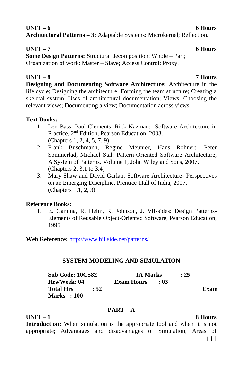# **UNIT – 6 6 Hours Architectural Patterns – 3:** Adaptable Systems: Microkernel; Reflection.

### **UNIT – 7 6 Hours**

**Some Design Patterns:** Structural decomposition: Whole – Part; Organization of work: Master – Slave; Access Control: Proxy.

### **UNIT – 8 7 Hours**

**Designing and Documenting Software Architecture:** Architecture in the life cycle; Designing the architecture; Forming the team structure; Creating a skeletal system. Uses of architectural documentation; Views; Choosing the relevant views; Documenting a view; Documentation across views.

### **Text Books:**

- 1. Len Bass, Paul Clements, Rick Kazman: Software Architecture in Practice, 2nd Edition, Pearson Education, 2003. (Chapters 1, 2, 4, 5, 7, 9)
- 2. Frank Buschmann, Regine Meunier, Hans Rohnert, Peter Sommerlad, Michael Stal: Pattern-Oriented Software Architecture, A System of Patterns, Volume 1, John Wiley and Sons, 2007. (Chapters 2, 3.1 to 3.4)
- 3. Mary Shaw and David Garlan: Software Architecture- Perspectives on an Emerging Discipline, Prentice-Hall of India, 2007. (Chapters 1.1, 2, 3)

### **Reference Books:**

1. E. Gamma, R. Helm, R. Johnson, J. Vlissides: Design Patterns-Elements of Reusable Object-Oriented Software, Pearson Education, 1995.

**Web Reference:** <http://www.hillside.net/patterns/>

### **SYSTEM MODELING AND SIMULATION**

| <b>Sub Code: 10CS82</b> |      | <b>IA Marks</b>        | : 25 |      |
|-------------------------|------|------------------------|------|------|
| Hrs/Week: 04            |      | <b>Exam Hours : 03</b> |      |      |
| Total Hrs               | : 52 |                        |      | Exam |
| Marks : 100             |      |                        |      |      |

### **PART – A**

**UNIT – 1 8 Hours**

**Introduction:** When simulation is the appropriate tool and when it is not appropriate; Advantages and disadvantages of Simulation; Areas of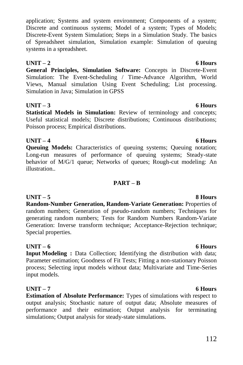application; Systems and system environment; Components of a system; Discrete and continuous systems; Model of a system; Types of Models; Discrete-Event System Simulation; Steps in a Simulation Study. The basics of Spreadsheet simulation, Simulation example: Simulation of queuing systems in a spreadsheet.

# **UNIT – 2 6 Hours**

**General Principles, Simulation Software:** Concepts in Discrete-Event Simulation: The Event-Scheduling / Time-Advance Algorithm, World Views, Manual simulation Using Event Scheduling; List processing. Simulation in Java; Simulation in GPSS

# **UNIT – 3 6 Hours**

**Statistical Models in Simulation:** Review of terminology and concepts; Useful statistical models; Discrete distributions; Continuous distributions; Poisson process; Empirical distributions.

# **UNIT – 4 6 Hours**

**Queuing Models:** Characteristics of queuing systems; Queuing notation; Long-run measures of performance of queuing systems; Steady-state behavior of M/G/1 queue; Networks of queues; Rough-cut modeling: An illustration..

# **PART – B**

**UNIT – 5 8 Hours Random-Number Generation, Random-Variate Generation:** Properties of random numbers; Generation of pseudo-random numbers; Techniques for generating random numbers; Tests for Random Numbers Random-Variate Generation: Inverse transform technique; Acceptance-Rejection technique; Special properties.

### **UNIT – 6 6 Hours**

**Input Modeling :** Data Collection; Identifying the distribution with data; Parameter estimation; Goodness of Fit Tests; Fitting a non-stationary Poisson process; Selecting input models without data; Multivariate and Time-Series input models.

# **UNIT – 7 6 Hours**

**Estimation of Absolute Performance:** Types of simulations with respect to output analysis; Stochastic nature of output data; Absolute measures of performance and their estimation; Output analysis for terminating simulations; Output analysis for steady-state simulations.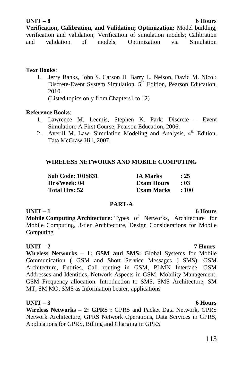### **UNIT – 8 6 Hours**

**Verification, Calibration, and Validation; Optimization:** Model building, verification and validation; Verification of simulation models; Calibration and validation of models, Optimization via Simulation

### **Text Books**:

1. Jerry Banks, John S. Carson II, Barry L. Nelson, David M. Nicol: Discrete-Event System Simulation, 5<sup>th</sup> Edition, Pearson Education, 2010. (Listed topics only from Chapters1 to 12)

### **Reference Books**:

- 1. Lawrence M. Leemis, Stephen K. Park: Discrete Event Simulation: A First Course, Pearson Education, 2006.
- 2. Averill M. Law: Simulation Modeling and Analysis,  $4<sup>th</sup>$  Edition. Tata McGraw-Hill, 2007.

### **WIRELESS NETWORKS AND MOBILE COMPUTING**

| Sub Code: 10IS831    | <b>IA Marks</b>   | : 25       |
|----------------------|-------------------|------------|
| Hrs/Week: 04         | <b>Exam Hours</b> | $\cdot$ 03 |
| <b>Total Hrs: 52</b> | Exam Marks        | $\pm 100$  |

### **PART-A**

### **UNIT – 1 6 Hours**

**Mobile Computing Architecture:** Types of Networks, Architecture for Mobile Computing, 3-tier Architecture, Design Considerations for Mobile Computing

### **UNIT – 2 7 Hours**

**Wireless Networks – 1: GSM and SMS:** Global Systems for Mobile Communication ( GSM and Short Service Messages ( SMS): GSM Architecture, Entities, Call routing in GSM, PLMN Interface, GSM Addresses and Identities, Network Aspects in GSM, Mobility Management, GSM Frequency allocation. Introduction to SMS, SMS Architecture, SM MT, SM MO, SMS as Information bearer, applications

### **UNIT – 3 6 Hours**

**Wireless Networks – 2: GPRS :** GPRS and Packet Data Network, GPRS Network Architecture, GPRS Network Operations, Data Services in GPRS, Applications for GPRS, Billing and Charging in GPRS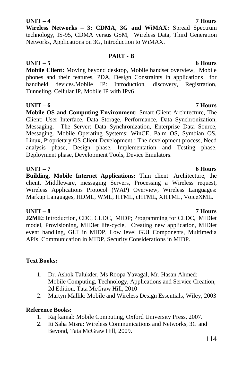# 114

### **UNIT – 4 7 Hours**

**Wireless Networks – 3: CDMA, 3G and WiMAX:** Spread Spectrum technology, IS-95, CDMA versus GSM, Wireless Data, Third Generation Networks, Applications on 3G, Introduction to WiMAX.

### **PART - B**

### **UNIT – 5 6 Hours**

**Mobile Client:** Moving beyond desktop, Mobile handset overview, Mobile phones and their features, PDA, Design Constraints in applications for handheld devices.Mobile IP: Introduction, discovery, Registration, Tunneling, Cellular IP, Mobile IP with IPv6

### **UNIT – 6 7 Hours**

**Mobile OS and Computing Environment:** Smart Client Architecture, The Client: User Interface, Data Storage, Performance, Data Synchronization, Messaging. The Server: Data Synchronization, Enterprise Data Source, Messaging. Mobile Operating Systems: WinCE, Palm OS, Symbian OS, Linux, Proprietary OS Client Development : The development process, Need analysis phase, Design phase, Implementation and Testing phase, Deployment phase, Development Tools, Device Emulators.

### **UNIT – 7 6 Hours**

**Building, Mobile Internet Applications:** Thin client: Architecture, the client, Middleware, messaging Servers, Processing a Wireless request, Wireless Applications Protocol (WAP) Overview, Wireless Languages: Markup Languages, HDML, WML, HTML, cHTML, XHTML, VoiceXML.

### **UNIT – 8 7 Hours**

**J2ME:** Introduction, CDC, CLDC, MIDP; Programming for CLDC, MIDlet model, Provisioning, MIDlet life-cycle, Creating new application, MIDlet event handling, GUI in MIDP, Low level GUI Components, Multimedia APIs; Communication in MIDP, Security Considerations in MIDP.

### **Text Books:**

- 1. Dr. Ashok Talukder, Ms Roopa Yavagal, Mr. Hasan Ahmed: Mobile Computing, Technology, Applications and Service Creation, 2d Edition, Tata McGraw Hill, 2010
- 2. Martyn Mallik: Mobile and Wireless Design Essentials, Wiley, 2003

### **Reference Books:**

- 1. Raj kamal: Mobile Computing, Oxford University Press, 2007.
- 2. Iti Saha Misra: Wireless Communications and Networks, 3G and Beyond, Tata McGraw Hill, 2009.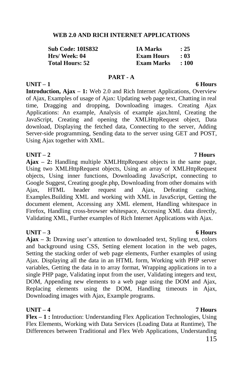### **WEB 2.0 AND RICH INTERNET APPLICATIONS**

| <b>Sub Code: 10IS832</b> | <b>IA Marks</b>   | : 25       |
|--------------------------|-------------------|------------|
| Hrs/Week: 04             | <b>Exam Hours</b> | $\cdot$ 03 |
| <b>Total Hours: 52</b>   | Exam Marks        | : 100      |

### **PART - A**

### **UNIT – 1 6 Hours**

**Introduction, Ajax – 1:** Web 2.0 and Rich Internet Applications, Overview of Ajax, Examples of usage of Ajax: Updating web page text, Chatting in real time, Dragging and dropping, Downloading images. Creating Ajax Applications: An example, Analysis of example ajax.html, Creating the JavaScript, Creating and opening the XMLHttpRequest object, Data download, Displaying the fetched data, Connecting to the server, Adding Server-side programming, Sending data to the server using GET and POST, Using Ajax together with XML.

**UNIT – 2 7 Hours Ajax – 2:** Handling multiple XMLHttpRequest objects in the same page, Using two XMLHttpRequest objects, Using an array of XMLHttpRequest objects, Using inner functions, Downloading JavaScript, connecting to Google Suggest, Creating google.php, Downloading from other domains with Ajax, HTML header request and Ajax, Defeating caching, Examples.Building XML and working with XML in JavaScript, Getting the document element, Accessing any XML element, Handling whitespace in Firefox, Handling cross-browser whitespace, Accessing XML data directly, Validating XML, Further examples of Rich Internet Applications with Ajax.

### **UNIT – 3 6 Hours**

**Ajax – 3:** Drawing user"s attention to downloaded text, Styling text, colors and background using CSS, Setting element location in the web pages, Setting the stacking order of web page elements, Further examples of using Ajax. Displaying all the data in an HTML form, Working with PHP server variables, Getting the data in to array format, Wrapping applications in to a single PHP page, Validating input from the user, Validating integers and text, DOM, Appending new elements to a web page using the DOM and Ajax, Replacing elements using the DOM, Handling timeouts in Ajax, Downloading images with Ajax, Example programs.

### **UNIT – 4 7 Hours**

**Flex – 1 :** Introduction: Understanding Flex Application Technologies, Using Flex Elements, Working with Data Services (Loading Data at Runtime), The Differences between Traditional and Flex Web Applications, Understanding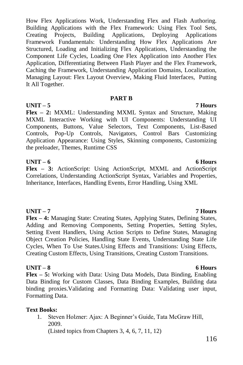How Flex Applications Work, Understanding Flex and Flash Authoring. Building Applications with the Flex Framework: Using Flex Tool Sets, Creating Projects, Building Applications, Deploying Applications Framework Fundamentals: Understanding How Flex Applications Are Structured, Loading and Initializing Flex Applications, Understanding the Component Life Cycles, Loading One Flex Application into Another Flex Application, Differentiating Between Flash Player and the Flex Framework, Caching the Framework, Understanding Application Domains, Localization, Managing Layout: Flex Layout Overview, Making Fluid Interfaces, Putting It All Together.

### **PART B**

**UNIT – 5 7 Hours Flex – 2:** MXML: Understanding MXML Syntax and Structure, Making MXML Interactive Working with UI Components: Understanding UI Components, Buttons, Value Selectors, Text Components, List-Based Controls, Pop-Up Controls, Navigators, Control Bars Customizing Application Appearance: Using Styles, Skinning components, Customizing the preloader, Themes, Runtime CSS

### **UNIT – 6 6 Hours**

**Flex – 3:** ActionScript: Using ActionScript, MXML and ActionScript Correlations, Understanding ActionScript Syntax, Variables and Properties, Inheritance, Interfaces, Handling Events, Error Handling, Using XML

### **UNIT – 7 7 Hours**

**Flex – 4:** Managing State: Creating States, Applying States, Defining States, Adding and Removing Components, Setting Properties, Setting Styles, Setting Event Handlers, Using Action Scripts to Define States, Managing Object Creation Policies, Handling State Events, Understanding State Life Cycles, When To Use States.Using Effects and Transitions: Using Effects, Creating Custom Effects, Using Transitions, Creating Custom Transitions.

### **UNIT – 8 6 Hours**

**Flex – 5:** Working with Data: Using Data Models, Data Binding, Enabling Data Binding for Custom Classes, Data Binding Examples, Building data binding proxies.Validating and Formatting Data: Validating user input, Formatting Data.

### **Text Books:**

1. Steven Holzner: Ajax: A Beginner"s Guide, Tata McGraw Hill, 2009.

(Listed topics from Chapters 3, 4, 6, 7, 11, 12)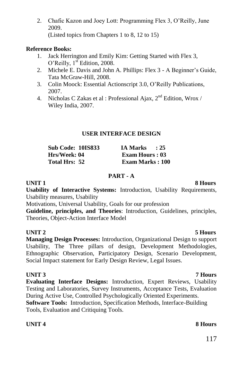2. Chafic Kazon and Joey Lott: Programming Flex 3, O"Reilly, June 2009.

# (Listed topics from Chapters 1 to 8, 12 to 15)

### **Reference Books:**

- 1. Jack Herrington and Emily Kim: Getting Started with Flex 3, O'Reilly, 1<sup>st</sup> Edition, 2008.
- 2. Michele E. Davis and John A. Phillips: Flex 3 A Beginner"s Guide, Tata McGraw-Hill, 2008.
- 3. Colin Moock: Essential Actionscript 3.0, O"Reilly Publications, 2007.
- 4. Nicholas C Zakas et al : Professional Ajax,  $2<sup>nd</sup>$  Edition, Wrox / Wiley India, 2007.

### **USER INTERFACE DESIGN**

| <b>Sub Code: 10IS833</b> | <b>IA Marks</b><br>: 25 |
|--------------------------|-------------------------|
| Hrs/Week: 04             | <b>Exam Hours: 03</b>   |
| Total Hrs: 52            | <b>Exam Marks</b> : 100 |

### **PART - A**

**Usability of Interactive Systems:** Introduction, Usability Requirements, Usability measures, Usability

Motivations, Universal Usability, Goals for our profession

**Guideline, principles, and Theories**: Introduction, Guidelines, principles, Theories, Object-Action Interface Model

### **UNIT 2 5 Hours**

**Managing Design Processes:** Introduction, Organizational Design to support Usability, The Three pillars of design, Development Methodologies, Ethnographic Observation, Participatory Design, Scenario Development, Social Impact statement for Early Design Review, Legal Issues.

**Evaluating Interface Designs:** Introduction, Expert Reviews, Usability Testing and Laboratories, Survey Instruments, Acceptance Tests, Evaluation During Active Use, Controlled Psychologically Oriented Experiments.

**Software Tools:** Introduction, Specification Methods, Interface-Building Tools, Evaluation and Critiquing Tools.

### **UNIT 4 8 Hours**

### **UNIT 1** 8 **Hours**

# **UNIT 3 7 Hours**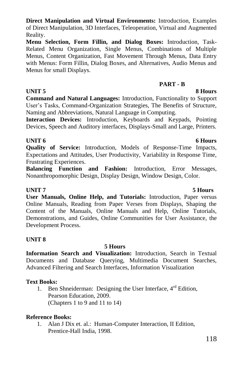**Direct Manipulation and Virtual Environments:** Introduction, Examples of Direct Manipulation, 3D Interfaces, Teleoperation, Virtual and Augmented Reality.

**Menu Selection, Form Fillin, and Dialog Boxes:** Introduction, Task-Related Menu Organization, Single Menus, Combinations of Multiple Menus, Content Organization, Fast Movement Through Menus, Data Entry with Menus: Form Fillin, Dialog Boxes, and Alternatives, Audio Menus and Menus for small Displays.

### **PART - B**

**UNIT 5** 8 **Hours Command and Natural Languages:** Introduction, Functionality to Support User"s Tasks, Command-Organization Strategies, The Benefits of Structure, Naming and Abbreviations, Natural Language in Computing.

**Interaction Devices:** Introduction, Keyboards and Keypads, Pointing Devices, Speech and Auditory interfaces, Displays-Small and Large, Printers.

### **UNIT 6** 6 Hours

**Quality of Service:** Introduction, Models of Response-Time Impacts, Expectations and Attitudes, User Productivity, Variability in Response Time, Frustrating Experiences.

**Balancing Function and Fashion:** Introduction, Error Messages, Nonanthropomorphic Design, Display Design, Window Design, Color.

**User Manuals, Online Help, and Tutorials:** Introduction, Paper versus Online Manuals, Reading from Paper Verses from Displays, Shaping the Content of the Manuals, Online Manuals and Help, Online Tutorials, Demonstrations, and Guides, Online Communities for User Assistance, the Development Process.

### **UNIT 8**

### **5 Hours**

**Information Search and Visualization:** Introduction, Search in Textual Documents and Database Querying, Multimedia Document Searches, Advanced Filtering and Search Interfaces, Information Visualization

### **Text Books:**

1. Ben Shneiderman: Designing the User Interface,  $4<sup>rd</sup>$  Edition, Pearson Education, 2009. (Chapters 1 to 9 and 11 to 14)

### **Reference Books:**

1. Alan J Dix et. al.: Human-Computer Interaction, II Edition, Prentice-Hall India, 1998.

# **UNIT 7 5 Hours**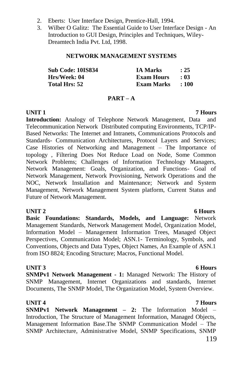- 2. Eberts: User Interface Design, Prentice-Hall, 1994.
- 3. Wilber O Galitz: The Essential Guide to User Interface Design An Introduction to GUI Design, Principles and Techniques, Wiley-Dreamtech India Pvt. Ltd, 1998.

### **NETWORK MANAGEMENT SYSTEMS**

| Sub Code: 10IS834    | <b>IA Marks</b>   | : 25  |
|----------------------|-------------------|-------|
| Hrs/Week: 04         | <b>Exam Hours</b> | - 03  |
| <b>Total Hrs: 52</b> | Exam Marks        | : 100 |

### **PART – A**

**Introduction:** Analogy of Telephone Network Management, Data and Telecommunication Network Distributed computing Environments, TCP/IP-Based Networks: The Internet and Intranets, Communications Protocols and Standards- Communication Architectures, Protocol Layers and Services; Case Histories of Networking and Management – The Importance of topology , Filtering Does Not Reduce Load on Node, Some Common Network Problems; Challenges of Information Technology Managers, Network Management: Goals, Organization, and Functions- Goal of Network Management, Network Provisioning, Network Operations and the NOC, Network Installation and Maintenance; Network and System Management, Network Management System platform, Current Status and Future of Network Management.

**Basic Foundations: Standards, Models, and Language:** Network Management Standards, Network Management Model, Organization Model, Information Model – Management Information Trees, Managed Object Perspectives, Communication Model; ASN.1- Terminology, Symbols, and Conventions, Objects and Data Types, Object Names, An Example of ASN.1 from ISO 8824; Encoding Structure; Macros, Functional Model.

### **UNIT 3** 6 Hours

**SNMPv1 Network Management - 1:** Managed Network: The History of SNMP Management, Internet Organizations and standards, Internet Documents, The SNMP Model, The Organization Model, System Overview.

**UNIT 4 7 Hours SNMPv1 Network Management – 2:** The Information Model – Introduction, The Structure of Management Information, Managed Objects, Management Information Base.The SNMP Communication Model – The SNMP Architecture, Administrative Model, SNMP Specifications, SNMP

### **UNIT 2** 6 Hours

### 119

### **UNIT 1 7 Hours**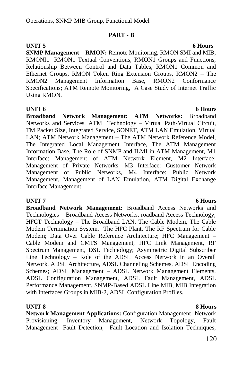### **PART - B**

**SNMP Management – RMON:** Remote Monitoring, RMON SMI and MIB, RMONI1- RMON1 Textual Conventions, RMON1 Groups and Functions, Relationship Between Control and Data Tables, RMON1 Common and Ethernet Groups, RMON Token Ring Extension Groups, RMON2 – The RMON2 Management Information Base, RMON2 Conformance Specifications; ATM Remote Monitoring, A Case Study of Internet Traffic Using RMON.

### **UNIT 6 6 Hours**

**Broadband Network Management: ATM Networks:** Broadband Networks and Services, ATM Technology – Virtual Path-Virtual Circuit, TM Packet Size, Integrated Service, SONET, ATM LAN Emulation, Virtual LAN; ATM Network Management – The ATM Network Reference Model, The Integrated Local Management Interface, The ATM Management Information Base, The Role of SNMP and ILMI in ATM Management, M1 Interface: Management of ATM Network Element, M2 Interface: Management of Private Networks, M3 Interface: Customer Network Management of Public Networks, M4 Interface: Public Network Management, Management of LAN Emulation, ATM Digital Exchange Interface Management.

**Broadband Network Management:** Broadband Access Networks and Technologies – Broadband Access Networks, roadband Access Technology; HFCT Technology – The Broadband LAN, The Cable Modem, The Cable Modem Termination System, The HFC Plant, The RF Spectrum for Cable Modem; Data Over Cable Reference Architecture; HFC Management – Cable Modem and CMTS Management, HFC Link Management, RF Spectrum Management, DSL Technology; Asymmetric Digital Subscriber Line Technology – Role of the ADSL Access Network in an Overall Network, ADSL Architecture, ADSL Channeling Schemes, ADSL Encoding Schemes; ADSL Management – ADSL Network Management Elements, ADSL Configuration Management, ADSL Fault Management, ADSL Performance Management, SNMP-Based ADSL Line MIB, MIB Integration with Interfaces Groups in MIB-2, ADSL Configuration Profiles.

### **UNIT 8 8 Hours**

**Network Management Applications:** Configuration Management- Network Provisioning, Inventory Management, Network Topology, Fault Management- Fault Detection, Fault Location and Isolation Techniques,

### **UNIT 7** 6 Hours

### **UNIT 5** 6 Hours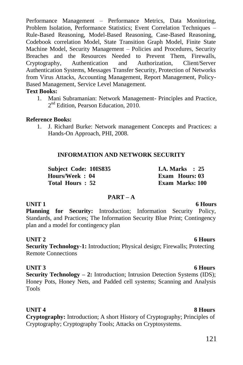Performance Management – Performance Metrics, Data Monitoring, Problem Isolation, Performance Statistics; Event Correlation Techniques – Rule-Based Reasoning, Model-Based Reasoning, Case-Based Reasoning, Codebook correlation Model, State Transition Graph Model, Finite State Machine Model, Security Management – Policies and Procedures, Security Breaches and the Resources Needed to Prevent Them, Firewalls, Cryptography, Authentication and Authorization, Client/Server Authentication Systems, Messages Transfer Security, Protection of Networks from Virus Attacks, Accounting Management, Report Management, Policy-Based Management, Service Level Management.

### **Text Books:**

1. Mani Subramanian: Network Management- Principles and Practice, 2<sup>nd</sup> Edition, Pearson Education, 2010.

### **Reference Books:**

1. J. Richard Burke: Network management Concepts and Practices: a Hands-On Approach, PHI, 2008.

### **INFORMATION AND NETWORK SECURITY**

**Subject Code: 10IS835 I.A. Marks : 25 Hours/Week : 04 Exam Hours: 03 Total Hours : 52 Exam Marks: 100**

### **PART – A**

**UNIT 1** 6 Hours Planning for Security: Introduction; Information Security Policy, Standards, and Practices; The Information Security Blue Print; Contingency plan and a model for contingency plan

### **UNIT 2** 6 Hours

**Security Technology-1:** Introduction; Physical design; Firewalls; Protecting Remote Connections

### **UNIT 3** 6 Hours

**Security Technology – 2:** Introduction; Intrusion Detection Systems (IDS); Honey Pots, Honey Nets, and Padded cell systems; Scanning and Analysis Tools

**UNIT 4** 8 Hours **Cryptography:** Introduction; A short History of Cryptography; Principles of Cryptography; Cryptography Tools; Attacks on Cryptosystems.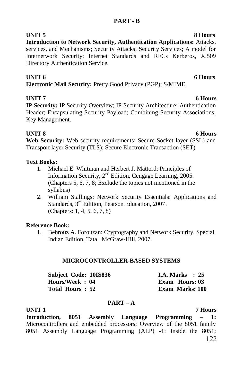**UNIT 5** 8 Hours **Introduction to Network Security, Authentication Applications:** Attacks, services, and Mechanisms; Security Attacks; Security Services; A model for Internetwork Security; Internet Standards and RFCs Kerberos, X.509 Directory Authentication Service.

### **UNIT 6** 6 Hours

**Electronic Mail Security:** Pretty Good Privacy (PGP); S/MIME

**UNIT 7** 6 Hours **IP Security:** IP Security Overview; IP Security Architecture; Authentication Header; Encapsulating Security Payload; Combining Security Associations; Key Management.

**UNIT 8** 6 Hours **Web Security:** Web security requirements; Secure Socket layer (SSL) and Transport layer Security (TLS); Secure Electronic Transaction (SET)

### **Text Books:**

- 1. Michael E. Whitman and Herbert J. Mattord: Principles of Information Security, 2nd Edition, Cengage Learning, 2005. (Chapters 5, 6, 7, 8; Exclude the topics not mentioned in the syllabus)
- 2. William Stallings: Network Security Essentials: Applications and Standards, 3<sup>rd</sup> Edition, Pearson Education, 2007. (Chapters: 1, 4, 5, 6, 7, 8)

### **Reference Book:**

1. Behrouz A. Forouzan: Cryptography and Network Security, Special Indian Edition, Tata McGraw-Hill, 2007.

### **MICROCONTROLLER-BASED SYSTEMS**

| <b>Subject Code: 10IS836</b> |  | <b>I.A.</b> Marks $\therefore$ 25 |  |
|------------------------------|--|-----------------------------------|--|
| Hours/Week: 04               |  | Exam Hours: 03                    |  |
| Total Hours: 52              |  | <b>Exam Marks: 100</b>            |  |

### **PART – A**

**UNIT 1 7 Hours Introduction, 8051 Assembly Language Programming – 1:**  Microcontrollers and embedded processors; Overview of the 8051 family 8051 Assembly Language Programming (ALP) -1: Inside the 8051;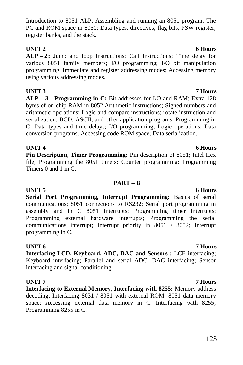123

### Introduction to 8051 ALP; Assembling and running an 8051 program; The PC and ROM space in 8051; Data types, directives, flag bits, PSW register, register banks, and the stack.

# **UNIT 2** 6 Hours

**ALP – 2:** Jump and loop instructions; Call instructions; Time delay for various 8051 family members; I/O programming; I/O bit manipulation programming. Immediate and register addressing modes; Accessing memory using various addressing modes.

**UNIT 3 7 Hours ALP – 3 - Programming in C:** Bit addresses for I/O and RAM; Extra 128 bytes of on-chip RAM in 8052.Arithmetic instructions; Signed numbers and arithmetic operations; Logic and compare instructions; rotate instruction and serialization; BCD, ASCII, and other application programs. Programming in C: Data types and time delays; I/O programming; Logic operations; Data conversion programs; Accessing code ROM space; Data serialization.

### **UNIT 4** 6 Hours

**Pin Description, Timer Programming:** Pin description of 8051; Intel Hex file; Programming the 8051 timers; Counter programming; Programming Timers 0 and 1 in C.

### **PART – B**

**UNIT 5** 6 Hours **Serial Port Programming, Interrupt Programming:** Basics of serial communications; 8051 connections to RS232; Serial port programming in assembly and in C 8051 interrupts; Programming timer interrupts; Programming external hardware interrupts; Programming the serial communications interrupt; Interrupt priority in 8051 / 8052; Interrupt programming in C.

**UNIT 6 7 Hours Interfacing LCD, Keyboard, ADC, DAC and Sensors :** LCE interfacing; Keyboard interfacing; Parallel and serial ADC; DAC interfacing; Sensor interfacing and signal conditioning

### **UNIT 7 7 Hours**

**Interfacing to External Memory, Interfacing with 8255:** Memory address decoding; Interfacing 8031 / 8051 with external ROM; 8051 data memory space; Accessing external data memory in C. Interfacing with 8255; Programming 8255 in C.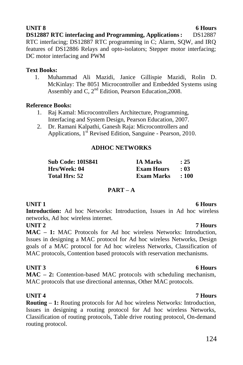**DS12887 RTC interfacing and Programming, Applications:** DS12887 RTC interfacing; DS12887 RTC programming in C; Alarm, SQW, and IRQ features of DS12886 Relays and opto-isolators; Stepper motor interfacing; DC motor interfacing and PWM

### **Text Books:**

1. Muhammad Ali Mazidi, Janice Gillispie Mazidi, Rolin D. McKinlay: The 8051 Microcontroller and Embedded Systems using Assembly and C,  $2<sup>nd</sup>$  Edition, Pearson Education, 2008.

### **Reference Books:**

- 1. Raj Kamal: Microcontrollers Architecture, Programming, Interfacing and System Design, Pearson Education, 2007.
- 2. Dr. Ramani Kalpathi, Ganesh Raja: Microcontrollers and Applications,  $1<sup>st</sup>$  Revised Edition, Sanguine - Pearson, 2010.

### **ADHOC NETWORKS**

| Sub Code: 10IS841 | <b>IA Marks</b>   | : 25      |
|-------------------|-------------------|-----------|
| Hrs/Week: 04      | <b>Exam Hours</b> | - 03      |
| Total Hrs: 52     | Exam Marks        | $\pm 100$ |

### **PART – A**

**Introduction:** Ad hoc Networks: Introduction, Issues in Ad hoc wireless networks, Ad hoc wireless internet.

**UNIT 2 7 Hours**

**MAC – 1:** MAC Protocols for Ad hoc wireless Networks: Introduction, Issues in designing a MAC protocol for Ad hoc wireless Networks, Design goals of a MAC protocol for Ad hoc wireless Networks, Classification of MAC protocols, Contention based protocols with reservation mechanisms.

### **UNIT 3** 6 Hours

**MAC – 2:** Contention-based MAC protocols with scheduling mechanism, MAC protocols that use directional antennas, Other MAC protocols.

### **UNIT 4 7 Hours**

**Routing – 1:** Routing protocols for Ad hoc wireless Networks: Introduction, Issues in designing a routing protocol for Ad hoc wireless Networks, Classification of routing protocols, Table drive routing protocol, On-demand routing protocol.

### **UNIT 1** 6 Hours

# 124

### **UNIT 8** 6 Hours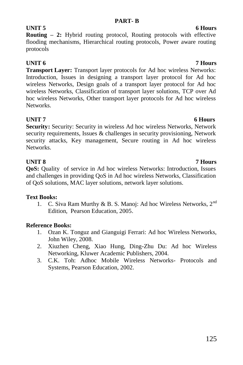### **PART- B**

## **Routing – 2:** Hybrid routing protocol, Routing protocols with effective flooding mechanisms, Hierarchical routing protocols, Power aware routing protocols

# **UNIT 6 7 Hours**

**Transport Layer:** Transport layer protocols for Ad hoc wireless Networks: Introduction, Issues in designing a transport layer protocol for Ad hoc wireless Networks, Design goals of a transport layer protocol for Ad hoc wireless Networks, Classification of transport layer solutions, TCP over Ad hoc wireless Networks, Other transport layer protocols for Ad hoc wireless Networks.

**UNIT 7** 6 Hours **Security:** Security: Security in wireless Ad hoc wireless Networks, Network security requirements, Issues & challenges in security provisioning, Network security attacks, Key management, Secure routing in Ad hoc wireless Networks.

**UNIT 8 7 Hours QoS:** Quality of service in Ad hoc wireless Networks: Introduction, Issues and challenges in providing QoS in Ad hoc wireless Networks, Classification of QoS solutions, MAC layer solutions, network layer solutions.

### **Text Books:**

1. C. Siva Ram Murthy & B. S. Manoj: Ad hoc Wireless Networks, 2<sup>nd</sup> Edition, Pearson Education, 2005.

### **Reference Books:**

- 1. Ozan K. Tonguz and Gianguigi Ferrari: Ad hoc Wireless Networks, John Wiley, 2008.
- 2. Xiuzhen Cheng, Xiao Hung, Ding-Zhu Du: Ad hoc Wireless Networking, Kluwer Academic Publishers, 2004.
- 3. C.K. Toh: Adhoc Mobile Wireless Networks- Protocols and Systems, Pearson Education, 2002.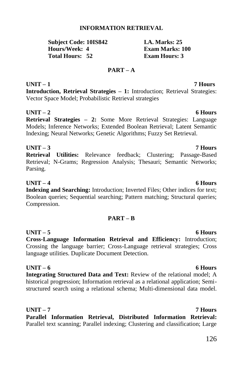126

**PART – A**

**UNIT – 1 7 Hours Introduction, Retrieval Strategies – 1:** Introduction; Retrieval Strategies: Vector Space Model; Probabilistic Retrieval strategies

**UNIT – 2 6 Hours Retrieval Strategies – 2:** Some More Retrieval Strategies: Language Models; Inference Networks; Extended Boolean Retrieval; Latent Semantic Indexing; Neural Networks; Genetic Algorithms; Fuzzy Set Retrieval.

**UNIT – 3 7 Hours Retrieval Utilities:** Relevance feedback; Clustering; Passage-Based Retrieval; N-Grams; Regression Analysis; Thesauri; Semantic Networks; Parsing.

**UNIT – 4 6 Hours Indexing and Searching:** Introduction; Inverted Files; Other indices for text; Boolean queries; Sequential searching; Pattern matching; Structural queries; Compression.

# **PART – B**

**UNIT – 5 6 Hours Cross-Language Information Retrieval and Efficiency:** Introduction; Crossing the language barrier; Cross-Language retrieval strategies; Cross language utilities. Duplicate Document Detection.

**UNIT – 6 6 Hours Integrating Structured Data and Text:** Review of the relational model; A historical progression; Information retrieval as a relational application; Semistructured search using a relational schema; Multi-dimensional data model.

# **UNIT – 7 7 Hours**

**Parallel Information Retrieval, Distributed Information Retrieval:**  Parallel text scanning; Parallel indexing; Clustering and classification; Large

# **INFORMATION RETRIEVAL**

# **Subject Code: 10IS842 1.4. Marks: 25<br>
Hours/Week: 4 Exam Marks: 1 Total Hours: 52**

**Exam Marks: 100**<br>**Exam Hours: 3**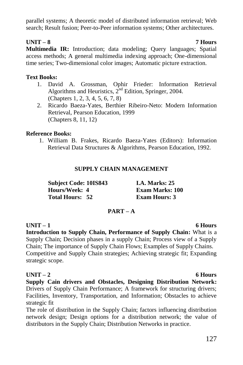parallel systems; A theoretic model of distributed information retrieval; Web search; Result fusion; Peer-to-Peer information systems; Other architectures.

### **UNIT – 8 7 Hours**

**Multimedia IR:** Introduction; data modeling; Query languages; Spatial access methods; A general multimedia indexing approach; One-dimensional time series; Two-dimensional color images; Automatic picture extraction.

### **Text Books:**

- 1. David A. Grossman, Ophir Frieder: Information Retrieval Algorithms and Heuristics,  $2^{nd}$  Edition, Springer, 2004. (Chapters 1, 2, 3, 4, 5, 6, 7, 8)
- 2. Ricardo Baeza-Yates, Berthier Ribeiro-Neto: Modern Information Retrieval, Pearson Education, 1999 (Chapters 8, 11, 12)

### **Reference Books:**

1. William B. Frakes, Ricardo Baeza-Yates (Editors): Information Retrieval Data Structures & Algorithms, Pearson Education, 1992.

### **SUPPLY CHAIN MANAGEMENT**

| <b>Subject Code: 10IS843</b> | <b>I.A. Marks: 25</b>  |
|------------------------------|------------------------|
| Hours/Week: 4                | <b>Exam Marks: 100</b> |
| <b>Total Hours: 52</b>       | <b>Exam Hours: 3</b>   |

### **PART – A**

### **UNIT – 1 6 Hours**

**Introduction to Supply Chain, Performance of Supply Chain:** What is a Supply Chain; Decision phases in a supply Chain; Process view of a Supply Chain; The importance of Supply Chain Flows; Examples of Supply Chains. Competitive and Supply Chain strategies; Achieving strategic fit; Expanding strategic scope.

### **UNIT – 2 6 Hours**

**Supply Cain drivers and Obstacles, Designing Distribution Network:**  Drivers of Supply Chain Performance; A framework for structuring drivers; Facilities, Inventory, Transportation, and Information; Obstacles to achieve strategic fit

The role of distribution in the Supply Chain; factors influencing distribution network design; Design options for a distribution network; the value of distributors in the Supply Chain; Distribution Networks in practice.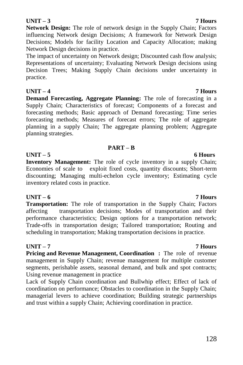### **UNIT – 3 7 Hours**

**Network Design:** The role of network design in the Supply Chain; Factors influencing Network design Decisions; A framework for Network Design Decisions; Models for facility Location and Capacity Allocation; making Network Design decisions in practice.

The impact of uncertainty on Network design; Discounted cash flow analysis; Representations of uncertainty; Evaluating Network Design decisions using Decision Trees; Making Supply Chain decisions under uncertainty in practice.

### **UNIT – 4 7 Hours**

**Demand Forecasting, Aggregate Planning:** The role of forecasting in a Supply Chain; Characteristics of forecast; Components of a forecast and forecasting methods; Basic approach of Demand forecasting; Time series forecasting methods; Measures of forecast errors; The role of aggregate planning in a supply Chain; The aggregate planning problem; Aggregate planning strategies.

### **PART – B**

### **UNIT – 5 6 Hours**

**Inventory Management:** The role of cycle inventory in a supply Chain; Economies of scale to exploit fixed costs, quantity discounts; Short-term discounting; Managing multi-echelon cycle inventory; Estimating cycle inventory related costs in practice.

### **UNIT – 6 7 Hours**

**Transportation:** The role of transportation in the Supply Chain; Factors affecting transportation decisions; Modes of transportation and their performance characteristics; Design options for a transportation network; Trade-offs in transportation design; Tailored transportation; Routing and scheduling in transportation; Making transportation decisions in practice.

### **UNIT – 7 7 Hours**

**Pricing and Revenue Management, Coordination :** The role of revenue management in Supply Chain; revenue management for multiple customer segments, perishable assets, seasonal demand, and bulk and spot contracts; Using revenue management in practice

Lack of Supply Chain coordination and Bullwhip effect; Effect of lack of coordination on performance; Obstacles to coordination in the Supply Chain; managerial levers to achieve coordination; Building strategic partnerships and trust within a supply Chain; Achieving coordination in practice.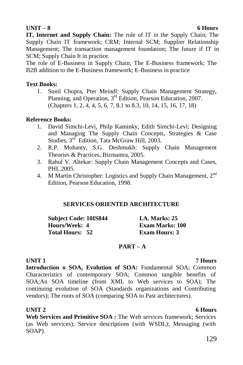**UNIT – 8 6 Hours IT, Internet and Supply Chain:** The role of IT in the Supply Chain; The Supply Chain IT framework; CRM; Internal SCM; Supplier Relationship Management; The transaction management foundation; The future if IT in SCM; Supply Chain It in practice.

The role of E-Business in Supply Chain; The E-Business framework; The B2B addition to the E-Business framework; E-Business in practice

### **Text Books:**

1. Sunil Chopra, Pter Meindl: Supply Chain Management Strategy, Planning, and Operation, 3<sup>rd</sup> Edition, Pearson Education, 2007. (Chapters 1, 2, 4, 4, 5, 6, 7, 8.1 to 8.3, 10, 14, 15, 16, 17, 18)

### **Reference Books:**

- 1. David Simchi-Levi, Philp Kaminky, Edith Simchi-Levi: Designing and Managing The Supply Chain Concepts, Strategies & Case Studies, 3<sup>rd</sup> Edition, Tata McGraw Hill, 2003.
- 2. R.P. Mohanty, S.G. Deshmukh: Supply Chain Management Theories & Practices, Bizmantra, 2005.
- 3. Rahul V. Altekar: Supply Chain Management Concepts and Cases, PHI, 2005.
- 4. M Martin Christopher: Logistics and Supply Chain Management, 2nd Edition, Pearson Education, 1998.

### **SERVICES ORIENTED ARCHITECTURE**

| <b>Subject Code: 10IS844</b> | <b>I.A. Marks: 25</b>  |
|------------------------------|------------------------|
| Hours/Week: 4                | <b>Exam Marks: 100</b> |
| <b>Total Hours: 52</b>       | <b>Exam Hours: 3</b>   |

### **PART – A**

### **UNIT 1 7 Hours**

**Introduction o SOA, Evolution of SOA:** Fundamental SOA; Common Characteristics of contemporary SOA; Common tangible benefits of SOA;An SOA timeline (from XML to Web services to SOA); The continuing evolution of SOA (Standards organizations and Contributing vendors); The roots of SOA (comparing SOA to Past architectures).

### **UNIT 2** 6 Hours

**Web Services and Primitive SOA :** The Web services framework; Services (as Web services); Service descriptions (with WSDL); Messaging (with SOAP).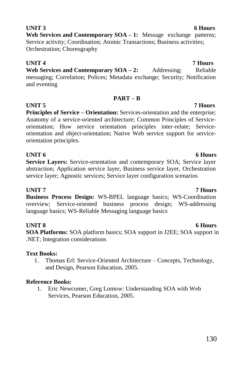# **UNIT 3** 6 Hours

**Web Services and Contemporary SOA – 1:** Message exchange patterns; Service activity; Coordination; Atomic Transactions; Business activities; Orchestration; Choreography

### **UNIT 4 7 Hours** Web Services and Contemporary SOA – 2: Addressing; Reliable messaging; Correlation; Polices; Metadata exchange; Security; Notification and eventing

### **PART – B**

**UNIT 5 7 Hours Principles of Service – Orientation:** Services-orientation and the enterprise; Anatomy of a service-oriented architecture; Common Principles of Serviceorientation; How service orientation principles inter-relate; Serviceorientation and object-orientation; Native Web service support for serviceorientation principles.

### **UNIT 6** 6 Hours

**Service Layers:** Service-orientation and contemporary SOA; Service layer abstraction; Application service layer, Business service layer, Orchestration service layer; Agnostic services; Service layer configuration scenarios

### **UNIT 7 7 Hours**

**Business Process Design:** WS-BPEL language basics; WS-Coordination overview; Service-oriented business process design; WS-addressing language basics; WS-Reliable Messaging language basics

### **UNIT 8** 6 Hours

**SOA Platforms:** SOA platform basics; SOA support in J2EE; SOA support in .NET; Integration considerations

### **Text Books:**

1. Thomas Erl: Service-Oriented Architecture – Concepts, Technology, and Design, Pearson Education, 2005.

### **Reference Books:**

1. Eric Newcomer, Greg Lomow: Understanding SOA with Web Services, Pearson Education, 2005.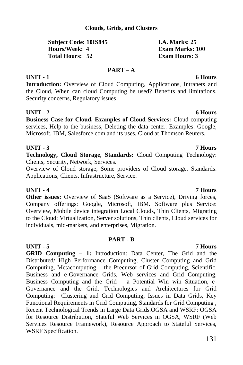### **Clouds, Grids, and Clusters**

### **Subject Code: 10IS845 I.A. Marks: 25 Hours/Week: 4 Exam Marks: 100 Total Hours: 52**

### **PART – A**

### **UNIT - 1 6 Hours**

**Introduction:** Overview of Cloud Computing, Applications, Intranets and the Cloud, When can cloud Computing be used? Benefits and limitations, Security concerns, Regulatory issues

### **UNIT - 2 6 Hours**

**Business Case for Cloud, Examples of Cloud Services:** Cloud computing services, Help to the business, Deleting the data center. Examples: Google, Microsoft, IBM, Salesforce.com and its uses, Cloud at Thomson Reuters.

### **UNIT - 3 7 Hours**

**Technology, Cloud Storage, Standards:** Cloud Computing Technology: Clients, Security, Network, Services.

Overview of Cloud storage, Some providers of Cloud storage. Standards: Applications, Clients, Infrastructure, Service.

### **UNIT - 4 7 Hours**

**Other issues:** Overview of SaaS (Software as a Service), Driving forces, Company offerings: Google, Microsoft, IBM. Software plus Service: Overview, Mobile device integration Local Clouds, Thin Clients, Migrating to the Cloud: Virtualization, Server solutions, Thin clients, Cloud services for individuals, mid-markets, and enterprises, Migration.

### **PART - B**

**UNIT - 5 7 Hours GRID Computing – 1:** Introduction: Data Center, The Grid and the Distributed/ High Performance Computing, Cluster Computing and Grid Computing, Metacomputing – the Precursor of Grid Computing, Scientific, Business and e-Governance Grids, Web services and Grid Computing, Business Computing and the Grid  $-$  a Potential Win win Situation, e-Governance and the Grid. Technologies and Architectures for Grid Computing: Clustering and Grid Computing, Issues in Data Grids, Key Functional Requirements in Grid Computing, Standards for Grid Computing , Recent Technological Trends in Large Data Grids.OGSA and WSRF: OGSA for Resource Distribution, Stateful Web Services in OGSA, WSRF (Web Services Resource Framework), Resource Approach to Stateful Services, WSRF Specification.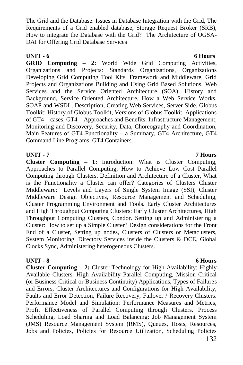132

The Grid and the Database: Issues in Database Integration with the Grid, The Requirements of a Grid enabled database, Storage Request Broker (SRB), How to integrate the Database with the Grid? The Architecture of OGSA-DAI for Offering Grid Database Services

### **UNIT - 6 6 Hours**

**GRID Computing – 2:** World Wide Grid Computing Activities, Organizations and Projects: Standards Organizations, Organizations Developing Grid Computing Tool Kits, Framework and Middleware, Grid Projects and Organizations Building and Using Grid Based Solutions. Web Services and the Service Oriented Architecture (SOA): History and Background, Service Oriented Architecture, How a Web Service Works, SOAP and WSDL, Description, Creating Web Services, Server Side. Globus Toolkit: History of Globus Toolkit, Versions of Globus Toolkit, Applications of GT4 – cases, GT4 – Approaches and Benefits, Infrastructure Management, Monitoring and Discovery, Security, Data, Choreography and Coordination, Main Features of GT4 Functionality – a Summary, GT4 Architecture, GT4 Command Line Programs, GT4 Containers.

### **UNIT - 7 7 Hours**

**Cluster Computing – 1:** Introduction: What is Cluster Computing, Approaches to Parallel Computing, How to Achieve Low Cost Parallel Computing through Clusters, Definition and Architecture of a Cluster, What is the Functionality a Cluster can offer? Categories of Clusters Cluster Middleware: Levels and Layers of Single System Image (SSI), Cluster Middleware Design Objectives, Resource Management and Scheduling, Cluster Programming Environment and Tools. Early Cluster Architectures and High Throughput Computing Clusters: Early Cluster Architectures, High Throughput Computing Clusters, Condor. Setting up and Administering a Cluster: How to set up a Simple Cluster? Design considerations for the Front End of a Cluster, Setting up nodes, Clusters of Clusters or Metaclusters, System Monitoring, Directory Services inside the Clusters & DCE, Global Clocks Sync, Administering heterogeneous Clusters.

**UNIT - 8 6 Hours Cluster Computing – 2:** Cluster Technology for High Availability: Highly Available Clusters, High Availability Parallel Computing, Mission Critical (or Business Critical or Business Continuity) Applications, Types of Failures and Errors, Cluster Architectures and Configurations for High Availability, Faults and Error Detection, Failure Recovery, Failover / Recovery Clusters. Performance Model and Simulation: Performance Measures and Metrics, Profit Effectiveness of Parallel Computing through Clusters. Process Scheduling, Load Sharing and Load Balancing: Job Management System (JMS) Resource Management System (RMS), Queues, Hosts, Resources, Jobs and Policies, Policies for Resource Utilization, Scheduling Policies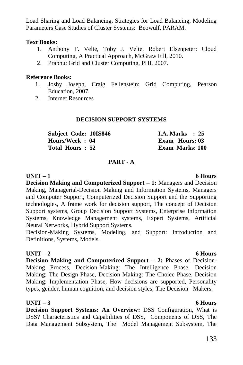Load Sharing and Load Balancing, Strategies for Load Balancing, Modeling Parameters Case Studies of Cluster Systems: Beowulf, PARAM.

### **Text Books:**

- 1. Anthony T. Velte, Toby J. Velte, Robert Elsenpeter: Cloud Computing, A Practical Approach, McGraw Fill, 2010.
- 2. Prabhu: Grid and Cluster Computing, PHI, 2007.

### **Reference Books:**

- 1. Joshy Joseph, Craig Fellenstein: Grid Computing, Pearson Education, 2007.
- 2. Internet Resources

### **DECISION SUPPORT SYSTEMS**

| Subject Code: 10IS846 |  | <b>I.A. Marks</b> : 25 |  |
|-----------------------|--|------------------------|--|
| Hours/Week: 04        |  | Exam Hours: 03         |  |
| Total Hours: 52       |  | <b>Exam Marks: 100</b> |  |

### **PART - A**

### **UNIT – 1 6 Hours**

**Decision Making and Computerized Support – 1:** Managers and Decision Making, Managerial-Decision Making and Information Systems, Managers and Computer Support, Computerized Decision Support and the Supporting technologies, A frame work for decision support, The concept of Decision Support systems, Group Decision Support Systems, Enterprise Information Systems, Knowledge Management systems, Expert Systems, Artificial Neural Networks, Hybrid Support Systems.

Decision-Making Systems, Modeling, and Support: Introduction and Definitions, Systems, Models.

### **UNIT – 2 6 Hours**

**Decision Making and Computerized Support – 2:** Phases of Decision-Making Process, Decision-Making: The Intelligence Phase, Decision Making: The Design Phase, Decision Making: The Choice Phase, Decision Making: Implementation Phase, How decisions are supported, Personality types, gender, human cognition, and decision styles; The Decision –Makers.

### **UNIT – 3 6 Hours**

**Decision Support Systems: An Overview:** DSS Configuration, What is DSS? Characteristics and Capabilities of DSS, Components of DSS, The Data Management Subsystem, The Model Management Subsystem, The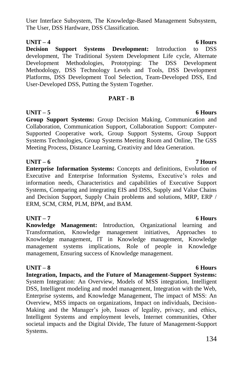User Interface Subsystem, The Knowledge-Based Management Subsystem, The User, DSS Hardware, DSS Classification.

**UNIT – 4 6 Hours Decision Support Systems Development:** Introduction to DSS development, The Traditional System Development Life cycle, Alternate Development Methodologies, Prototyping: The DSS Development Methodology, DSS Technology Levels and Tools, DSS Development Platforms, DSS Development Tool Selection, Team-Developed DSS, End User-Developed DSS, Putting the System Together.

### **PART - B**

### **UNIT – 5 6 Hours**

**Group Support Systems:** Group Decision Making, Communication and Collaboration, Communication Support, Collaboration Support: Computer-Supported Cooperative work, Group Support Systems, Group Support Systems Technologies, Group Systems Meeting Room and Online, The GSS Meeting Process, Distance Learning, Creativity and Idea Generation.

### **UNIT – 6 7 Hours**

**Enterprise Information Systems:** Concepts and definitions, Evolution of Executive and Enterprise Information Systems, Executive's roles and information needs, Characteristics and capabilities of Executive Support Systems, Comparing and integrating EIS and DSS, Supply and Value Chains and Decision Support, Supply Chain problems and solutions, MRP, ERP / ERM, SCM, CRM, PLM, BPM, and BAM.

### **UNIT – 7 6 Hours**

**Knowledge Management:** Introduction, Organizational learning and Transformation, Knowledge management initiatives, Approaches to Knowledge management, IT in Knowledge management, Knowledge management systems implications, Role of people in Knowledge management, Ensuring success of Knowledge management.

### **UNIT – 8 6 Hours**

**Integration, Impacts, and the Future of Management-Support Systems:**  System Integration: An Overview, Models of MSS integration, Intelligent DSS, Intelligent modeling and model management, Integration with the Web, Enterprise systems, and Knowledge Management, The impact of MSS: An Overview, MSS impacts on organizations, Impact on individuals, Decision-Making and the Manager's job, Issues of legality, privacy, and ethics, Intelligent Systems and employment levels, Internet communities, Other societal impacts and the Digital Divide, The future of Management-Support Systems.